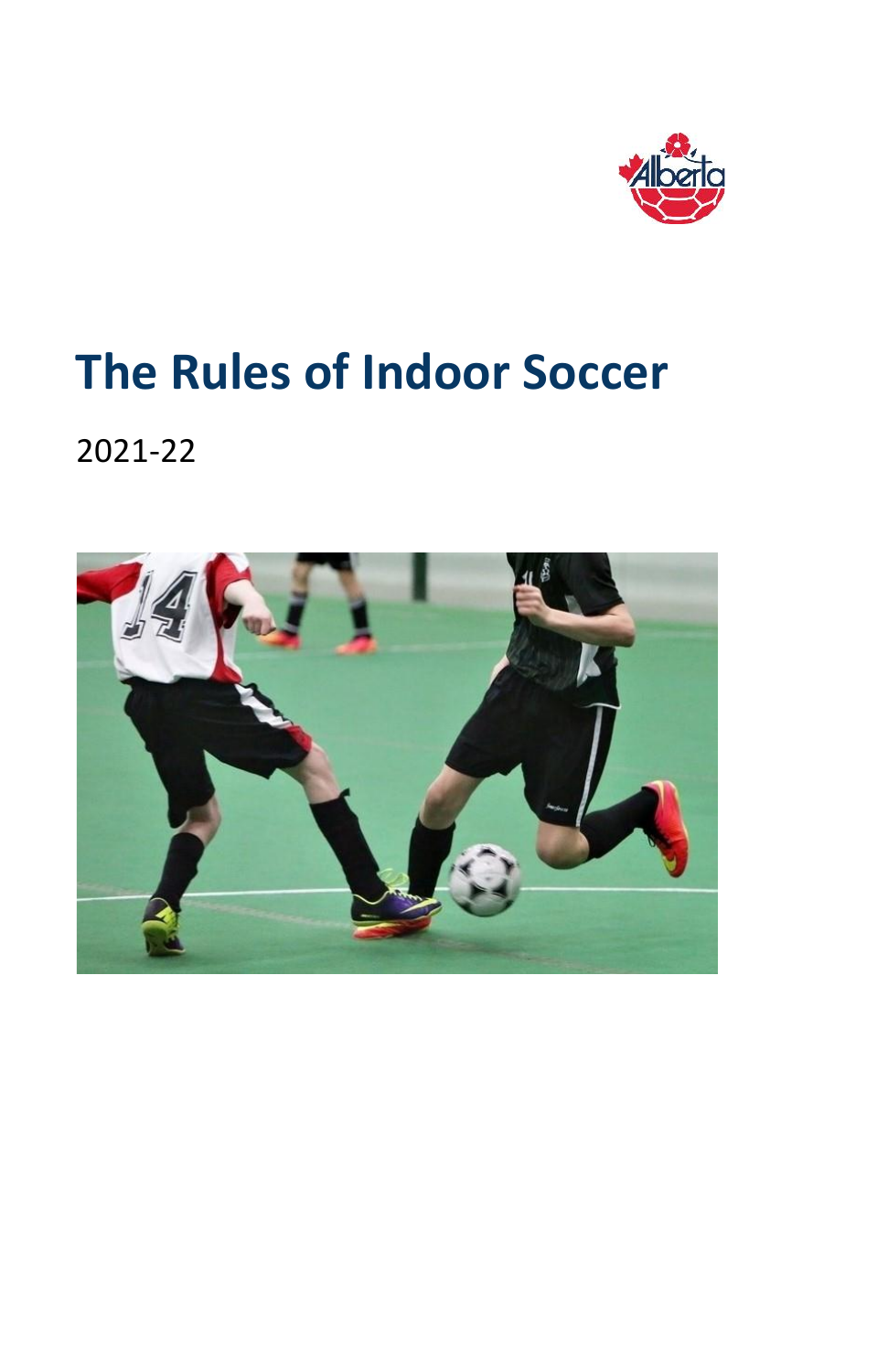

# **The Rules of Indoor Soccer**

2021-22

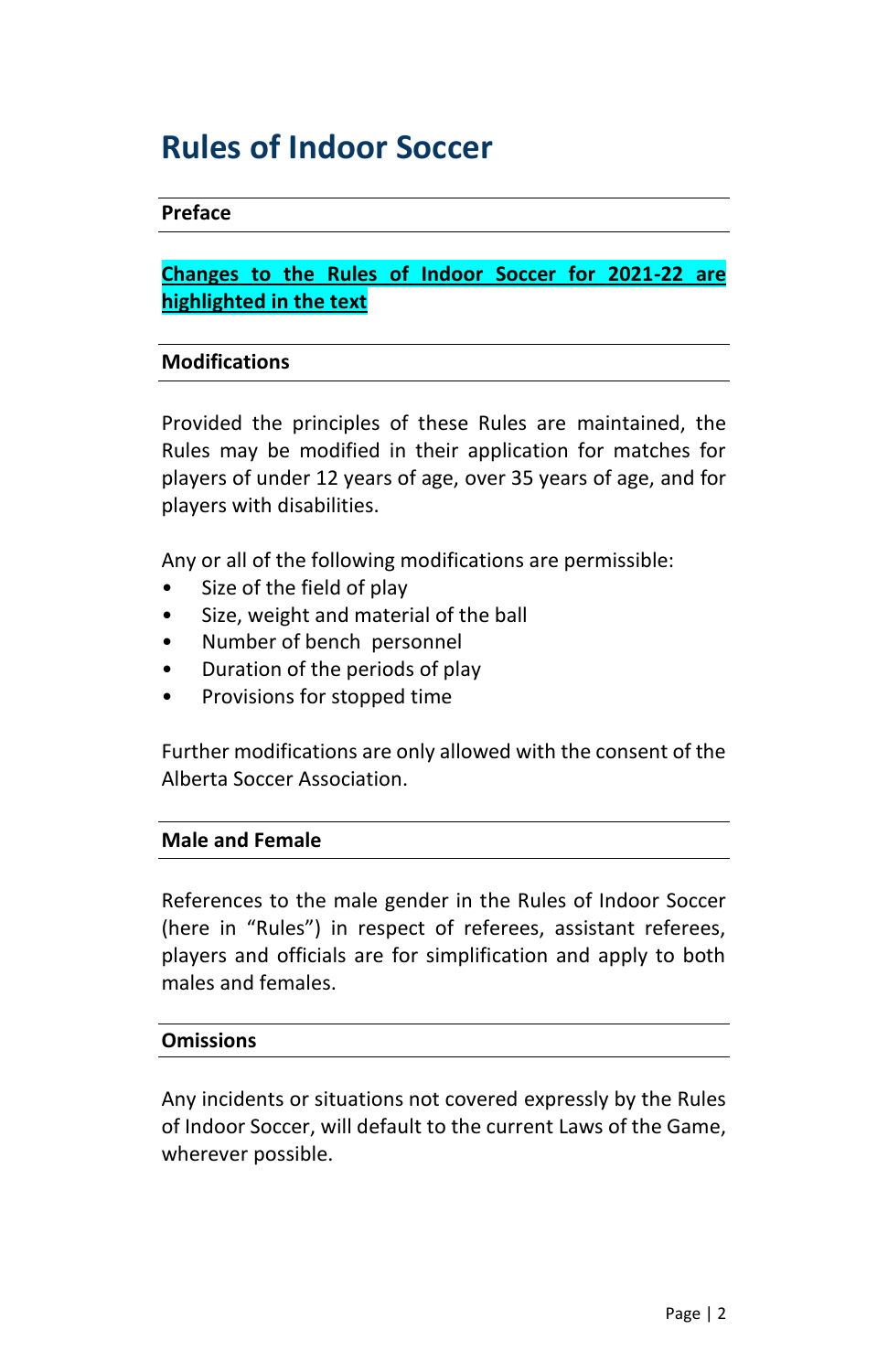## **Rules of Indoor Soccer**

#### **Preface**

#### **Changes to the Rules of Indoor Soccer for 2021-22 are highlighted in the text**

#### **Modifications**

Provided the principles of these Rules are maintained, the Rules may be modified in their application for matches for players of under 12 years of age, over 35 years of age, and for players with disabilities.

Any or all of the following modifications are permissible:

- Size of the field of play
- Size, weight and material of the ball
- Number of bench personnel
- Duration of the periods of play
- Provisions for stopped time

Further modifications are only allowed with the consent of the Alberta Soccer Association.

#### **Male and Female**

References to the male gender in the Rules of Indoor Soccer (here in "Rules") in respect of referees, assistant referees, players and officials are for simplification and apply to both males and females.

#### **Omissions**

Any incidents or situations not covered expressly by the Rules of Indoor Soccer, will default to the current Laws of the Game, wherever possible.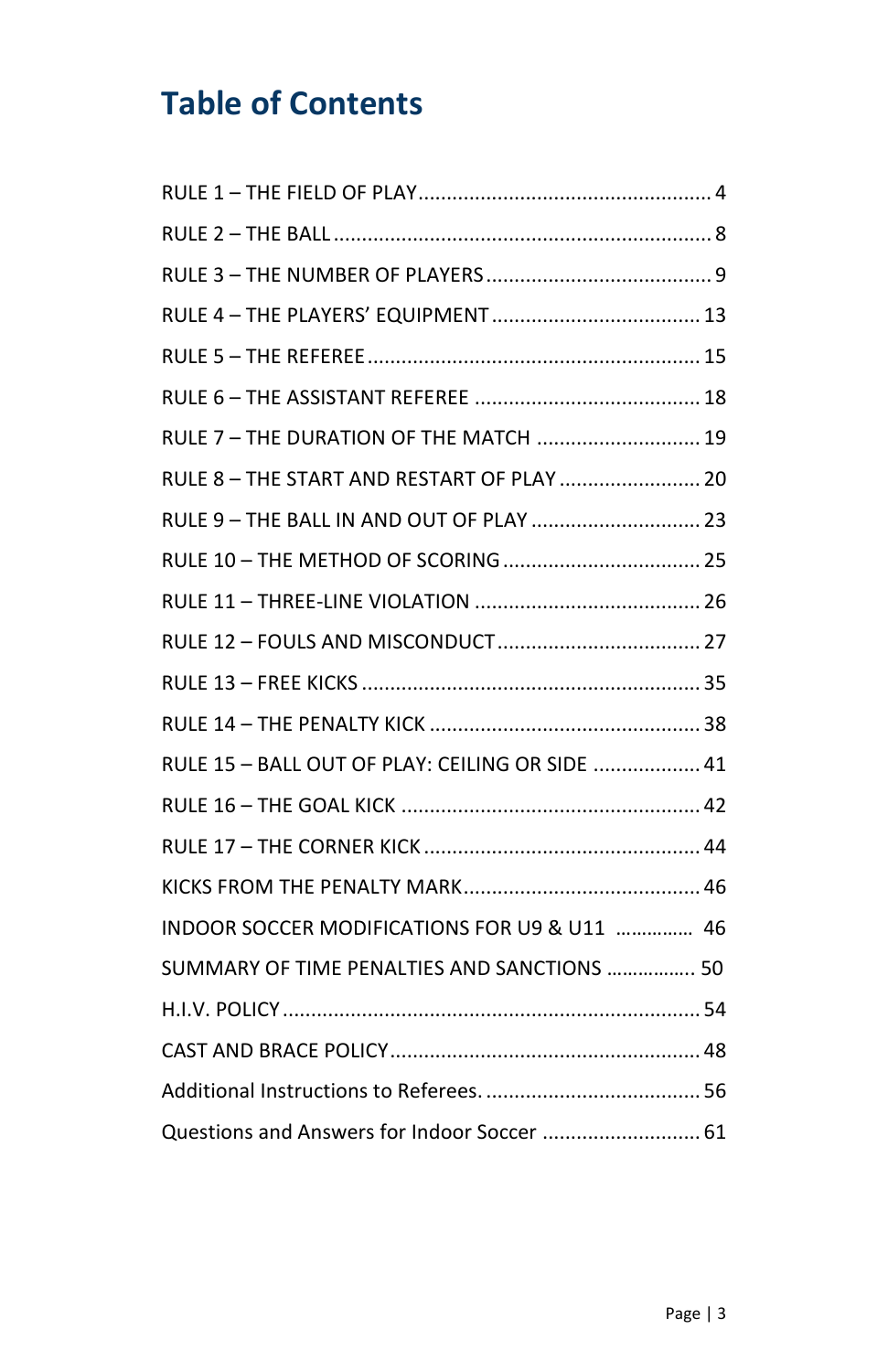## **Table of Contents**

<span id="page-2-0"></span>

| RULE 7 - THE DURATION OF THE MATCH  19          |  |
|-------------------------------------------------|--|
| RULE 8 - THE START AND RESTART OF PLAY  20      |  |
| RULE 9 - THE BALL IN AND OUT OF PLAY  23        |  |
|                                                 |  |
|                                                 |  |
|                                                 |  |
|                                                 |  |
|                                                 |  |
| RULE 15 - BALL OUT OF PLAY: CEILING OR SIDE  41 |  |
|                                                 |  |
|                                                 |  |
|                                                 |  |
| INDOOR SOCCER MODIFICATIONS FOR U9 & U11  46    |  |
| SUMMARY OF TIME PENALTIES AND SANCTIONS  50     |  |
|                                                 |  |
|                                                 |  |
|                                                 |  |
| Questions and Answers for Indoor Soccer  61     |  |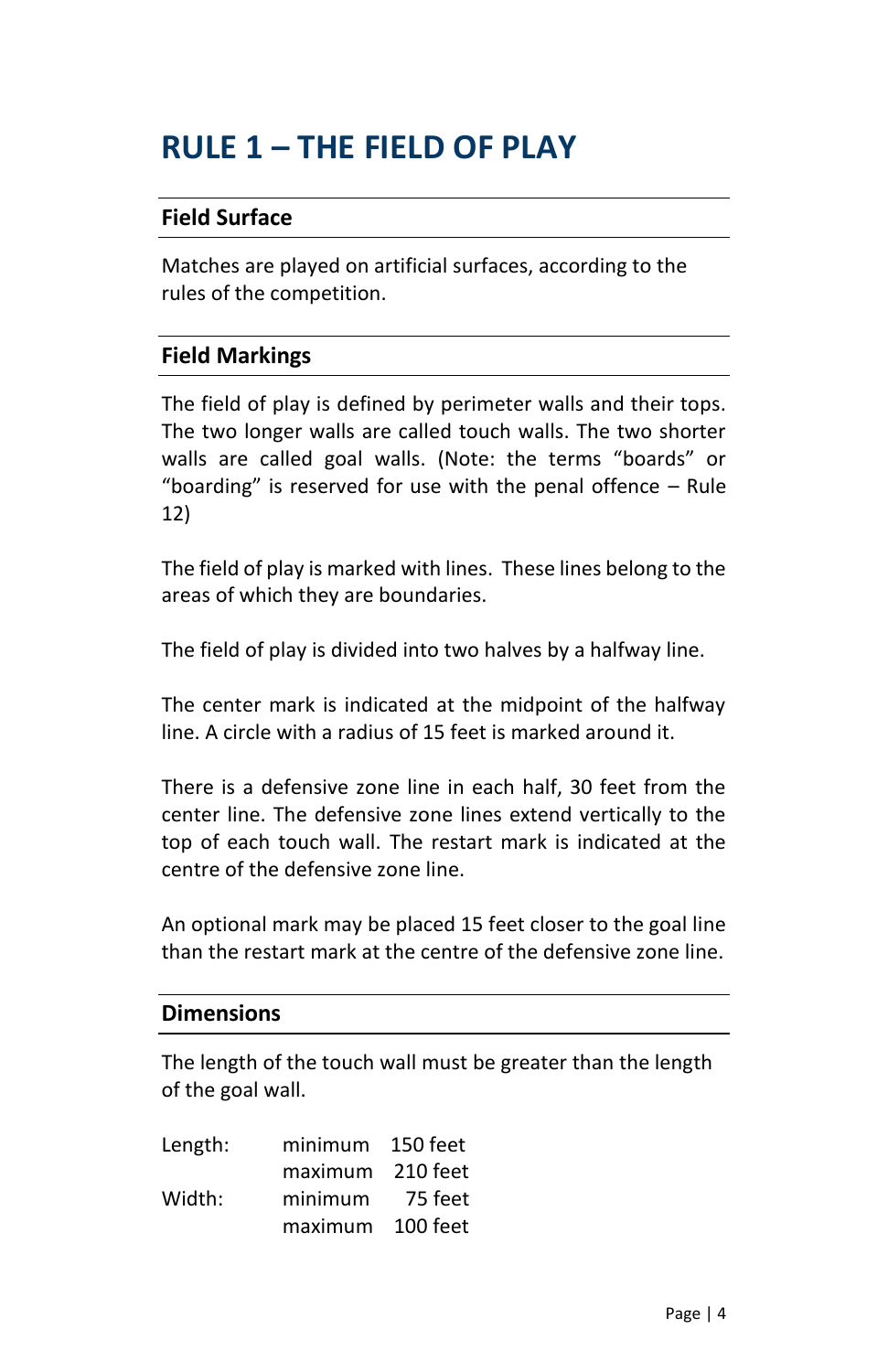## **RULE 1 – THE FIELD OF PLAY**

### **Field Surface**

Matches are played on artificial surfaces, according to the rules of the competition.

#### **Field Markings**

The field of play is defined by perimeter walls and their tops. The two longer walls are called touch walls. The two shorter walls are called goal walls. (Note: the terms "boards" or "boarding" is reserved for use with the penal offence – Rule 12)

The field of play is marked with lines. These lines belong to the areas of which they are boundaries.

The field of play is divided into two halves by a halfway line.

The center mark is indicated at the midpoint of the halfway line. A circle with a radius of 15 feet is marked around it.

There is a defensive zone line in each half, 30 feet from the center line. The defensive zone lines extend vertically to the top of each touch wall. The restart mark is indicated at the centre of the defensive zone line.

An optional mark may be placed 15 feet closer to the goal line than the restart mark at the centre of the defensive zone line.

#### **Dimensions**

The length of the touch wall must be greater than the length of the goal wall.

| Length: | minimum | $150$ feet |
|---------|---------|------------|
|         | maximum | 210 feet   |
| Width:  | minimum | 75 feet    |
|         | maximum | 100 feet   |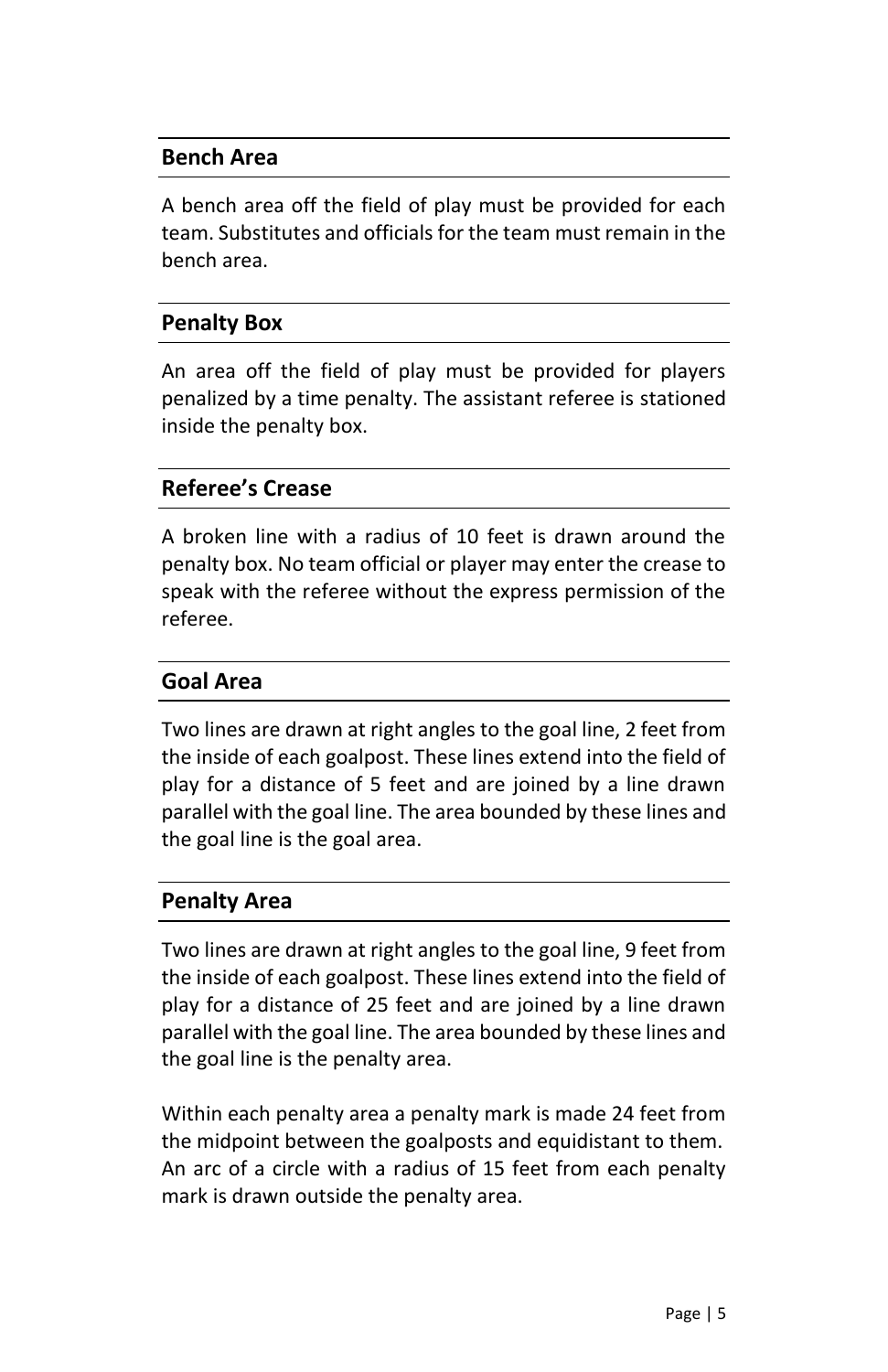#### **Bench Area**

A bench area off the field of play must be provided for each team. Substitutes and officials for the team must remain in the bench area.

#### **Penalty Box**

An area off the field of play must be provided for players penalized by a time penalty. The assistant referee is stationed inside the penalty box.

#### **Referee's Crease**

A broken line with a radius of 10 feet is drawn around the penalty box. No team official or player may enter the crease to speak with the referee without the express permission of the referee.

#### **Goal Area**

Two lines are drawn at right angles to the goal line, 2 feet from the inside of each goalpost. These lines extend into the field of play for a distance of 5 feet and are joined by a line drawn parallel with the goal line. The area bounded by these lines and the goal line is the goal area.

#### **Penalty Area**

Two lines are drawn at right angles to the goal line, 9 feet from the inside of each goalpost. These lines extend into the field of play for a distance of 25 feet and are joined by a line drawn parallel with the goal line. The area bounded by these lines and the goal line is the penalty area.

Within each penalty area a penalty mark is made 24 feet from the midpoint between the goalposts and equidistant to them. An arc of a circle with a radius of 15 feet from each penalty mark is drawn outside the penalty area.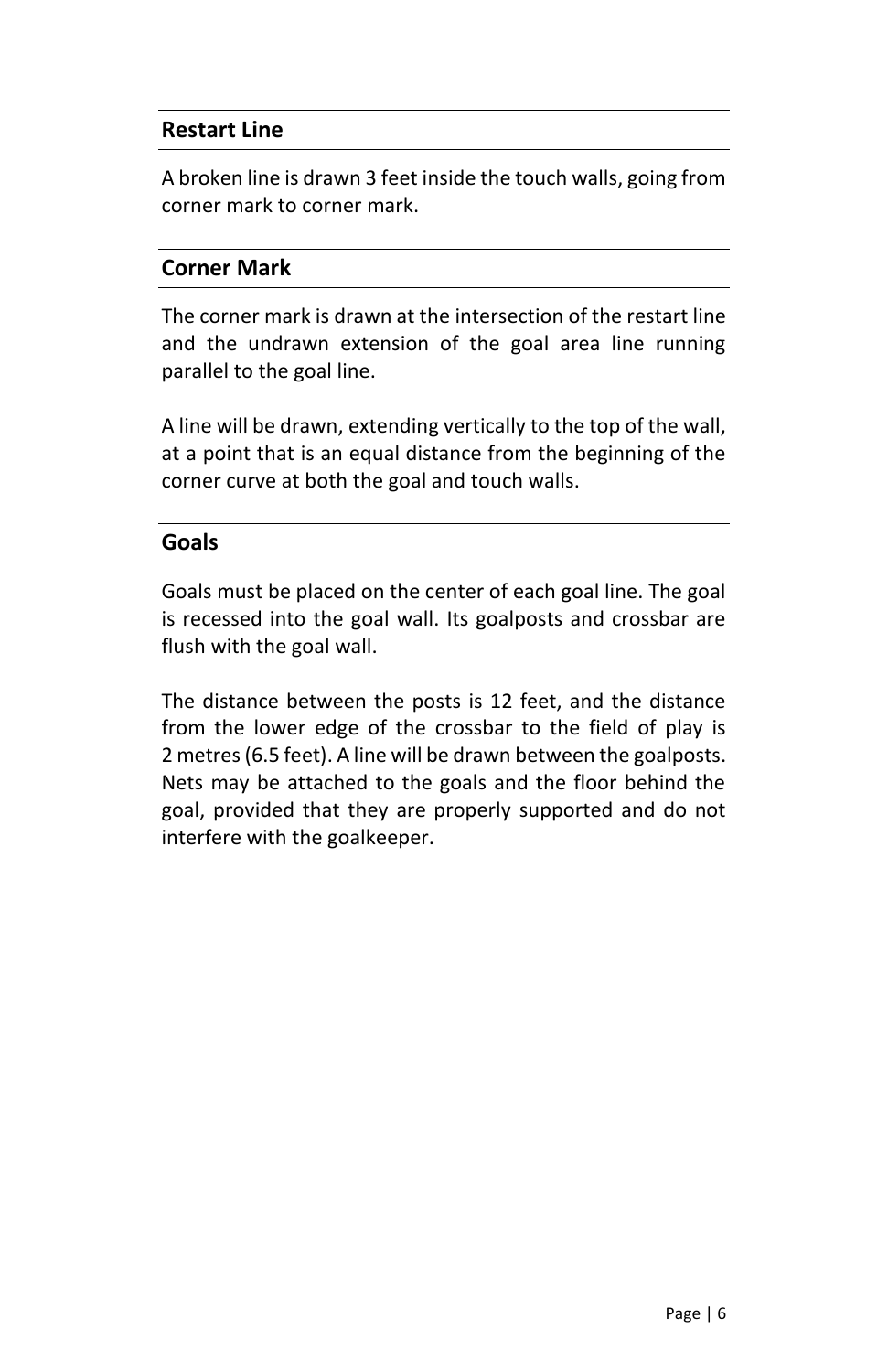#### **Restart Line**

A broken line is drawn 3 feet inside the touch walls, going from corner mark to corner mark.

#### **Corner Mark**

The corner mark is drawn at the intersection of the restart line and the undrawn extension of the goal area line running parallel to the goal line.

A line will be drawn, extending vertically to the top of the wall, at a point that is an equal distance from the beginning of the corner curve at both the goal and touch walls.

#### **Goals**

Goals must be placed on the center of each goal line. The goal is recessed into the goal wall. Its goalposts and crossbar are flush with the goal wall.

<span id="page-5-0"></span>The distance between the posts is 12 feet, and the distance from the lower edge of the crossbar to the field of play is 2 metres (6.5 feet). A line will be drawn between the goalposts. Nets may be attached to the goals and the floor behind the goal, provided that they are properly supported and do not interfere with the goalkeeper.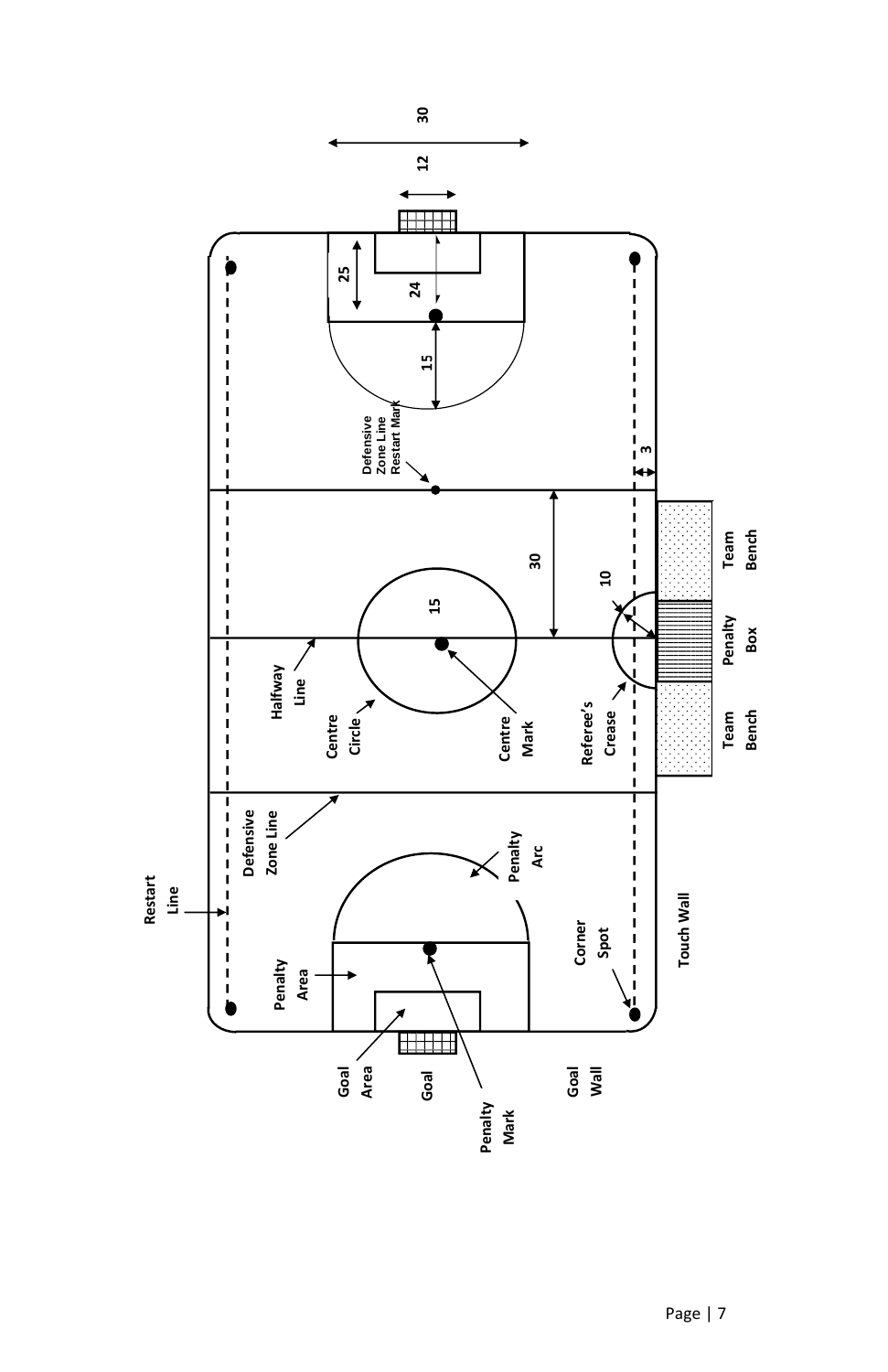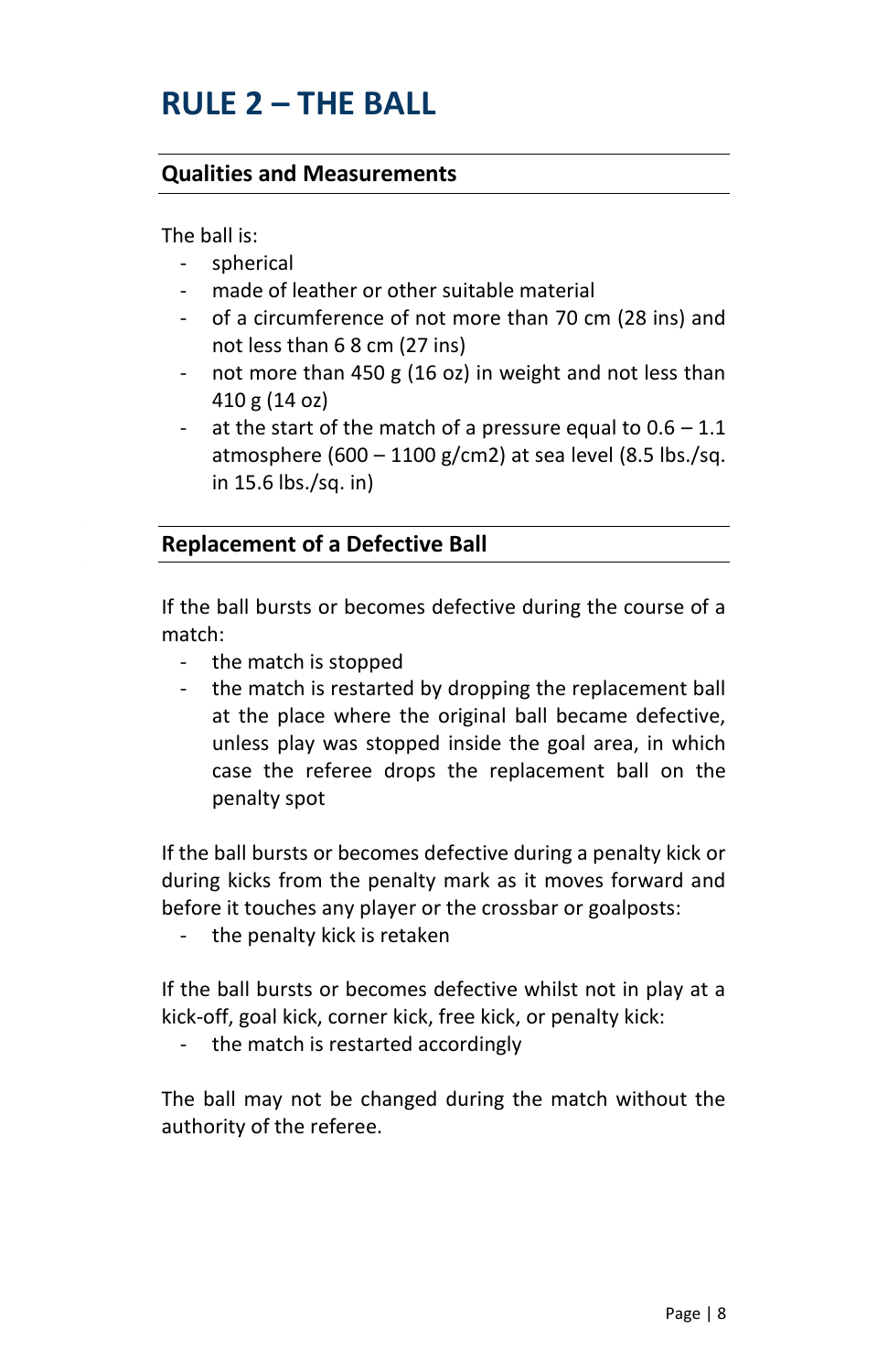## **RULE 2 – THE BALL**

#### **Qualities and Measurements**

The ball is:

- spherical
- made of leather or other suitable material
- of a circumference of not more than 70 cm (28 ins) and not less than 6 8 cm (27 ins)
- not more than 450 g (16 oz) in weight and not less than 410 g (14 oz)
- at the start of the match of a pressure equal to  $0.6 1.1$ atmosphere (600 – 1100 g/cm2) at sea level (8.5 lbs./sq. in 15.6 lbs./sq. in)

#### **Replacement of a Defective Ball**

If the ball bursts or becomes defective during the course of a match:

- the match is stopped
- the match is restarted by dropping the replacement ball at the place where the original ball became defective, unless play was stopped inside the goal area, in which case the referee drops the replacement ball on the penalty spot

If the ball bursts or becomes defective during a penalty kick or during kicks from the penalty mark as it moves forward and before it touches any player or the crossbar or goalposts:

- the penalty kick is retaken

If the ball bursts or becomes defective whilst not in play at a kick-off, goal kick, corner kick, free kick, or penalty kick:

- the match is restarted accordingly

The ball may not be changed during the match without the authority of the referee.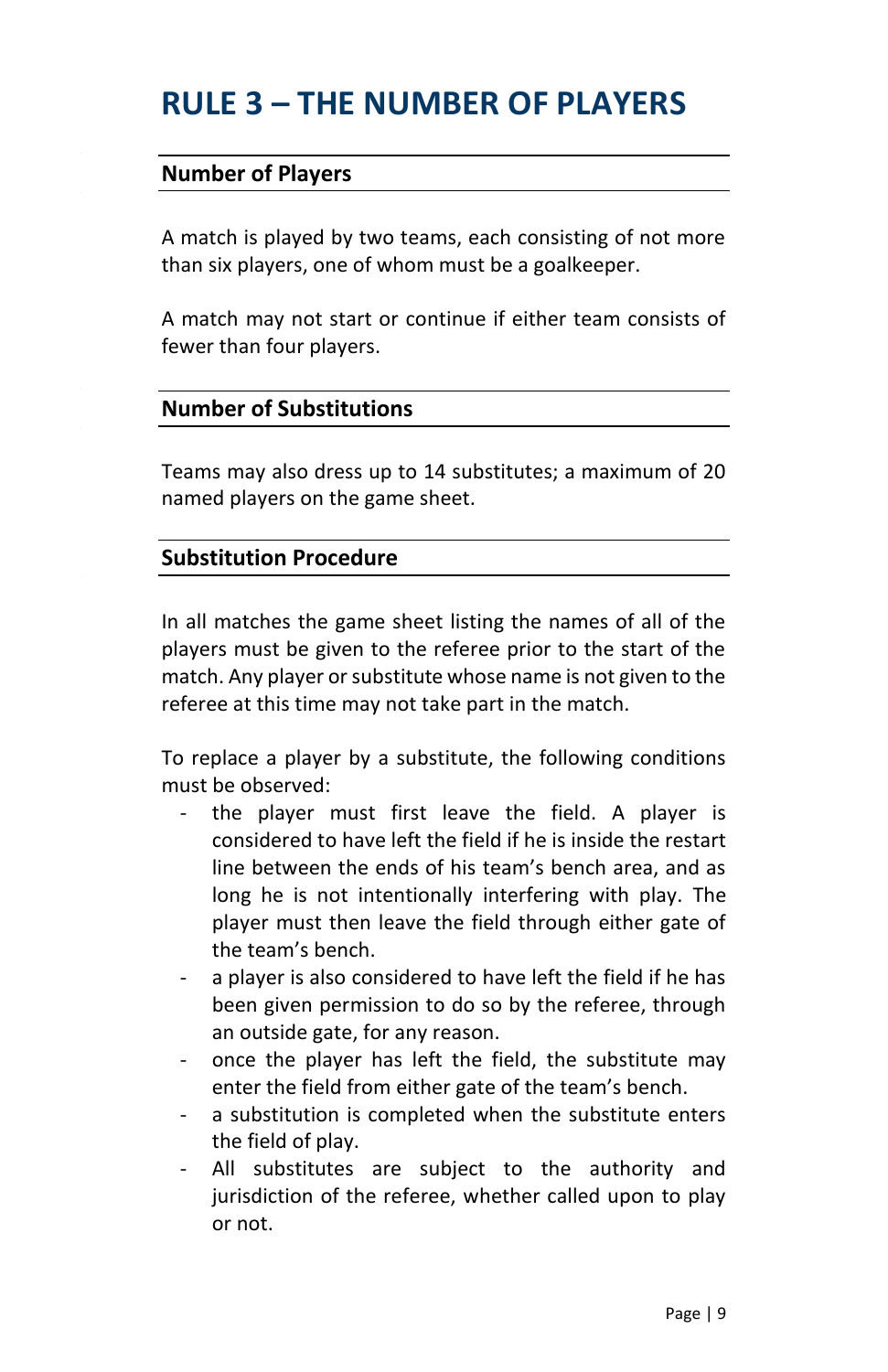## <span id="page-8-0"></span>**RULE 3 – THE NUMBER OF PLAYERS**

#### **Number of Players**

A match is played by two teams, each consisting of not more than six players, one of whom must be a goalkeeper.

A match may not start or continue if either team consists of fewer than four players.

#### **Number of Substitutions**

Teams may also dress up to 14 substitutes; a maximum of 20 named players on the game sheet.

#### **Substitution Procedure**

In all matches the game sheet listing the names of all of the players must be given to the referee prior to the start of the match. Any player or substitute whose name is not given to the referee at this time may not take part in the match.

To replace a player by a substitute, the following conditions must be observed:

- the player must first leave the field. A player is considered to have left the field if he is inside the restart line between the ends of his team's bench area, and as long he is not intentionally interfering with play. The player must then leave the field through either gate of the team's bench.
- a player is also considered to have left the field if he has been given permission to do so by the referee, through an outside gate, for any reason.
- once the player has left the field, the substitute may enter the field from either gate of the team's bench.
- a substitution is completed when the substitute enters the field of play.
- All substitutes are subject to the authority and jurisdiction of the referee, whether called upon to play or not.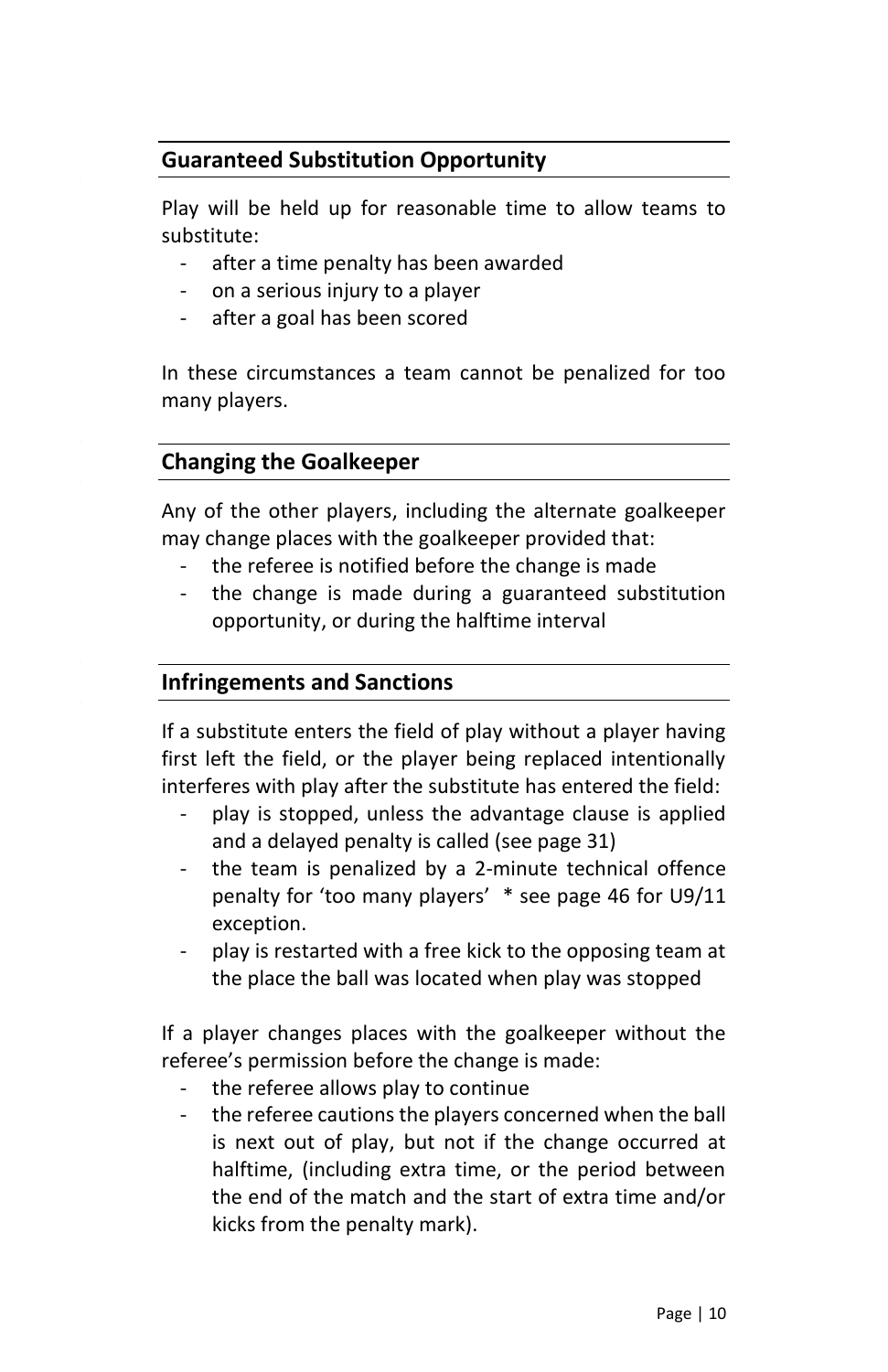### **Guaranteed Substitution Opportunity**

Play will be held up for reasonable time to allow teams to substitute:

- after a time penalty has been awarded
- on a serious injury to a player
- after a goal has been scored

In these circumstances a team cannot be penalized for too many players.

#### **Changing the Goalkeeper**

Any of the other players, including the alternate goalkeeper may change places with the goalkeeper provided that:

- the referee is notified before the change is made
- the change is made during a guaranteed substitution opportunity, or during the halftime interval

#### **Infringements and Sanctions**

If a substitute enters the field of play without a player having first left the field, or the player being replaced intentionally interferes with play after the substitute has entered the field:

- play is stopped, unless the advantage clause is applied and a delayed penalty is called (see page 31)
- the team is penalized by a 2-minute technical offence penalty for 'too many players' \* see page 46 for U9/11 exception.
- play is restarted with a free kick to the opposing team at the place the ball was located when play was stopped

If a player changes places with the goalkeeper without the referee's permission before the change is made:

- the referee allows play to continue
- the referee cautions the players concerned when the ball is next out of play, but not if the change occurred at halftime, (including extra time, or the period between the end of the match and the start of extra time and/or kicks from the penalty mark).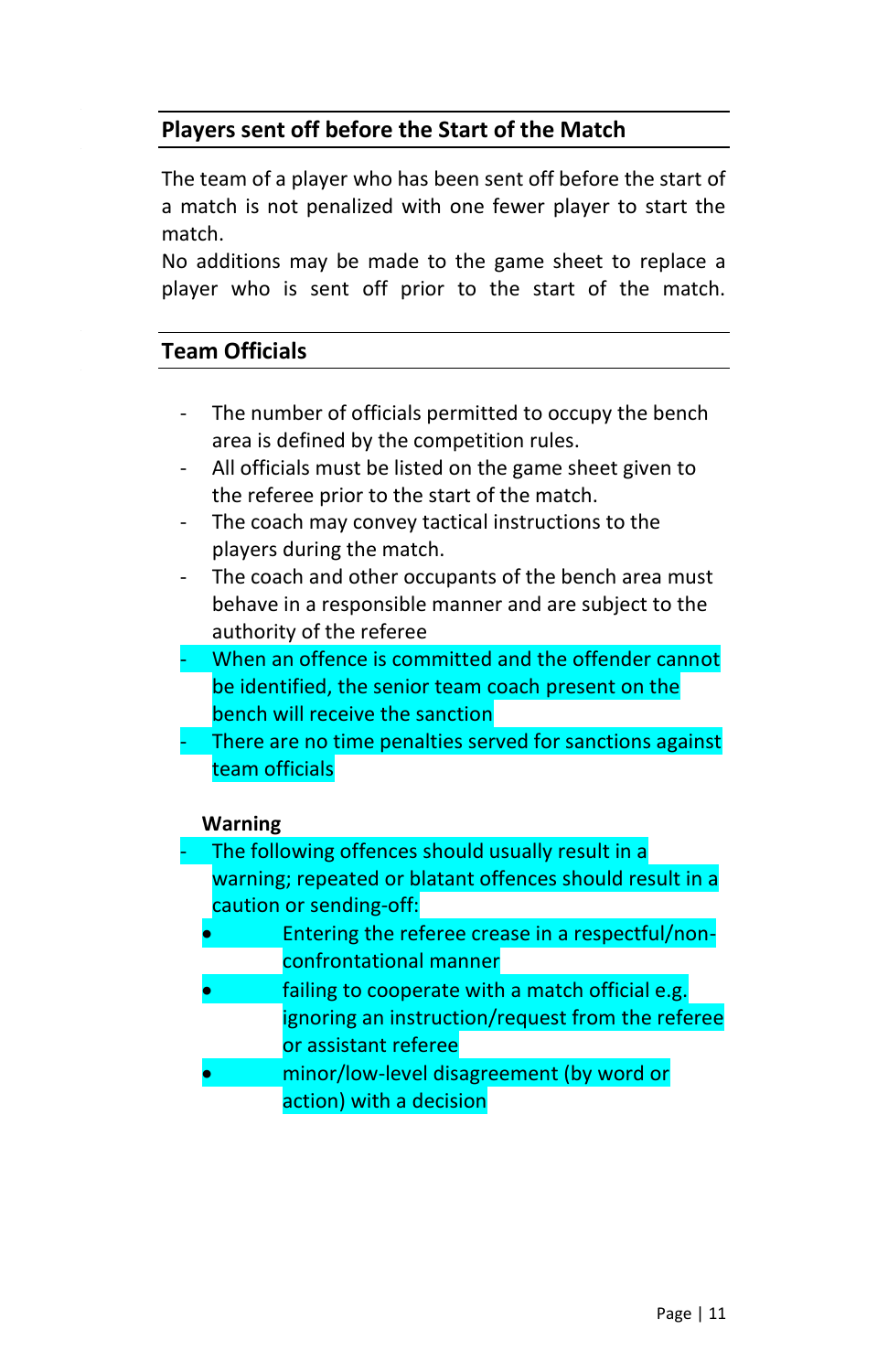### **Players sent off before the Start of the Match**

The team of a player who has been sent off before the start of a match is not penalized with one fewer player to start the match.

No additions may be made to the game sheet to replace a player who is sent off prior to the start of the match.

#### **Team Officials**

- The number of officials permitted to occupy the bench area is defined by the competition rules.
- All officials must be listed on the game sheet given to the referee prior to the start of the match.
- The coach may convey tactical instructions to the players during the match.
- The coach and other occupants of the bench area must behave in a responsible manner and are subject to the authority of the referee
- When an offence is committed and the offender cannot be identified, the senior team coach present on the bench will receive the sanction
- There are no time penalties served for sanctions against team officials

#### **Warning**

- The following offences should usually result in a warning; repeated or blatant offences should result in a caution or sending-off:
	- Entering the referee crease in a respectful/nonconfrontational manner
	- failing to cooperate with a match official e.g. ignoring an instruction/request from the referee or assistant referee
	- minor/low-level disagreement (by word or action) with a decision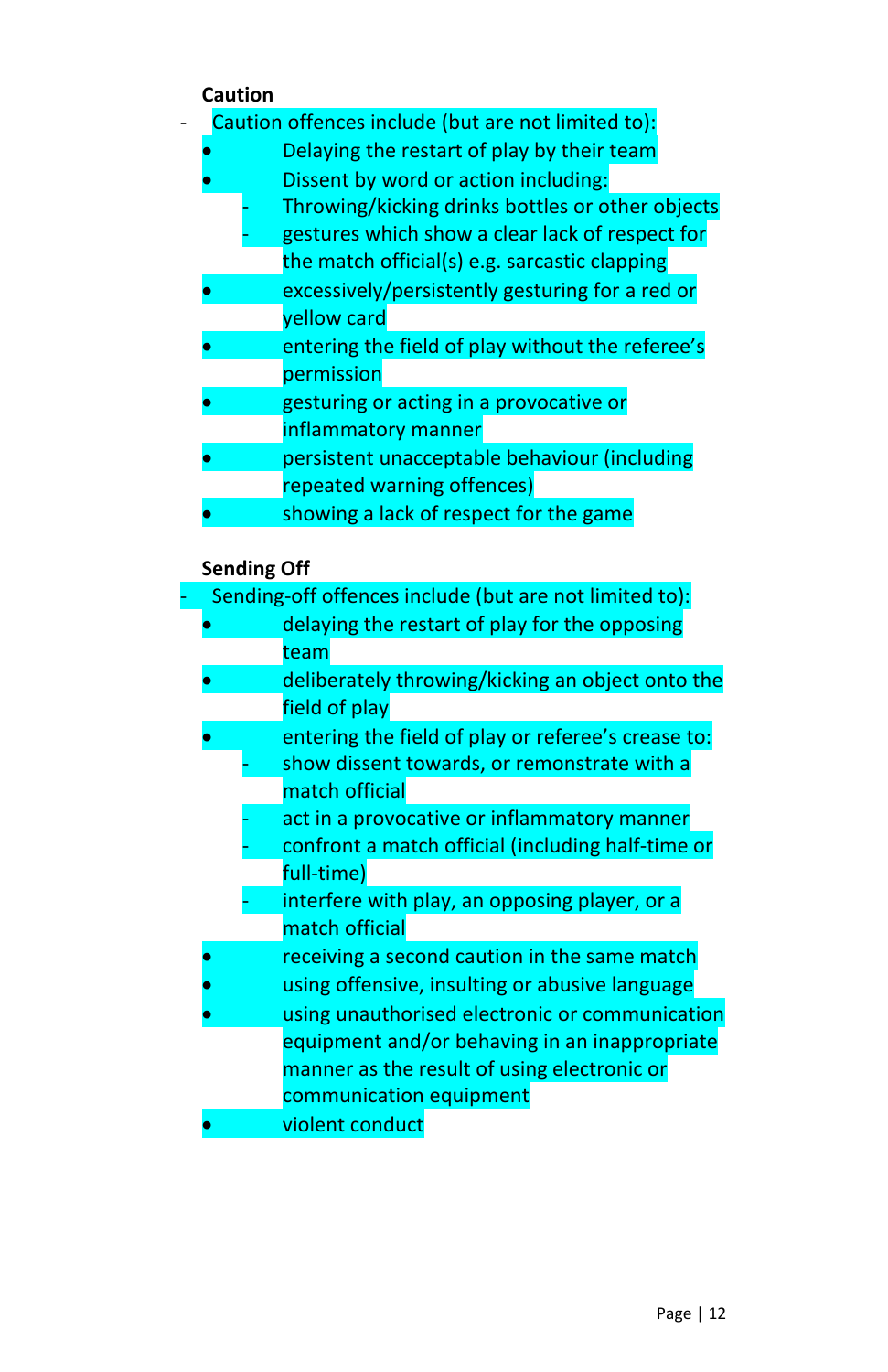#### **Caution**

|  | Caution offences include (but are not limited to): |  |
|--|----------------------------------------------------|--|
|--|----------------------------------------------------|--|

- Delaying the restart of play by their team
- Dissent by word or action including:
	- Throwing/kicking drinks bottles or other objects gestures which show a clear lack of respect for
	- the match official(s) e.g. sarcastic clapping
- excessively/persistently gesturing for a red or yellow card
- entering the field of play without the referee's permission
- gesturing or acting in a provocative or inflammatory manner
- persistent unacceptable behaviour (including repeated warning offences)
- showing a lack of respect for the game

#### **Sending Off**

Sending-off offences include (but are not limited to): delaying the restart of play for the opposing team deliberately throwing/kicking an object onto the field of play entering the field of play or referee's crease to: show dissent towards, or remonstrate with a match official

- act in a provocative or inflammatory manner
- confront a match official (including half-time or full-time)
- interfere with play, an opposing player, or a match official
- receiving a second caution in the same match
- using offensive, insulting or abusive language
- using unauthorised electronic or communication equipment and/or behaving in an inappropriate manner as the result of using electronic or communication equipment
- violent conduct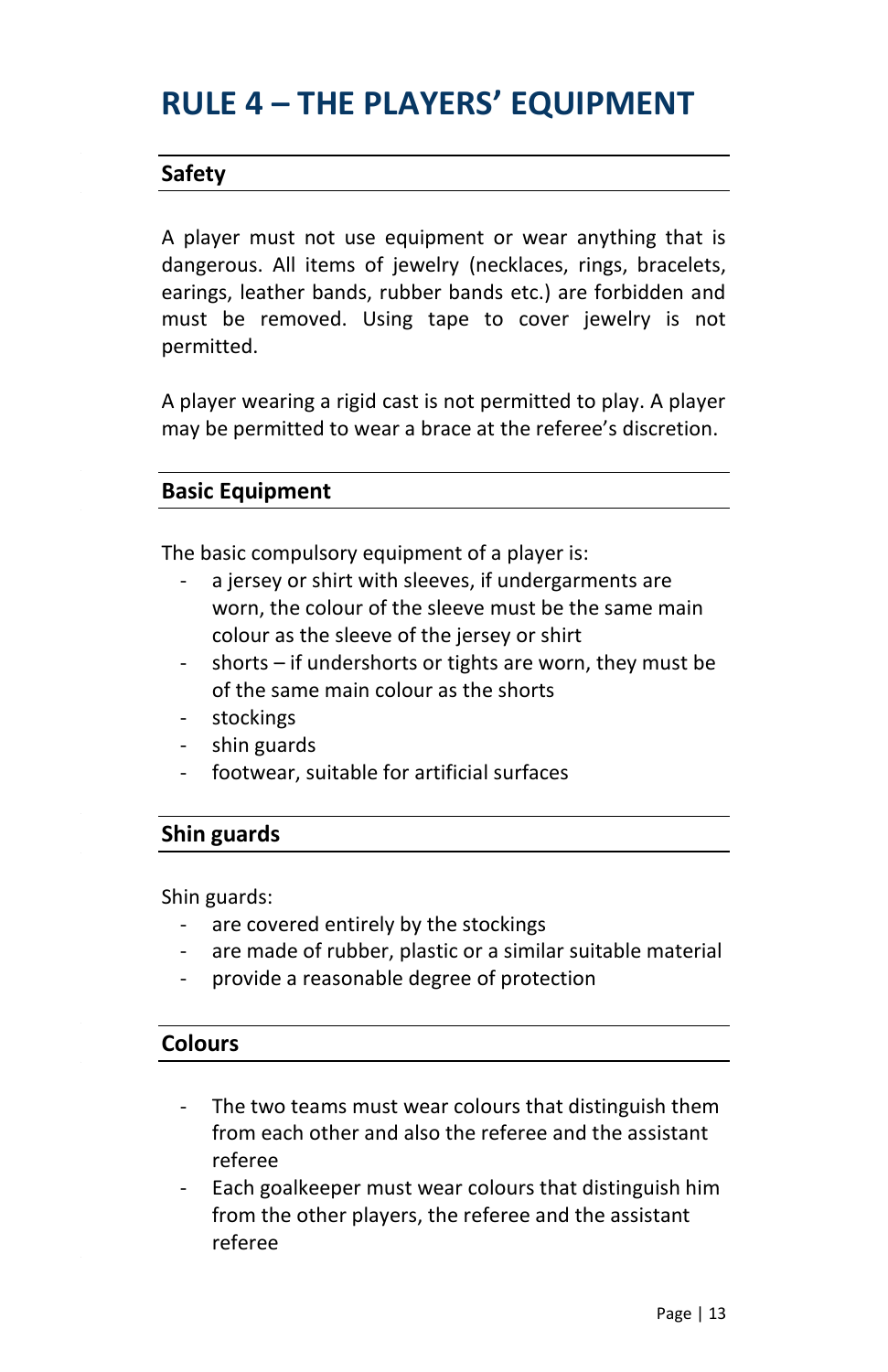## <span id="page-12-0"></span>**RULE 4 – THE PLAYERS' EQUIPMENT**

#### **Safety**

A player must not use equipment or wear anything that is dangerous. All items of jewelry (necklaces, rings, bracelets, earings, leather bands, rubber bands etc.) are forbidden and must be removed. Using tape to cover jewelry is not permitted.

A player wearing a rigid cast is not permitted to play. A player may be permitted to wear a brace at the referee's discretion.

#### **Basic Equipment**

The basic compulsory equipment of a player is:

- a jersey or shirt with sleeves, if undergarments are worn, the colour of the sleeve must be the same main colour as the sleeve of the jersey or shirt
- shorts if undershorts or tights are worn, they must be of the same main colour as the shorts
- stockings
- shin guards
- footwear, suitable for artificial surfaces

#### **Shin guards**

Shin guards:

- are covered entirely by the stockings
- are made of rubber, plastic or a similar suitable material
- provide a reasonable degree of protection

#### **Colours**

- The two teams must wear colours that distinguish them from each other and also the referee and the assistant referee
- Each goalkeeper must wear colours that distinguish him from the other players, the referee and the assistant referee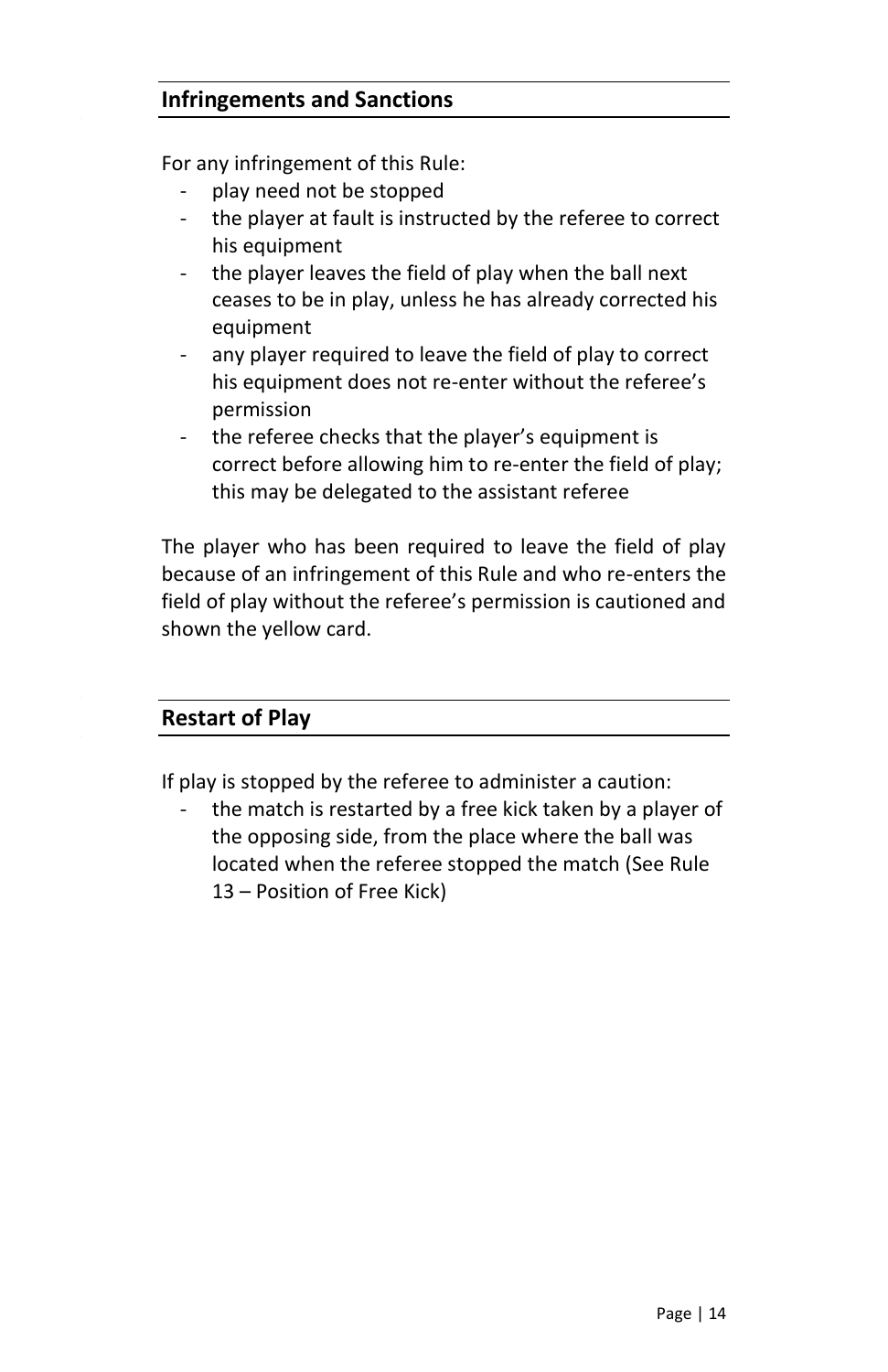#### **Infringements and Sanctions**

For any infringement of this Rule:

- play need not be stopped
- the player at fault is instructed by the referee to correct his equipment
- the player leaves the field of play when the ball next ceases to be in play, unless he has already corrected his equipment
- any player required to leave the field of play to correct his equipment does not re-enter without the referee's permission
- the referee checks that the player's equipment is correct before allowing him to re-enter the field of play; this may be delegated to the assistant referee

The player who has been required to leave the field of play because of an infringement of this Rule and who re-enters the field of play without the referee's permission is cautioned and shown the yellow card.

#### **Restart of Play**

If play is stopped by the referee to administer a caution:

the match is restarted by a free kick taken by a player of the opposing side, from the place where the ball was located when the referee stopped the match (See Rule 13 – Position of Free Kick)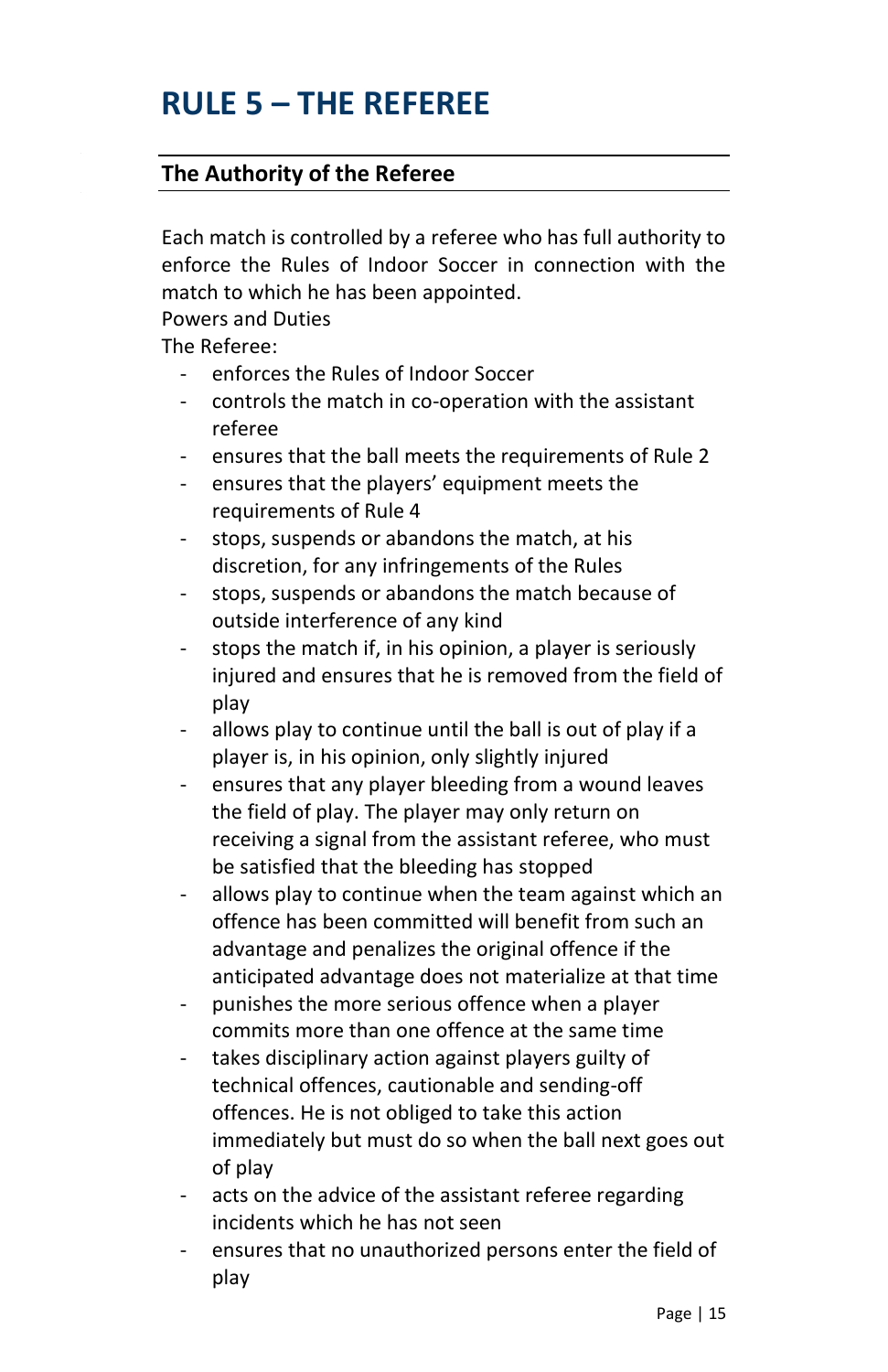## <span id="page-14-0"></span>**RULE 5 – THE REFEREE**

#### **The Authority of the Referee**

Each match is controlled by a referee who has full authority to enforce the Rules of Indoor Soccer in connection with the match to which he has been appointed.

Powers and Duties

The Referee:

- enforces the Rules of Indoor Soccer
- controls the match in co-operation with the assistant referee
- ensures that the ball meets the requirements of Rule 2
- ensures that the players' equipment meets the requirements of Rule 4
- stops, suspends or abandons the match, at his discretion, for any infringements of the Rules
- stops, suspends or abandons the match because of outside interference of any kind
- stops the match if, in his opinion, a player is seriously injured and ensures that he is removed from the field of play
- allows play to continue until the ball is out of play if a player is, in his opinion, only slightly injured
- ensures that any player bleeding from a wound leaves the field of play. The player may only return on receiving a signal from the assistant referee, who must be satisfied that the bleeding has stopped
- allows play to continue when the team against which an offence has been committed will benefit from such an advantage and penalizes the original offence if the anticipated advantage does not materialize at that time
- punishes the more serious offence when a player commits more than one offence at the same time
- takes disciplinary action against players guilty of technical offences, cautionable and sending-off offences. He is not obliged to take this action immediately but must do so when the ball next goes out of play
- acts on the advice of the assistant referee regarding incidents which he has not seen
- ensures that no unauthorized persons enter the field of play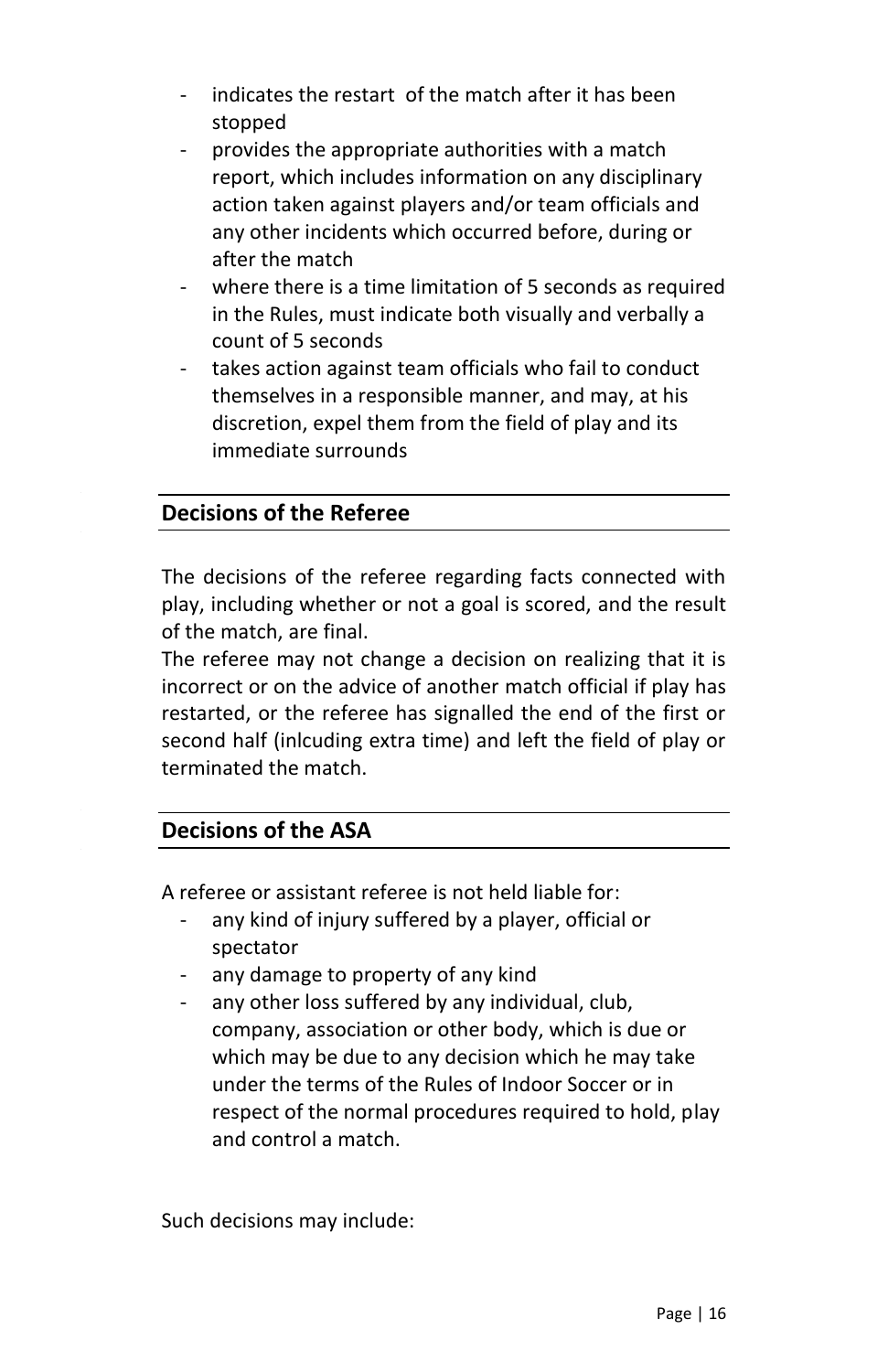- indicates the restart of the match after it has been stopped
- provides the appropriate authorities with a match report, which includes information on any disciplinary action taken against players and/or team officials and any other incidents which occurred before, during or after the match
- where there is a time limitation of 5 seconds as required in the Rules, must indicate both visually and verbally a count of 5 seconds
- takes action against team officials who fail to conduct themselves in a responsible manner, and may, at his discretion, expel them from the field of play and its immediate surrounds

#### **Decisions of the Referee**

The decisions of the referee regarding facts connected with play, including whether or not a goal is scored, and the result of the match, are final.

The referee may not change a decision on realizing that it is incorrect or on the advice of another match official if play has restarted, or the referee has signalled the end of the first or second half (inlcuding extra time) and left the field of play or terminated the match.

#### **Decisions of the ASA**

A referee or assistant referee is not held liable for:

- any kind of injury suffered by a player, official or spectator
- any damage to property of any kind
- any other loss suffered by any individual, club, company, association or other body, which is due or which may be due to any decision which he may take under the terms of the Rules of Indoor Soccer or in respect of the normal procedures required to hold, play and control a match.

Such decisions may include: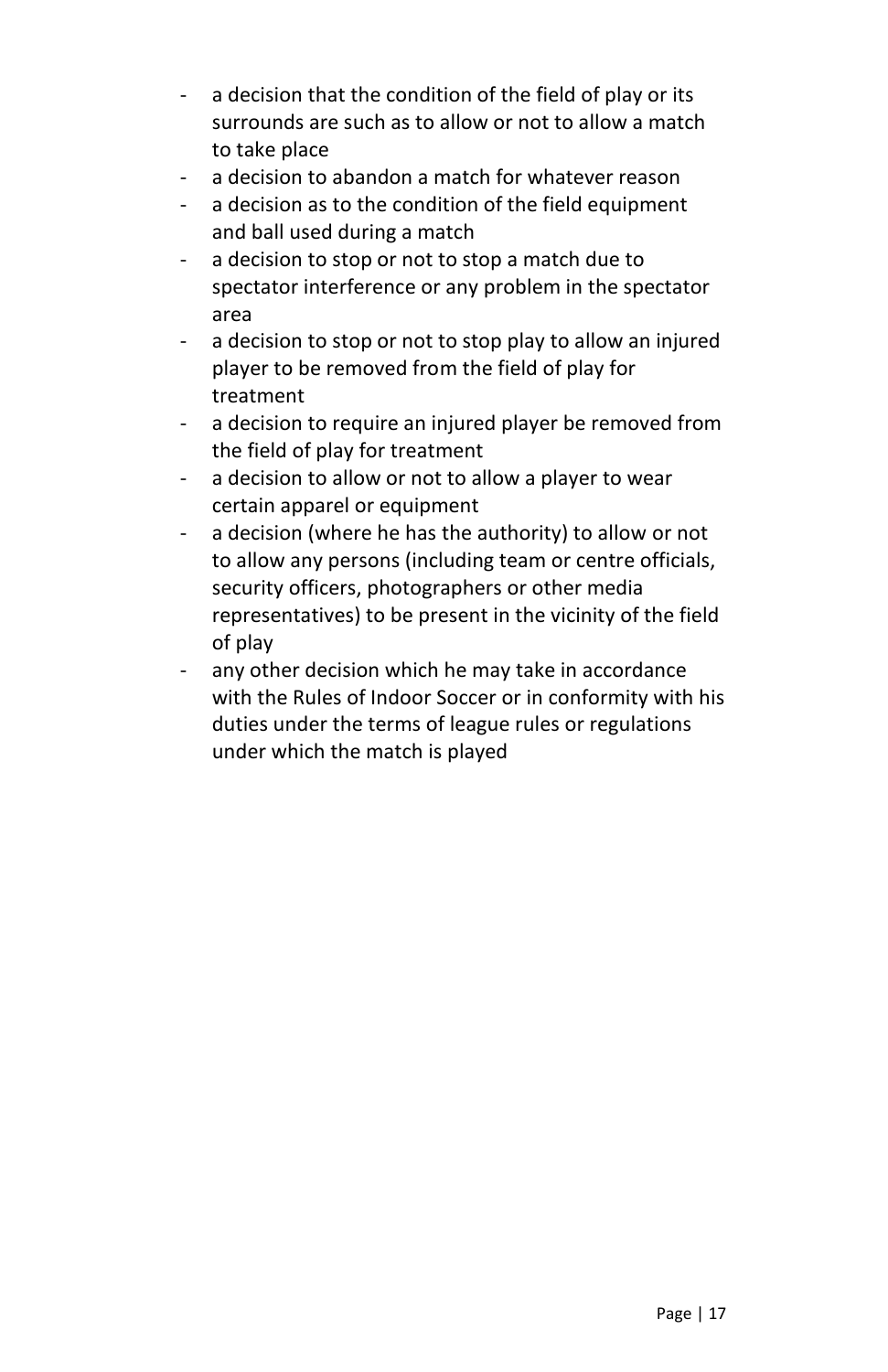- a decision that the condition of the field of play or its surrounds are such as to allow or not to allow a match to take place
- a decision to abandon a match for whatever reason
- a decision as to the condition of the field equipment and ball used during a match
- a decision to stop or not to stop a match due to spectator interference or any problem in the spectator area
- a decision to stop or not to stop play to allow an injured player to be removed from the field of play for treatment
- a decision to require an injured player be removed from the field of play for treatment
- a decision to allow or not to allow a player to wear certain apparel or equipment
- a decision (where he has the authority) to allow or not to allow any persons (including team or centre officials, security officers, photographers or other media representatives) to be present in the vicinity of the field of play
- any other decision which he may take in accordance with the Rules of Indoor Soccer or in conformity with his duties under the terms of league rules or regulations under which the match is played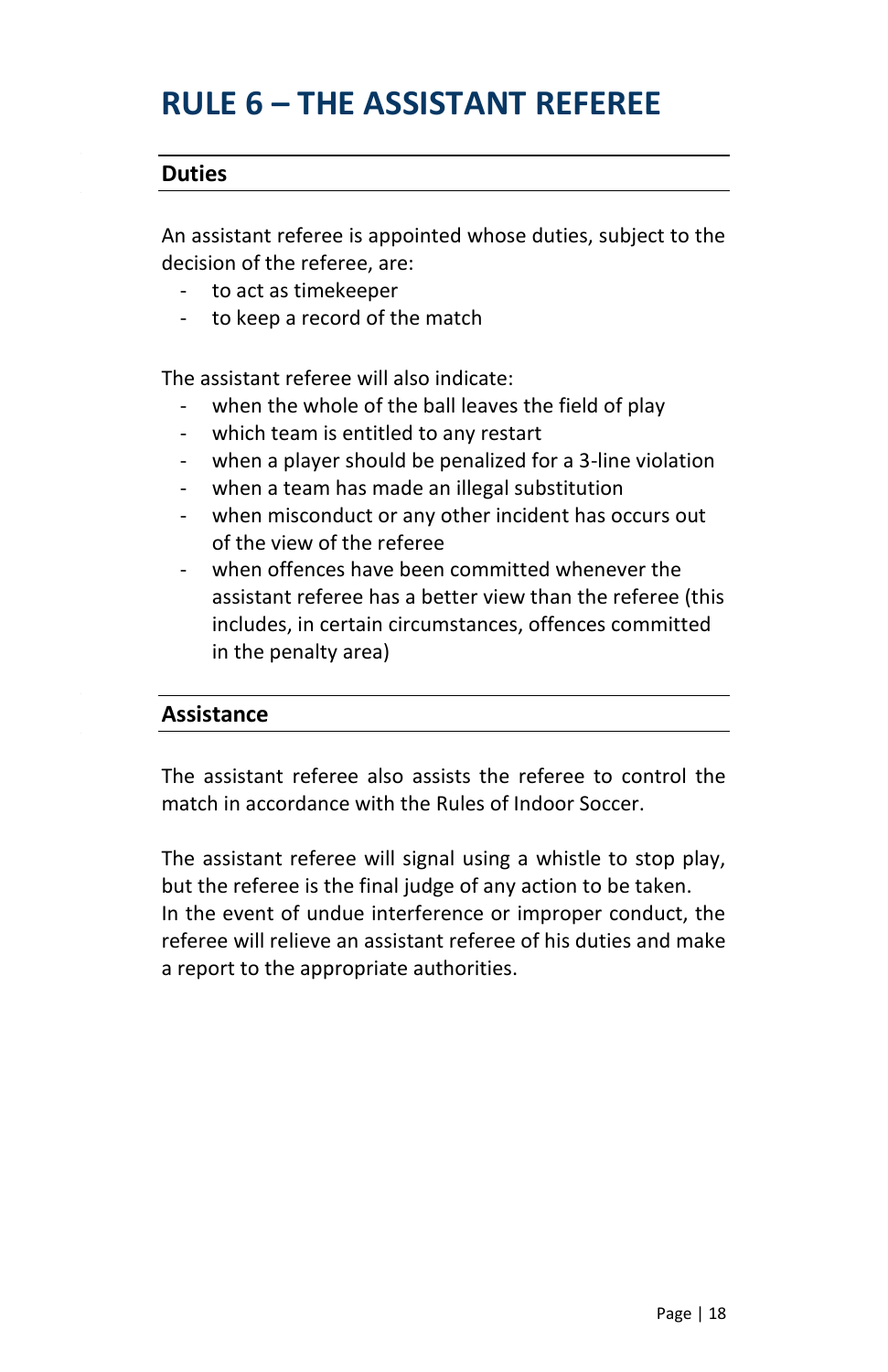## <span id="page-17-0"></span>**RULE 6 – THE ASSISTANT REFEREE**

#### **Duties**

An assistant referee is appointed whose duties, subject to the decision of the referee, are:

- to act as timekeeper
- to keep a record of the match

The assistant referee will also indicate:

- when the whole of the ball leaves the field of play
- which team is entitled to any restart
- when a player should be penalized for a 3-line violation
- when a team has made an illegal substitution
- when misconduct or any other incident has occurs out of the view of the referee
- when offences have been committed whenever the assistant referee has a better view than the referee (this includes, in certain circumstances, offences committed in the penalty area)

#### **Assistance**

The assistant referee also assists the referee to control the match in accordance with the Rules of Indoor Soccer.

The assistant referee will signal using a whistle to stop play, but the referee is the final judge of any action to be taken. In the event of undue interference or improper conduct, the referee will relieve an assistant referee of his duties and make a report to the appropriate authorities.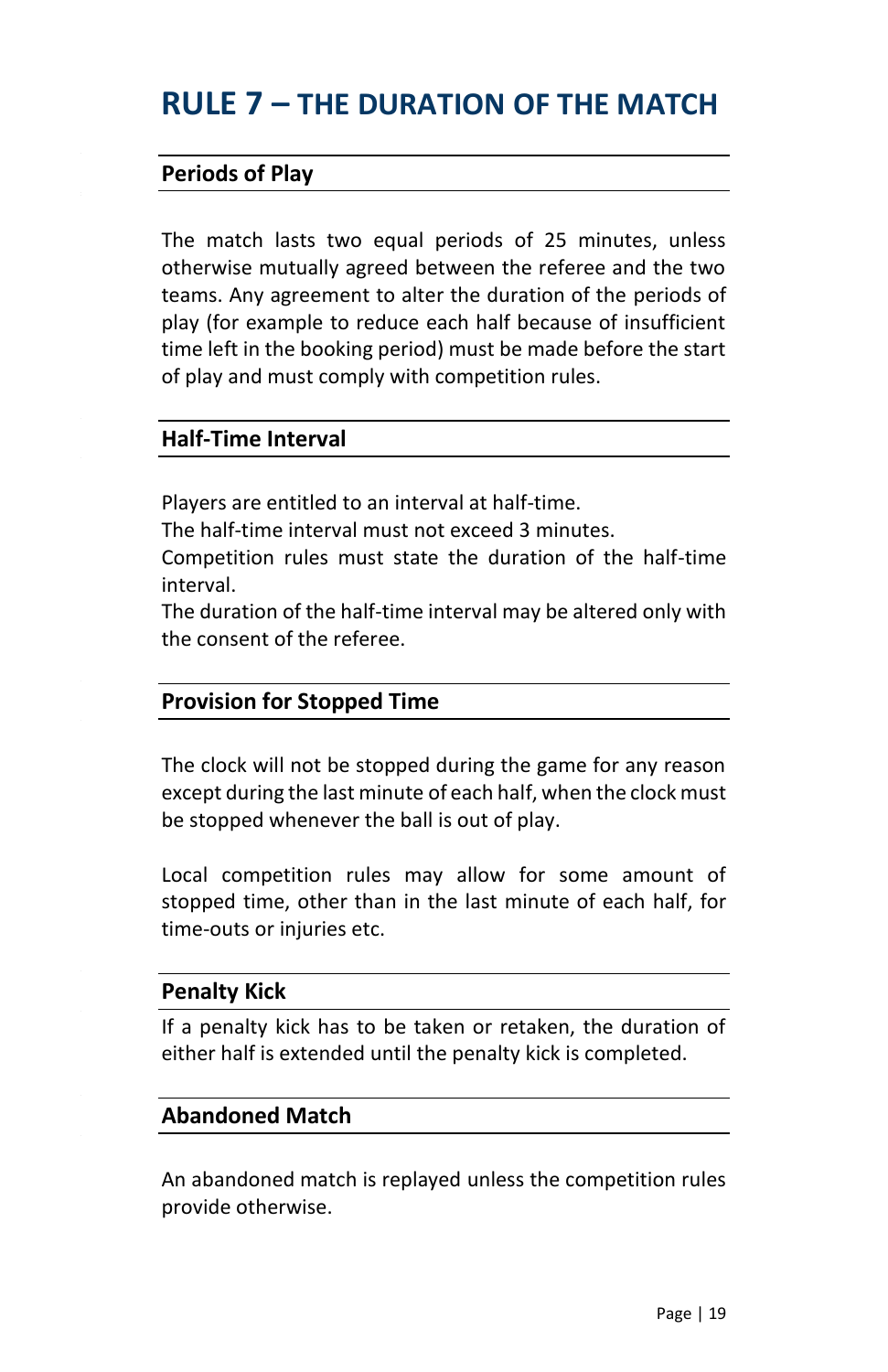## <span id="page-18-0"></span>**RULE 7 – THE DURATION OF THE MATCH**

#### **Periods of Play**

The match lasts two equal periods of 25 minutes, unless otherwise mutually agreed between the referee and the two teams. Any agreement to alter the duration of the periods of play (for example to reduce each half because of insufficient time left in the booking period) must be made before the start of play and must comply with competition rules.

#### **Half-Time Interval**

Players are entitled to an interval at half-time.

The half-time interval must not exceed 3 minutes.

Competition rules must state the duration of the half-time interval.

The duration of the half-time interval may be altered only with the consent of the referee.

#### **Provision for Stopped Time**

The clock will not be stopped during the game for any reason except during the last minute of each half, when the clock must be stopped whenever the ball is out of play.

Local competition rules may allow for some amount of stopped time, other than in the last minute of each half, for time-outs or injuries etc.

#### **Penalty Kick**

If a penalty kick has to be taken or retaken, the duration of either half is extended until the penalty kick is completed.

#### **Abandoned Match**

An abandoned match is replayed unless the competition rules provide otherwise.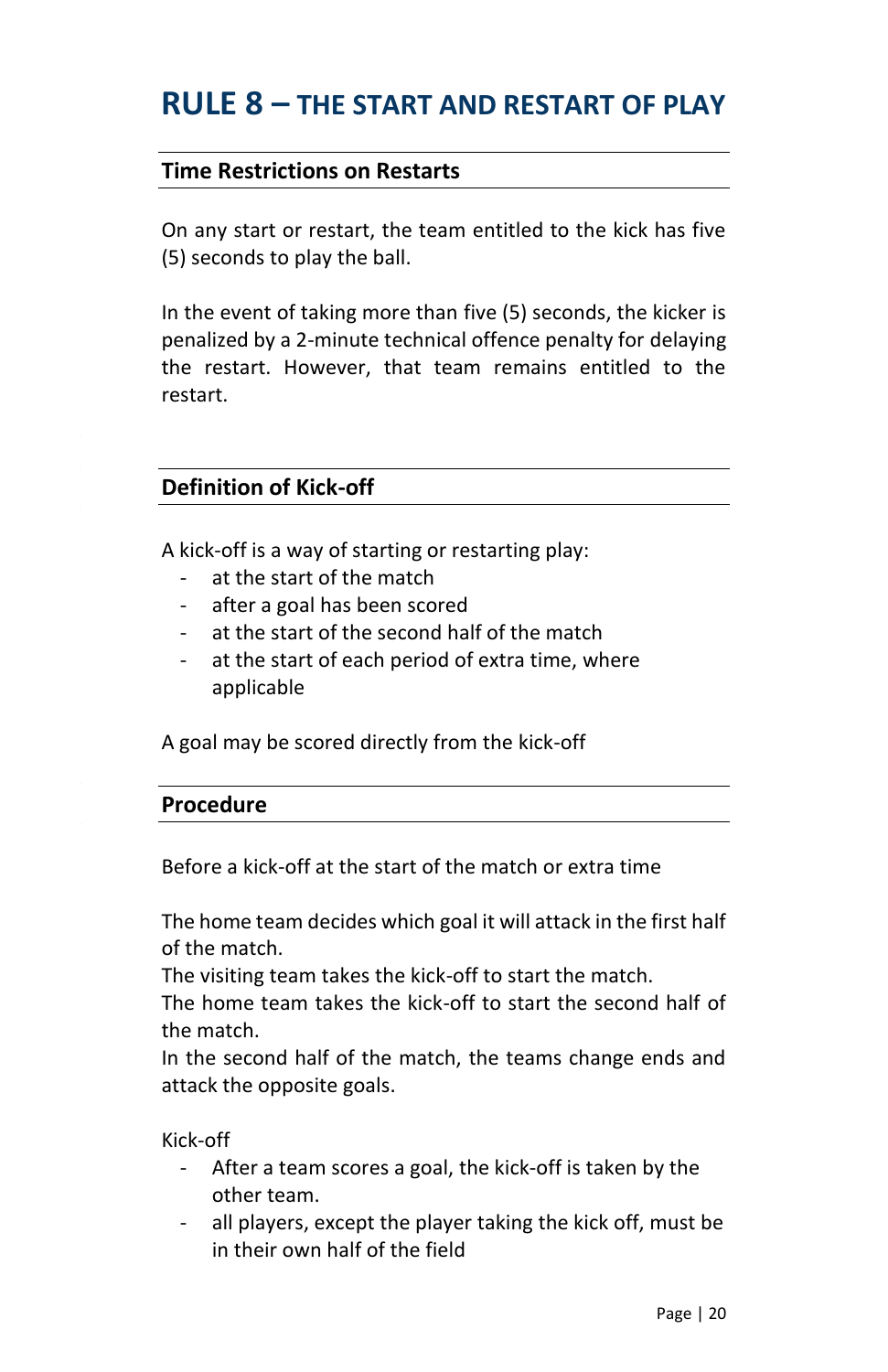## <span id="page-19-0"></span>**RULE 8 – THE START AND RESTART OF PLAY**

#### **Time Restrictions on Restarts**

On any start or restart, the team entitled to the kick has five (5) seconds to play the ball.

In the event of taking more than five (5) seconds, the kicker is penalized by a 2-minute technical offence penalty for delaying the restart. However, that team remains entitled to the restart.

#### **Definition of Kick-off**

A kick-off is a way of starting or restarting play:

- at the start of the match
- after a goal has been scored
- at the start of the second half of the match
- at the start of each period of extra time, where applicable

A goal may be scored directly from the kick-off

#### **Procedure**

Before a kick-off at the start of the match or extra time

The home team decides which goal it will attack in the first half of the match.

The visiting team takes the kick-off to start the match.

The home team takes the kick-off to start the second half of the match.

In the second half of the match, the teams change ends and attack the opposite goals.

Kick-off

- After a team scores a goal, the kick-off is taken by the other team.
- all players, except the player taking the kick off, must be in their own half of the field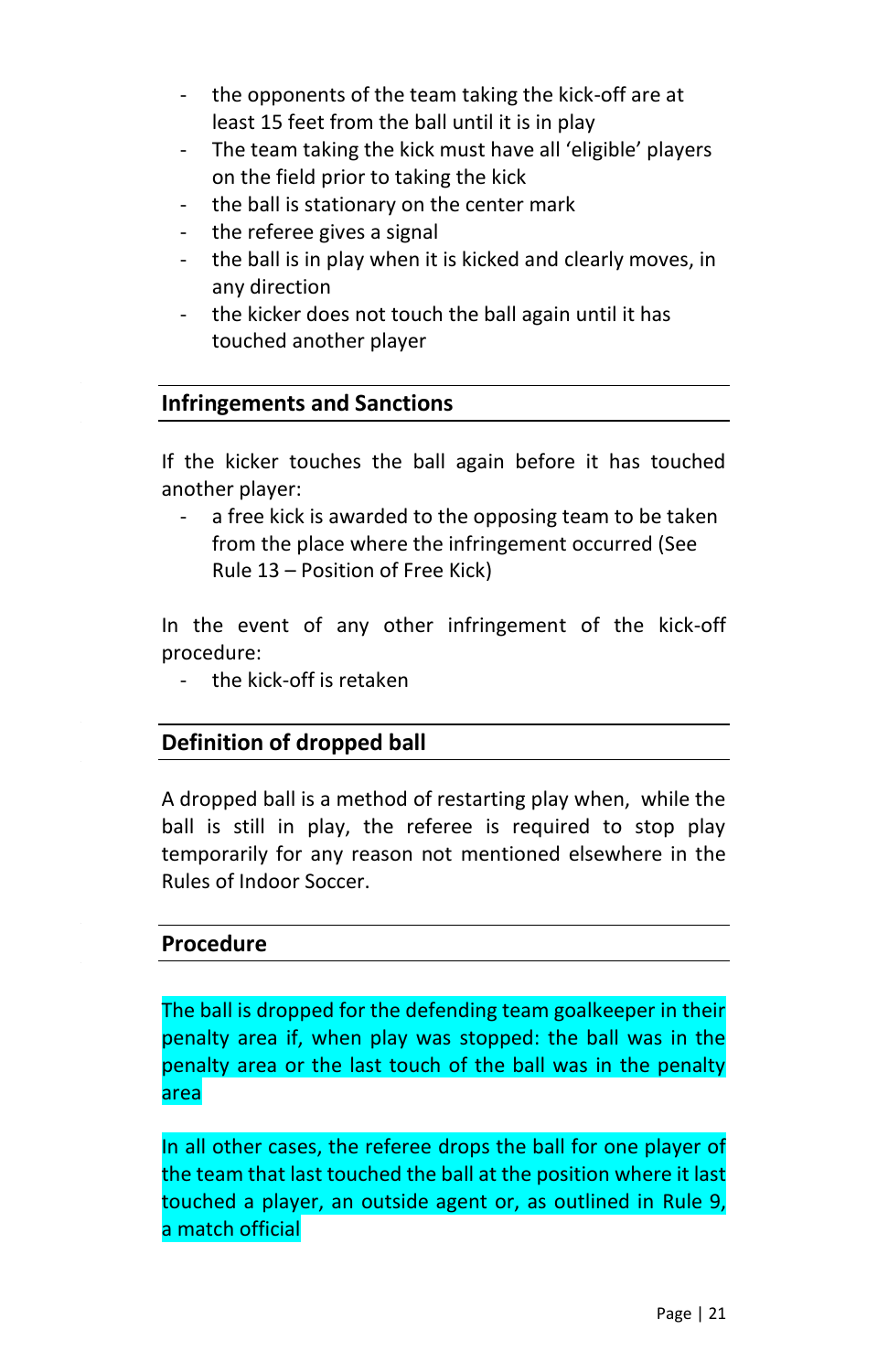- the opponents of the team taking the kick-off are at least 15 feet from the ball until it is in play
- The team taking the kick must have all 'eligible' players on the field prior to taking the kick
- the ball is stationary on the center mark
- the referee gives a signal
- the ball is in play when it is kicked and clearly moves, in any direction
- the kicker does not touch the ball again until it has touched another player

#### **Infringements and Sanctions**

If the kicker touches the ball again before it has touched another player:

- a free kick is awarded to the opposing team to be taken from the place where the infringement occurred (See Rule 13 – Position of Free Kick)

In the event of any other infringement of the kick-off procedure:

- the kick-off is retaken

#### **Definition of dropped ball**

A dropped ball is a method of restarting play when, while the ball is still in play, the referee is required to stop play temporarily for any reason not mentioned elsewhere in the Rules of Indoor Soccer.

#### **Procedure**

The ball is dropped for the defending team goalkeeper in their penalty area if, when play was stopped: the ball was in the penalty area or the last touch of the ball was in the penalty area

In all other cases, the referee drops the ball for one player of the team that last touched the ball at the position where it last touched a player, an outside agent or, as outlined in Rule 9, a match official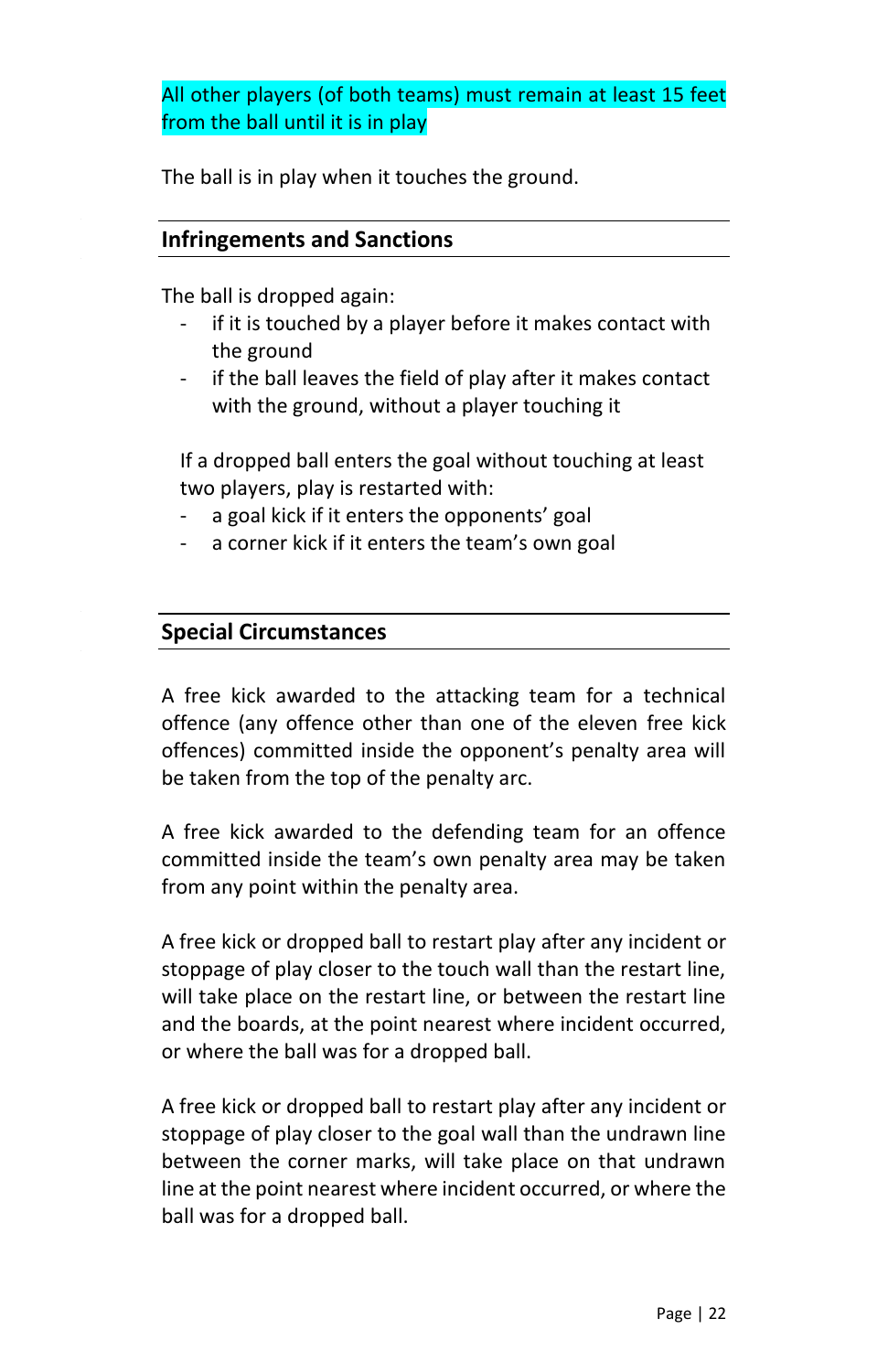All other players (of both teams) must remain at least 15 feet from the ball until it is in play

The ball is in play when it touches the ground.

#### **Infringements and Sanctions**

The ball is dropped again:

- if it is touched by a player before it makes contact with the ground
- if the ball leaves the field of play after it makes contact with the ground, without a player touching it

If a dropped ball enters the goal without touching at least two players, play is restarted with:

- a goal kick if it enters the opponents' goal
- a corner kick if it enters the team's own goal

#### **Special Circumstances**

A free kick awarded to the attacking team for a technical offence (any offence other than one of the eleven free kick offences) committed inside the opponent's penalty area will be taken from the top of the penalty arc.

A free kick awarded to the defending team for an offence committed inside the team's own penalty area may be taken from any point within the penalty area.

A free kick or dropped ball to restart play after any incident or stoppage of play closer to the touch wall than the restart line, will take place on the restart line, or between the restart line and the boards, at the point nearest where incident occurred, or where the ball was for a dropped ball.

A free kick or dropped ball to restart play after any incident or stoppage of play closer to the goal wall than the undrawn line between the corner marks, will take place on that undrawn line at the point nearest where incident occurred, or where the ball was for a dropped ball.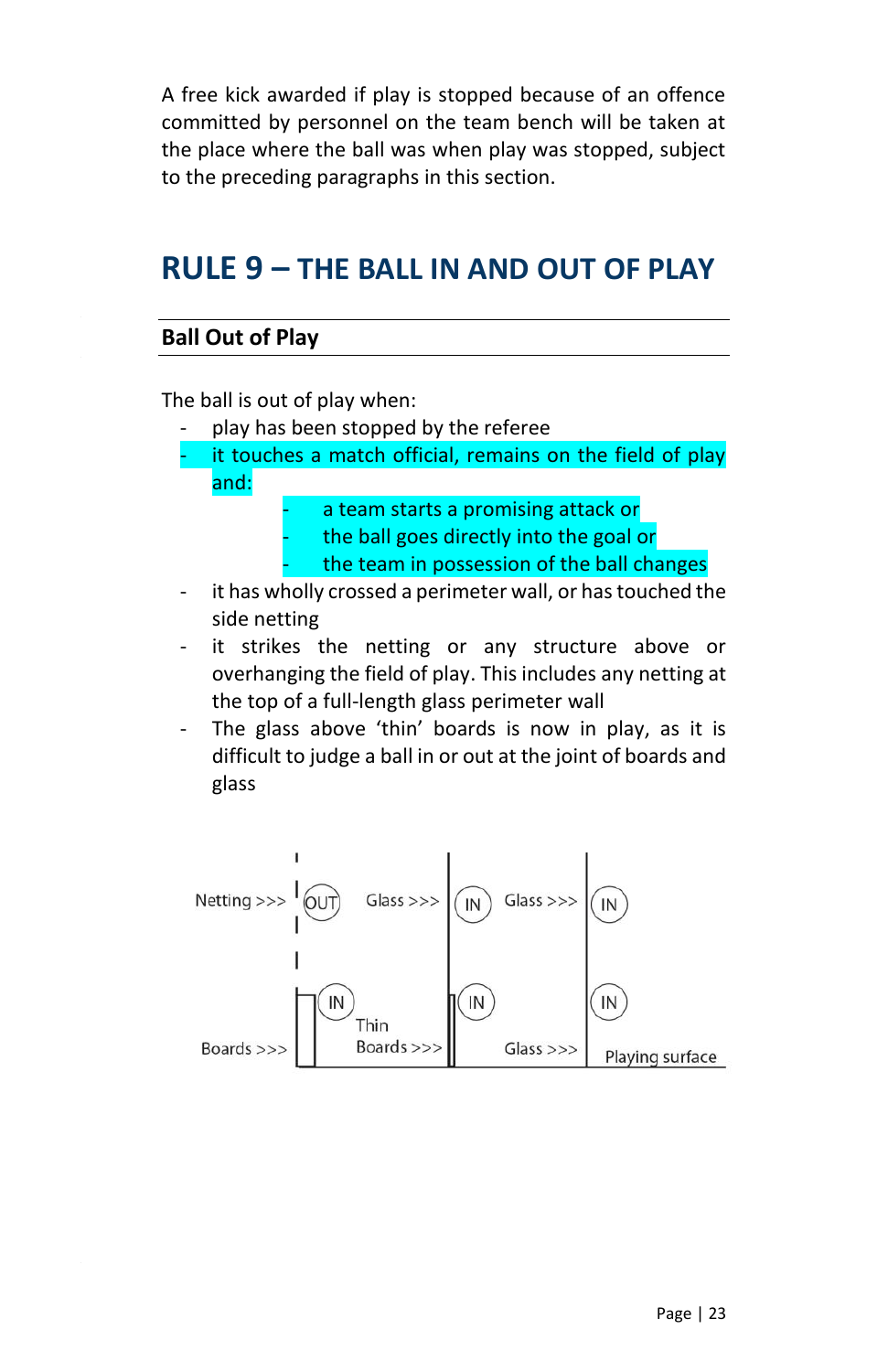<span id="page-22-0"></span>A free kick awarded if play is stopped because of an offence committed by personnel on the team bench will be taken at the place where the ball was when play was stopped, subject to the preceding paragraphs in this section.

## **RULE 9 – THE BALL IN AND OUT OF PLAY**

#### **Ball Out of Play**

The ball is out of play when:

- play has been stopped by the referee
- it touches a match official, remains on the field of play and:

a team starts a promising attack or the ball goes directly into the goal or

- the team in possession of the ball changes
- it has wholly crossed a perimeter wall, or has touched the side netting
- it strikes the netting or any structure above or overhanging the field of play. This includes any netting at the top of a full-length glass perimeter wall
- The glass above 'thin' boards is now in play, as it is difficult to judge a ball in or out at the joint of boards and glass

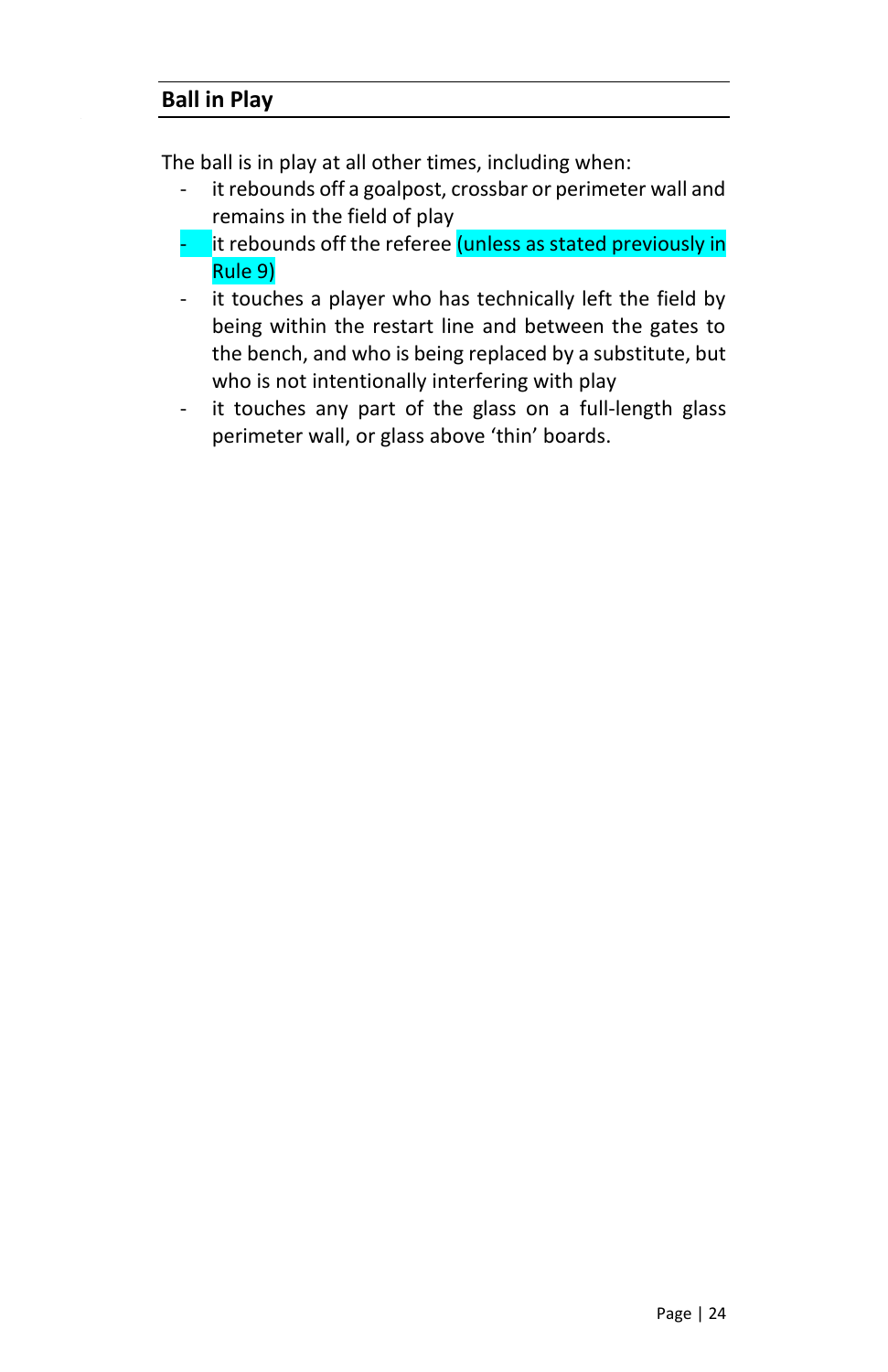#### **Ball in Play**

The ball is in play at all other times, including when:

- it rebounds off a goalpost, crossbar or perimeter wall and remains in the field of play
- it rebounds off the referee (unless as stated previously in Rule 9)
- it touches a player who has technically left the field by being within the restart line and between the gates to the bench, and who is being replaced by a substitute, but who is not intentionally interfering with play
- it touches any part of the glass on a full-length glass perimeter wall, or glass above 'thin' boards.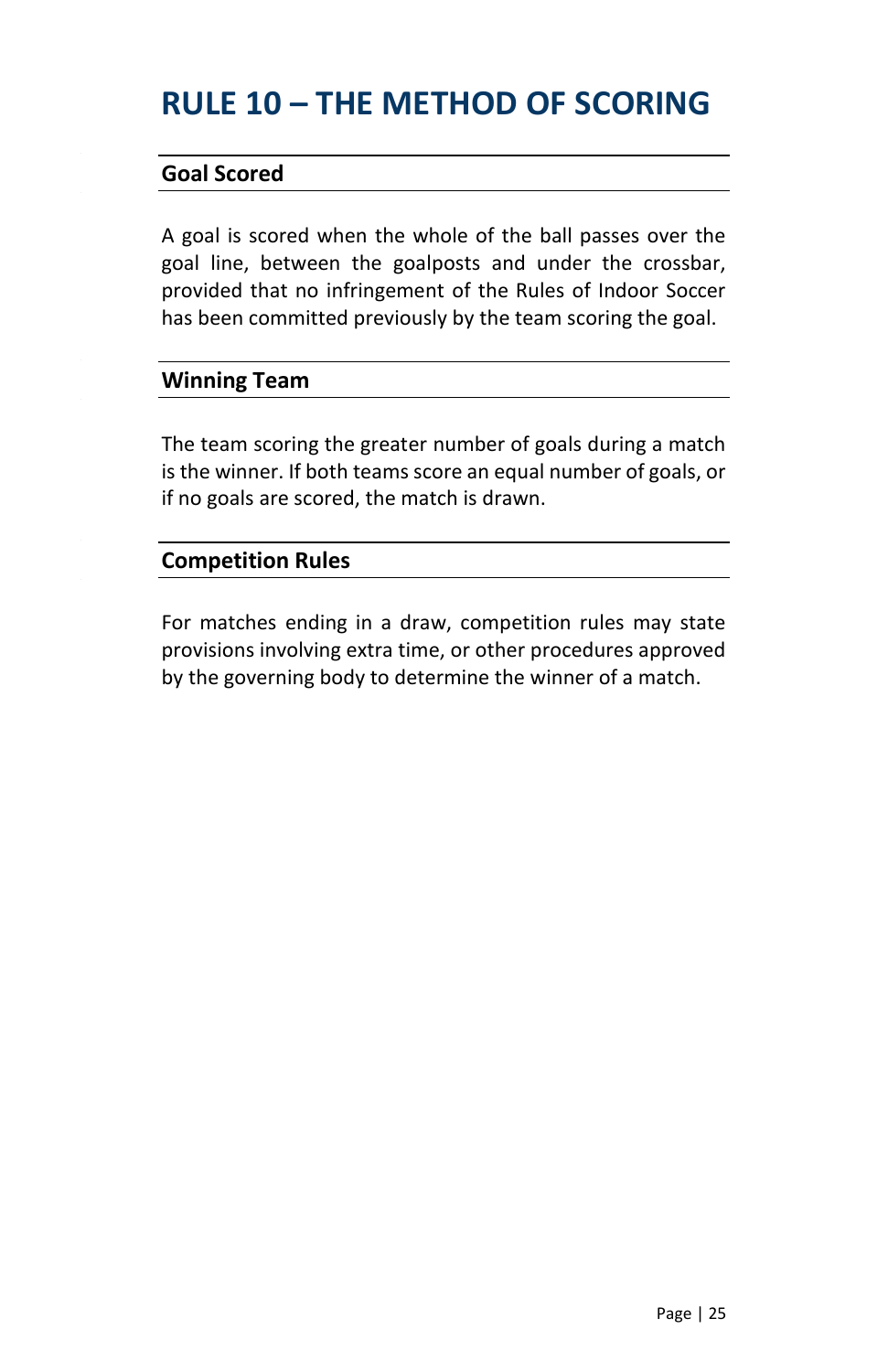## <span id="page-24-0"></span>**RULE 10 – THE METHOD OF SCORING**

#### **Goal Scored**

A goal is scored when the whole of the ball passes over the goal line, between the goalposts and under the crossbar, provided that no infringement of the Rules of Indoor Soccer has been committed previously by the team scoring the goal.

#### **Winning Team**

The team scoring the greater number of goals during a match is the winner. If both teams score an equal number of goals, or if no goals are scored, the match is drawn.

#### **Competition Rules**

For matches ending in a draw, competition rules may state provisions involving extra time, or other procedures approved by the governing body to determine the winner of a match.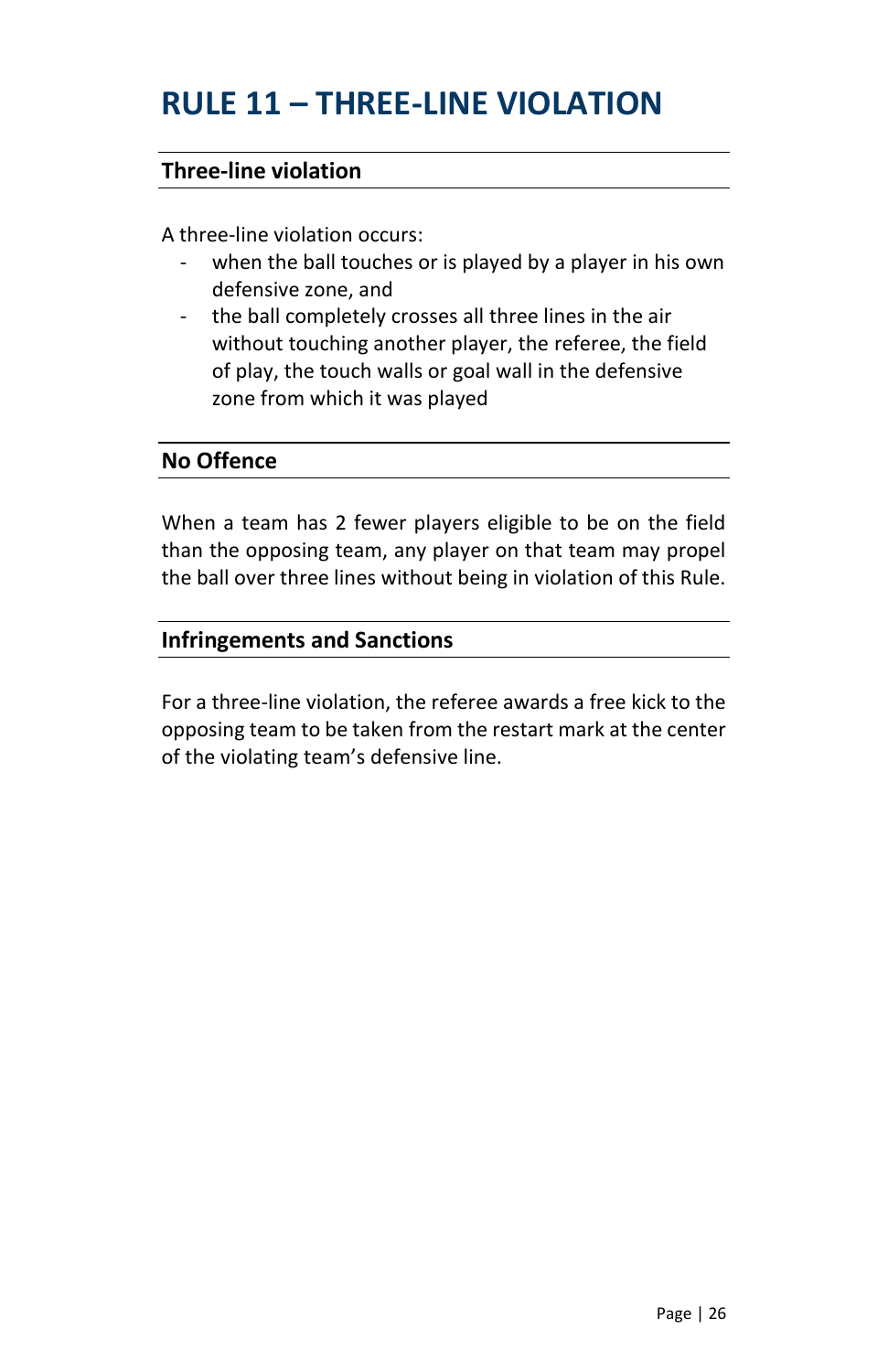## <span id="page-25-0"></span>**RULE 11 – THREE-LINE VIOLATION**

#### **Three-line violation**

A three-line violation occurs:

- when the ball touches or is played by a player in his own defensive zone, and
- the ball completely crosses all three lines in the air without touching another player, the referee, the field of play, the touch walls or goal wall in the defensive zone from which it was played

#### **No Offence**

When a team has 2 fewer players eligible to be on the field than the opposing team, any player on that team may propel the ball over three lines without being in violation of this Rule.

#### **Infringements and Sanctions**

For a three-line violation, the referee awards a free kick to the opposing team to be taken from the restart mark at the center of the violating team's defensive line.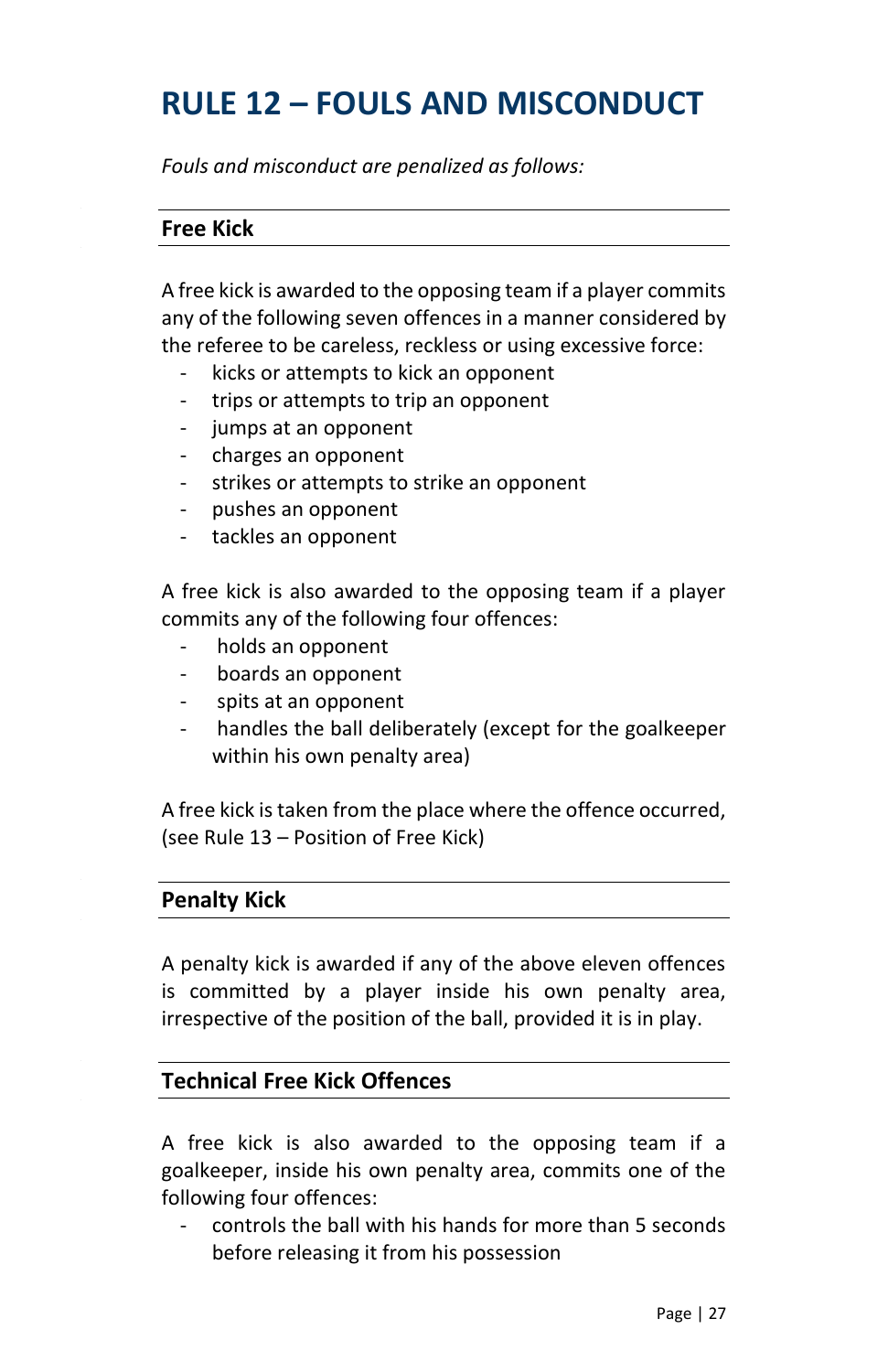## <span id="page-26-0"></span>**RULE 12 – FOULS AND MISCONDUCT**

*Fouls and misconduct are penalized as follows:*

#### **Free Kick**

A free kick is awarded to the opposing team if a player commits any of the following seven offences in a manner considered by the referee to be careless, reckless or using excessive force:

- kicks or attempts to kick an opponent
- trips or attempts to trip an opponent
- jumps at an opponent
- charges an opponent
- strikes or attempts to strike an opponent
- pushes an opponent
- tackles an opponent

A free kick is also awarded to the opposing team if a player commits any of the following four offences:

- holds an opponent
- boards an opponent
- spits at an opponent
- handles the ball deliberately (except for the goalkeeper within his own penalty area)

A free kick is taken from the place where the offence occurred, (see Rule 13 – Position of Free Kick)

#### **Penalty Kick**

A penalty kick is awarded if any of the above eleven offences is committed by a player inside his own penalty area, irrespective of the position of the ball, provided it is in play.

#### **Technical Free Kick Offences**

A free kick is also awarded to the opposing team if a goalkeeper, inside his own penalty area, commits one of the following four offences:

controls the ball with his hands for more than 5 seconds before releasing it from his possession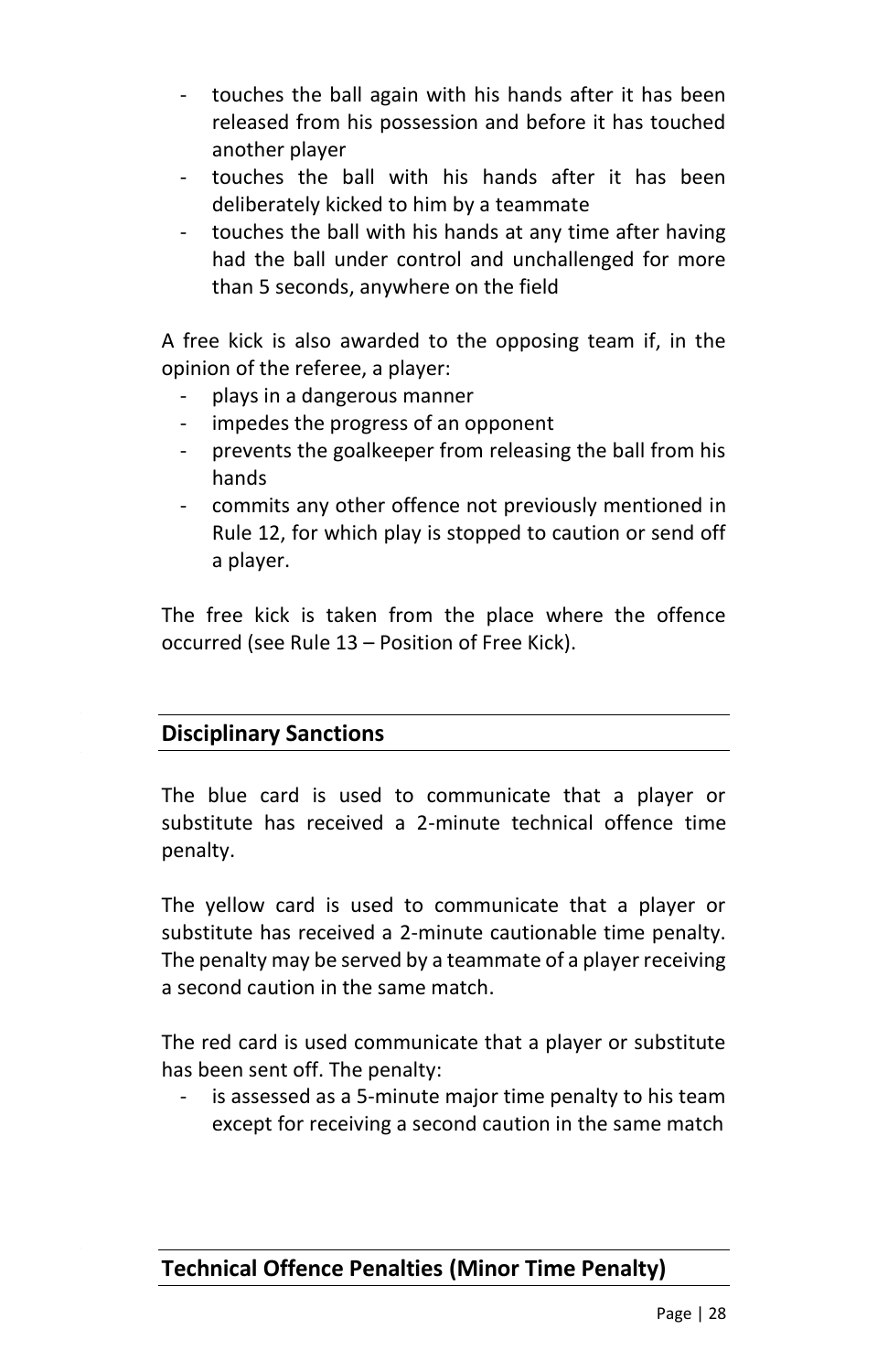- touches the ball again with his hands after it has been released from his possession and before it has touched another player
- touches the ball with his hands after it has been deliberately kicked to him by a teammate
- touches the ball with his hands at any time after having had the ball under control and unchallenged for more than 5 seconds, anywhere on the field

A free kick is also awarded to the opposing team if, in the opinion of the referee, a player:

- plays in a dangerous manner
- impedes the progress of an opponent
- prevents the goalkeeper from releasing the ball from his hands
- commits any other offence not previously mentioned in Rule 12, for which play is stopped to caution or send off a player.

The free kick is taken from the place where the offence occurred (see Rule 13 – Position of Free Kick).

#### **Disciplinary Sanctions**

The blue card is used to communicate that a player or substitute has received a 2-minute technical offence time penalty.

The yellow card is used to communicate that a player or substitute has received a 2-minute cautionable time penalty. The penalty may be served by a teammate of a player receiving a second caution in the same match.

The red card is used communicate that a player or substitute has been sent off. The penalty:

is assessed as a 5-minute major time penalty to his team except for receiving a second caution in the same match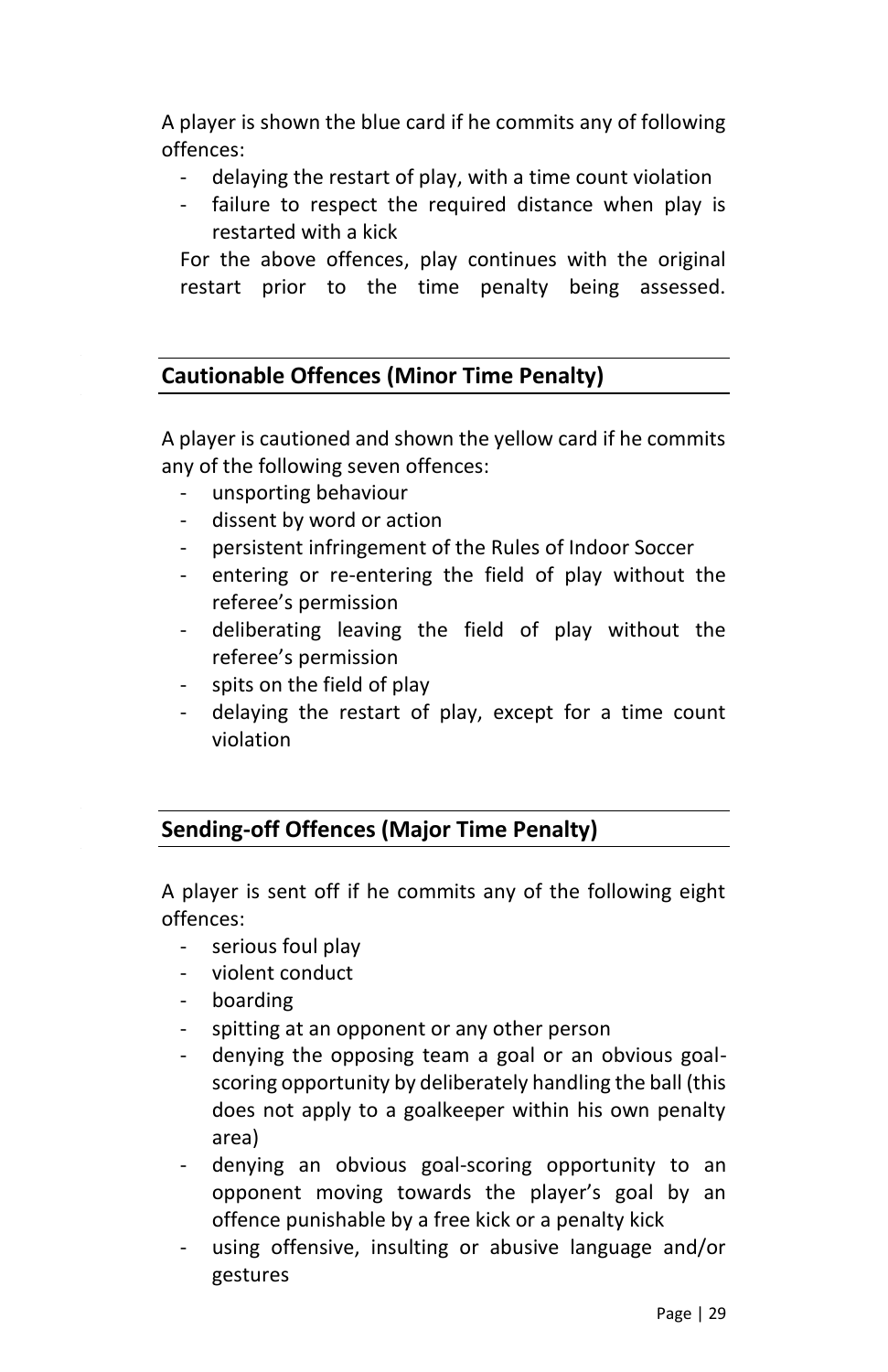A player is shown the blue card if he commits any of following offences:

- delaying the restart of play, with a time count violation
- failure to respect the required distance when play is restarted with a kick

For the above offences, play continues with the original restart prior to the time penalty being assessed.

### **Cautionable Offences (Minor Time Penalty)**

A player is cautioned and shown the yellow card if he commits any of the following seven offences:

- unsporting behaviour
- dissent by word or action
- persistent infringement of the Rules of Indoor Soccer
- entering or re-entering the field of play without the referee's permission
- deliberating leaving the field of play without the referee's permission
- spits on the field of play
- delaying the restart of play, except for a time count violation

### **Sending-off Offences (Major Time Penalty)**

A player is sent off if he commits any of the following eight offences:

- serious foul play
- violent conduct
- boarding
- spitting at an opponent or any other person
- denying the opposing team a goal or an obvious goalscoring opportunity by deliberately handling the ball (this does not apply to a goalkeeper within his own penalty area)
- denying an obvious goal-scoring opportunity to an opponent moving towards the player's goal by an offence punishable by a free kick or a penalty kick
- using offensive, insulting or abusive language and/or gestures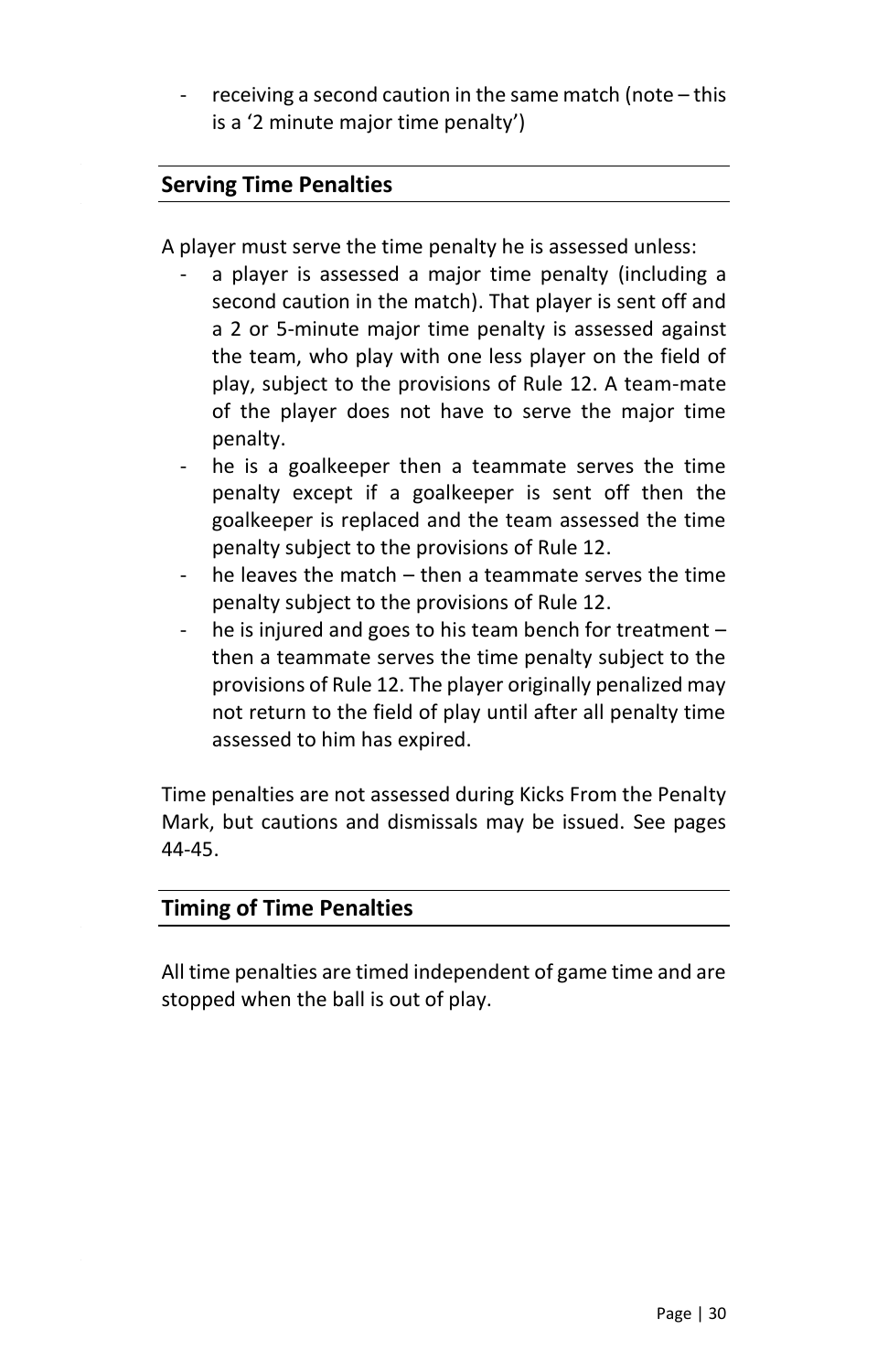receiving a second caution in the same match (note – this is a '2 minute major time penalty')

#### **Serving Time Penalties**

A player must serve the time penalty he is assessed unless:

- a player is assessed a major time penalty (including a second caution in the match). That player is sent off and a 2 or 5-minute major time penalty is assessed against the team, who play with one less player on the field of play, subject to the provisions of Rule 12. A team-mate of the player does not have to serve the major time penalty.
- he is a goalkeeper then a teammate serves the time penalty except if a goalkeeper is sent off then the goalkeeper is replaced and the team assessed the time penalty subject to the provisions of Rule 12.
- he leaves the match then a teammate serves the time penalty subject to the provisions of Rule 12.
- he is injured and goes to his team bench for treatment then a teammate serves the time penalty subject to the provisions of Rule 12. The player originally penalized may not return to the field of play until after all penalty time assessed to him has expired.

Time penalties are not assessed during Kicks From the Penalty Mark, but cautions and dismissals may be issued. See pages 44-45.

#### **Timing of Time Penalties**

All time penalties are timed independent of game time and are stopped when the ball is out of play.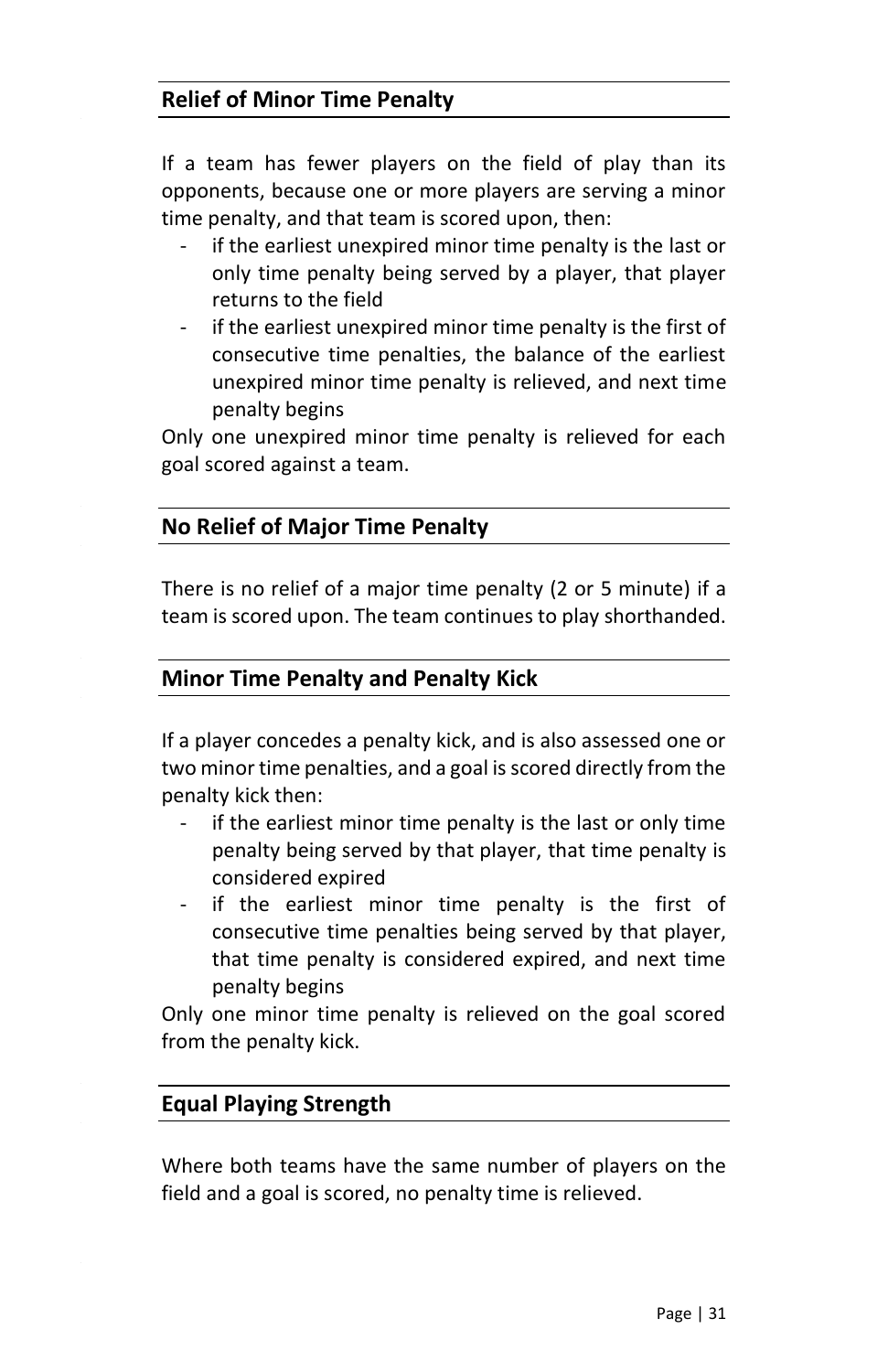#### **Relief of Minor Time Penalty**

If a team has fewer players on the field of play than its opponents, because one or more players are serving a minor time penalty, and that team is scored upon, then:

- if the earliest unexpired minor time penalty is the last or only time penalty being served by a player, that player returns to the field
- if the earliest unexpired minor time penalty is the first of consecutive time penalties, the balance of the earliest unexpired minor time penalty is relieved, and next time penalty begins

Only one unexpired minor time penalty is relieved for each goal scored against a team.

#### **No Relief of Major Time Penalty**

There is no relief of a major time penalty (2 or 5 minute) if a team is scored upon. The team continues to play shorthanded.

#### **Minor Time Penalty and Penalty Kick**

If a player concedes a penalty kick, and is also assessed one or two minor time penalties, and a goal is scored directly from the penalty kick then:

- if the earliest minor time penalty is the last or only time penalty being served by that player, that time penalty is considered expired
- if the earliest minor time penalty is the first of consecutive time penalties being served by that player, that time penalty is considered expired, and next time penalty begins

Only one minor time penalty is relieved on the goal scored from the penalty kick.

#### **Equal Playing Strength**

Where both teams have the same number of players on the field and a goal is scored, no penalty time is relieved.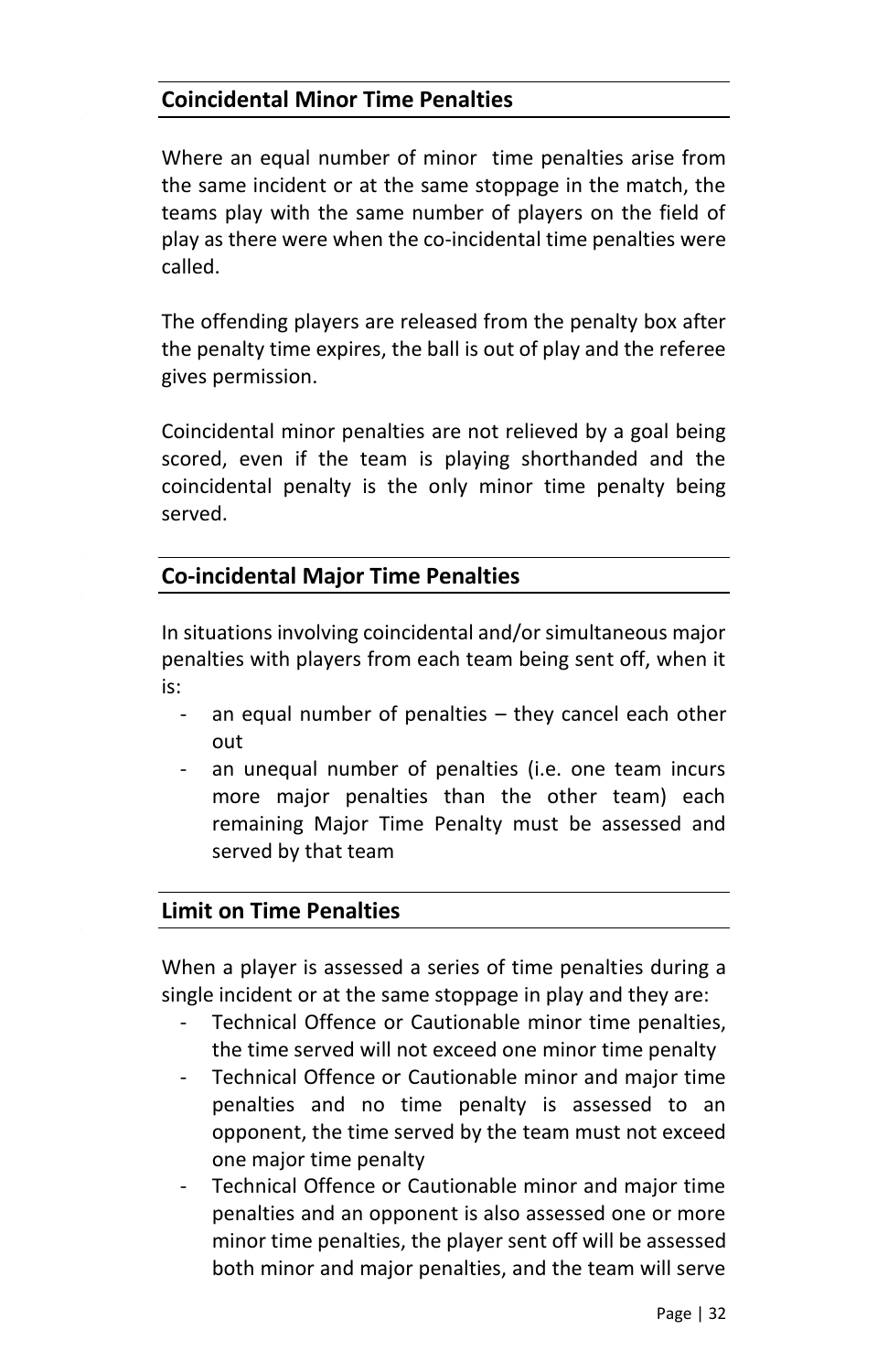#### **Coincidental Minor Time Penalties**

Where an equal number of minor time penalties arise from the same incident or at the same stoppage in the match, the teams play with the same number of players on the field of play as there were when the co-incidental time penalties were called.

The offending players are released from the penalty box after the penalty time expires, the ball is out of play and the referee gives permission.

Coincidental minor penalties are not relieved by a goal being scored, even if the team is playing shorthanded and the coincidental penalty is the only minor time penalty being served.

#### **Co-incidental Major Time Penalties**

In situations involving coincidental and/or simultaneous major penalties with players from each team being sent off, when it is:

- an equal number of penalties  $-$  they cancel each other out
- an unequal number of penalties (i.e. one team incurs more major penalties than the other team) each remaining Major Time Penalty must be assessed and served by that team

#### **Limit on Time Penalties**

When a player is assessed a series of time penalties during a single incident or at the same stoppage in play and they are:

- Technical Offence or Cautionable minor time penalties, the time served will not exceed one minor time penalty
- Technical Offence or Cautionable minor and major time penalties and no time penalty is assessed to an opponent, the time served by the team must not exceed one major time penalty
- Technical Offence or Cautionable minor and major time penalties and an opponent is also assessed one or more minor time penalties, the player sent off will be assessed both minor and major penalties, and the team will serve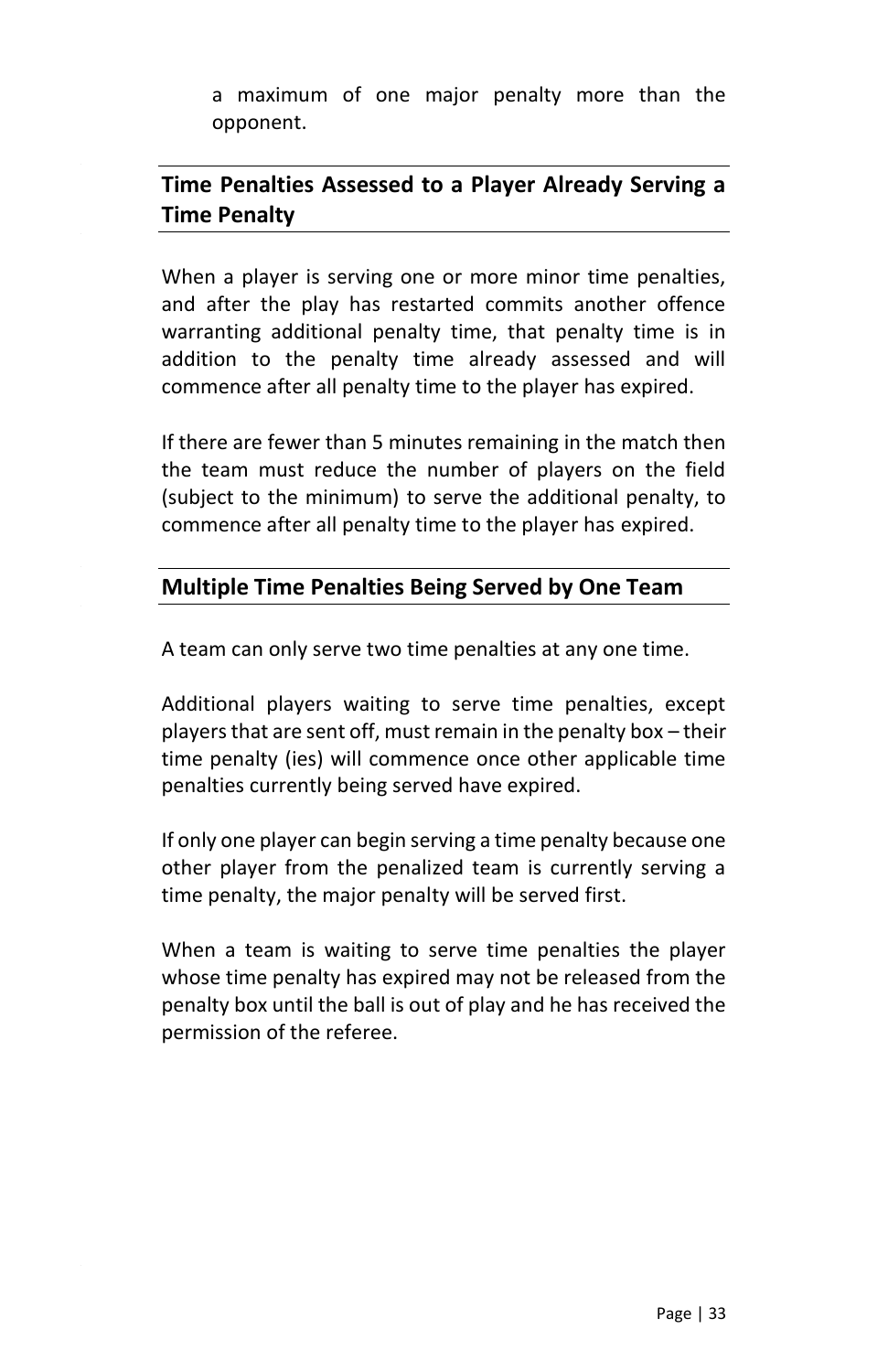a maximum of one major penalty more than the opponent.

### **Time Penalties Assessed to a Player Already Serving a Time Penalty**

When a player is serving one or more minor time penalties, and after the play has restarted commits another offence warranting additional penalty time, that penalty time is in addition to the penalty time already assessed and will commence after all penalty time to the player has expired.

If there are fewer than 5 minutes remaining in the match then the team must reduce the number of players on the field (subject to the minimum) to serve the additional penalty, to commence after all penalty time to the player has expired.

#### **Multiple Time Penalties Being Served by One Team**

A team can only serve two time penalties at any one time.

Additional players waiting to serve time penalties, except players that are sent off, must remain in the penalty box – their time penalty (ies) will commence once other applicable time penalties currently being served have expired.

If only one player can begin serving a time penalty because one other player from the penalized team is currently serving a time penalty, the major penalty will be served first.

When a team is waiting to serve time penalties the player whose time penalty has expired may not be released from the penalty box until the ball is out of play and he has received the permission of the referee.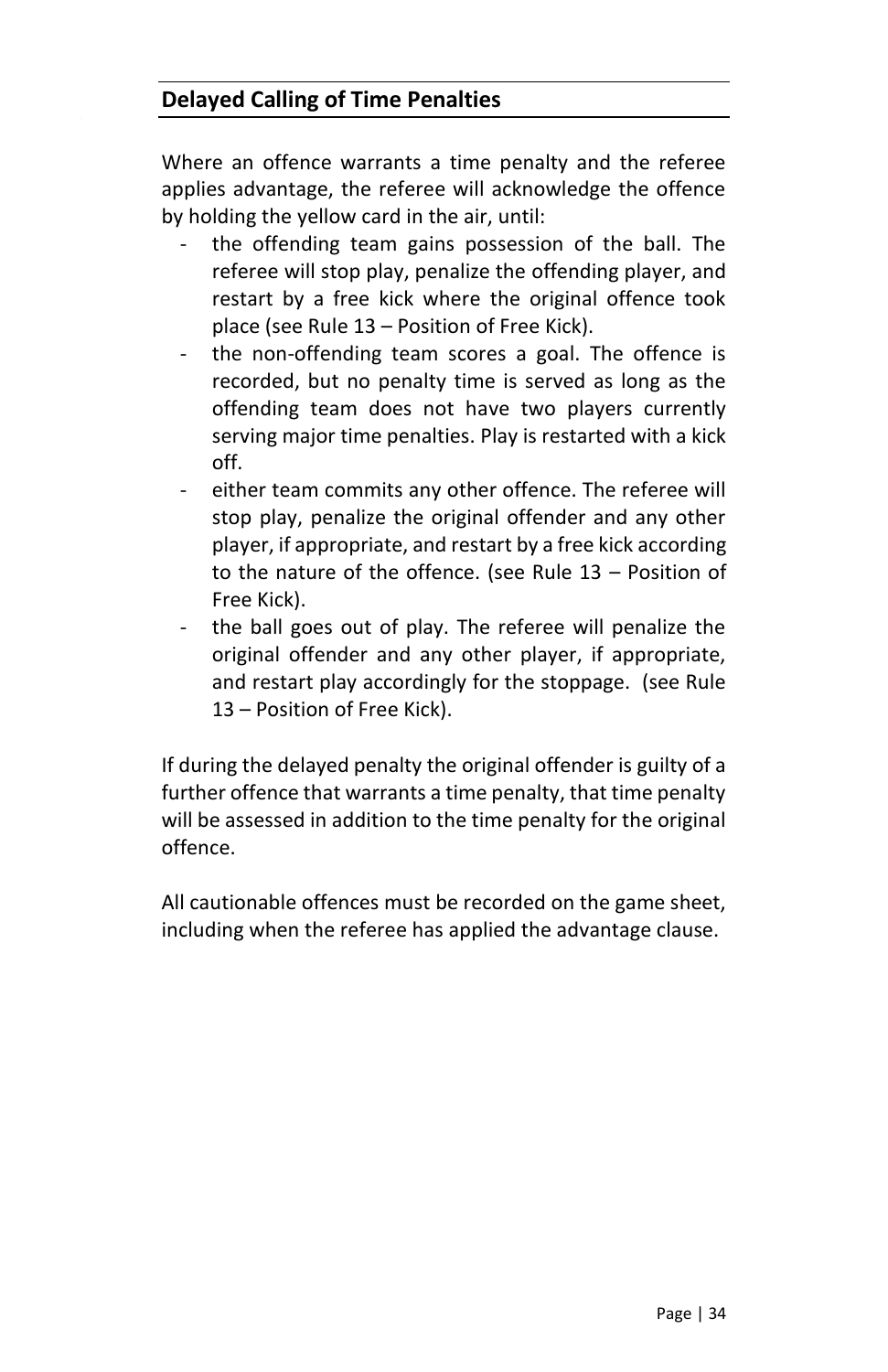#### **Delayed Calling of Time Penalties**

Where an offence warrants a time penalty and the referee applies advantage, the referee will acknowledge the offence by holding the yellow card in the air, until:

- the offending team gains possession of the ball. The referee will stop play, penalize the offending player, and restart by a free kick where the original offence took place (see Rule 13 – Position of Free Kick).
- the non-offending team scores a goal. The offence is recorded, but no penalty time is served as long as the offending team does not have two players currently serving major time penalties. Play is restarted with a kick off.
- either team commits any other offence. The referee will stop play, penalize the original offender and any other player, if appropriate, and restart by a free kick according to the nature of the offence. (see Rule 13 – Position of Free Kick).
- the ball goes out of play. The referee will penalize the original offender and any other player, if appropriate, and restart play accordingly for the stoppage. (see Rule 13 – Position of Free Kick).

If during the delayed penalty the original offender is guilty of a further offence that warrants a time penalty, that time penalty will be assessed in addition to the time penalty for the original offence.

All cautionable offences must be recorded on the game sheet, including when the referee has applied the advantage clause.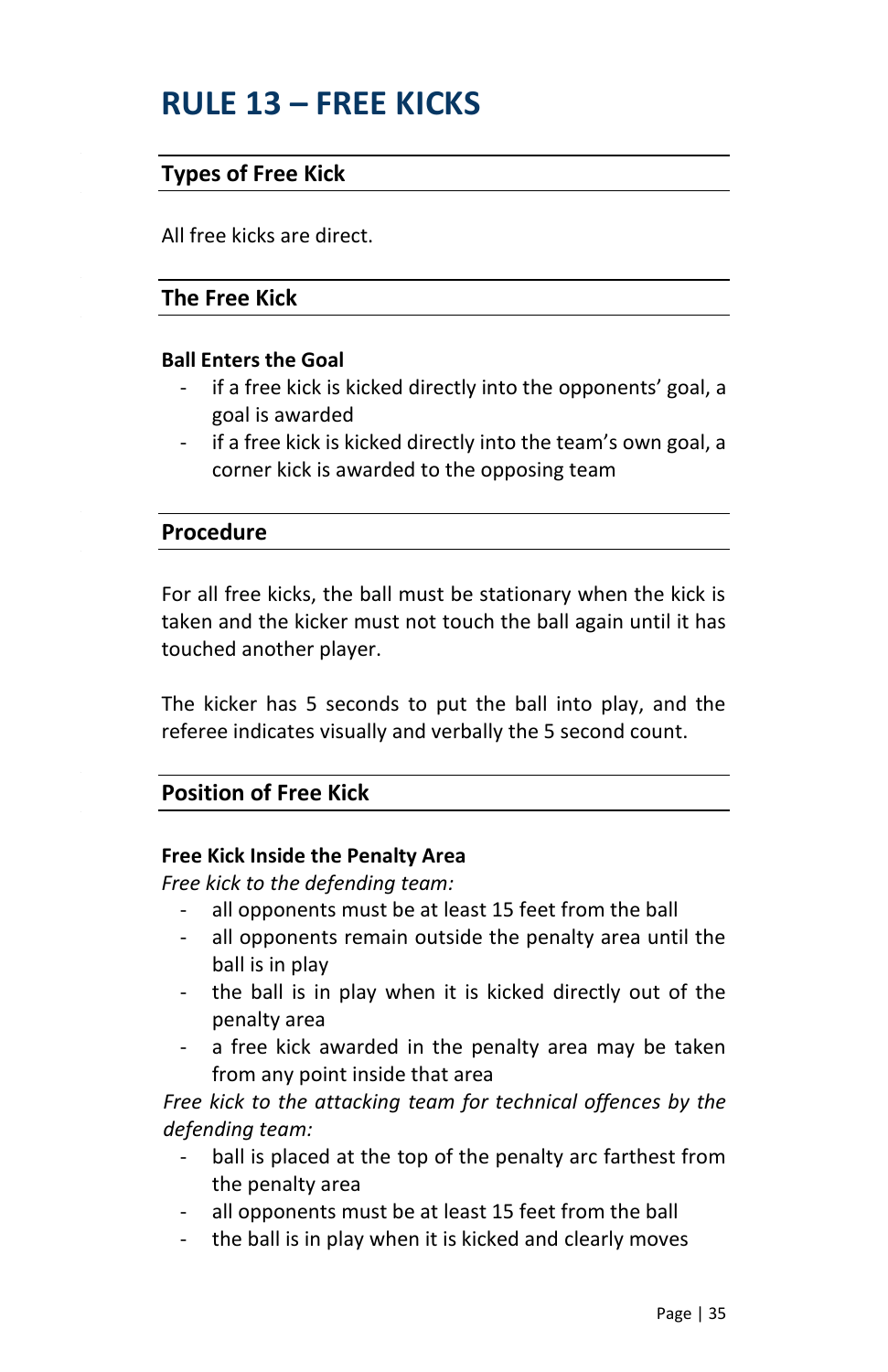## <span id="page-34-0"></span>**RULE 13 – FREE KICKS**

#### **Types of Free Kick**

All free kicks are direct.

#### **The Free Kick**

#### **Ball Enters the Goal**

- if a free kick is kicked directly into the opponents' goal, a goal is awarded
- if a free kick is kicked directly into the team's own goal, a corner kick is awarded to the opposing team

#### **Procedure**

For all free kicks, the ball must be stationary when the kick is taken and the kicker must not touch the ball again until it has touched another player.

The kicker has 5 seconds to put the ball into play, and the referee indicates visually and verbally the 5 second count.

#### **Position of Free Kick**

#### **Free Kick Inside the Penalty Area**

*Free kick to the defending team:*

- all opponents must be at least 15 feet from the ball
- all opponents remain outside the penalty area until the ball is in play
- the ball is in play when it is kicked directly out of the penalty area
- a free kick awarded in the penalty area may be taken from any point inside that area

*Free kick to the attacking team for technical offences by the defending team:*

- ball is placed at the top of the penalty arc farthest from the penalty area
- all opponents must be at least 15 feet from the ball
- the ball is in play when it is kicked and clearly moves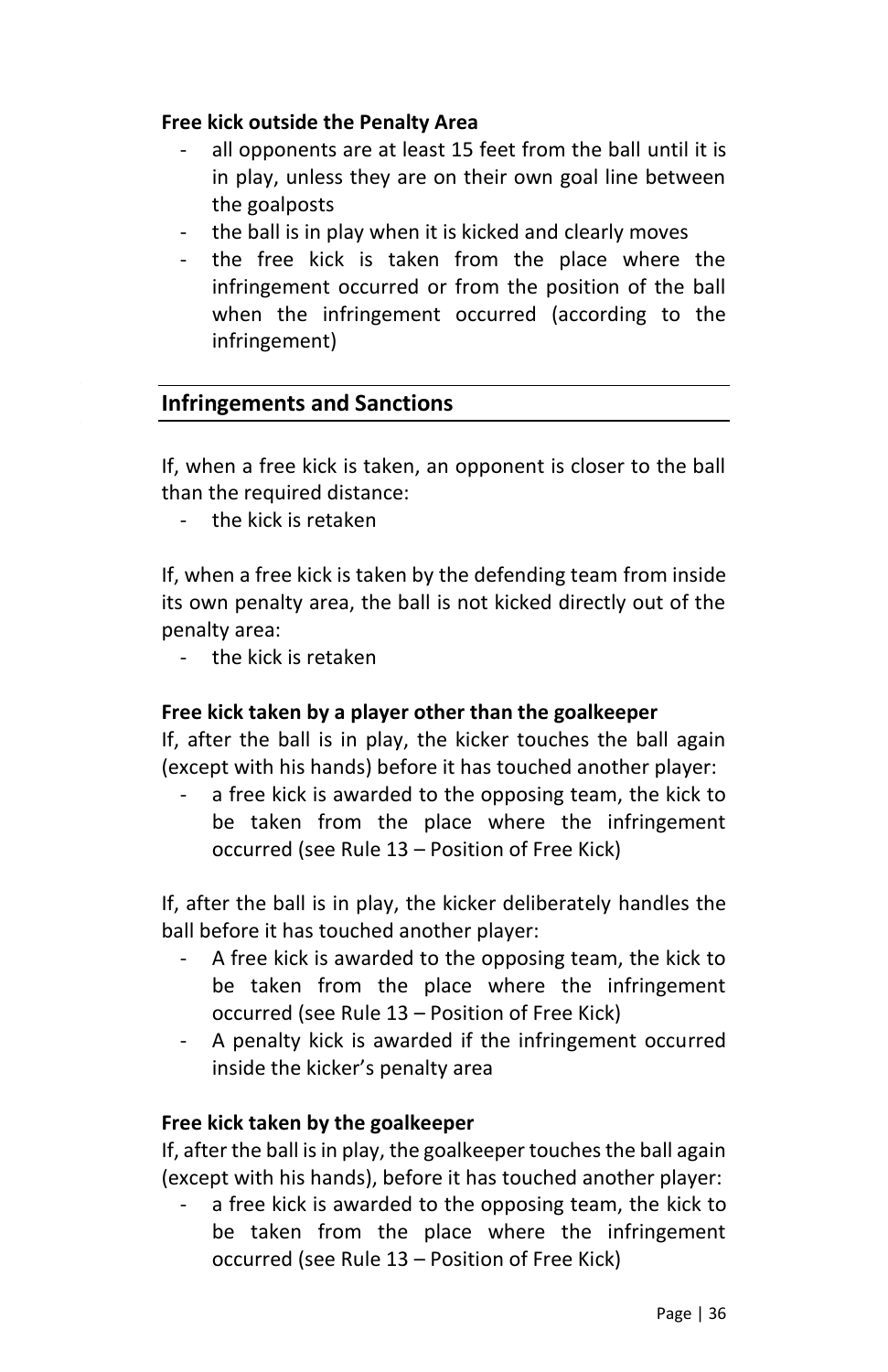#### **Free kick outside the Penalty Area**

- all opponents are at least 15 feet from the ball until it is in play, unless they are on their own goal line between the goalposts
- the ball is in play when it is kicked and clearly moves
- the free kick is taken from the place where the infringement occurred or from the position of the ball when the infringement occurred (according to the infringement)

#### **Infringements and Sanctions**

If, when a free kick is taken, an opponent is closer to the ball than the required distance:

- the kick is retaken

If, when a free kick is taken by the defending team from inside its own penalty area, the ball is not kicked directly out of the penalty area:

- the kick is retaken

#### **Free kick taken by a player other than the goalkeeper**

If, after the ball is in play, the kicker touches the ball again (except with his hands) before it has touched another player:

a free kick is awarded to the opposing team, the kick to be taken from the place where the infringement occurred (see Rule 13 – Position of Free Kick)

If, after the ball is in play, the kicker deliberately handles the ball before it has touched another player:

- A free kick is awarded to the opposing team, the kick to be taken from the place where the infringement occurred (see Rule 13 – Position of Free Kick)
- A penalty kick is awarded if the infringement occurred inside the kicker's penalty area

#### **Free kick taken by the goalkeeper**

If, after the ball is in play, the goalkeeper touches the ball again (except with his hands), before it has touched another player:

a free kick is awarded to the opposing team, the kick to be taken from the place where the infringement occurred (see Rule 13 – Position of Free Kick)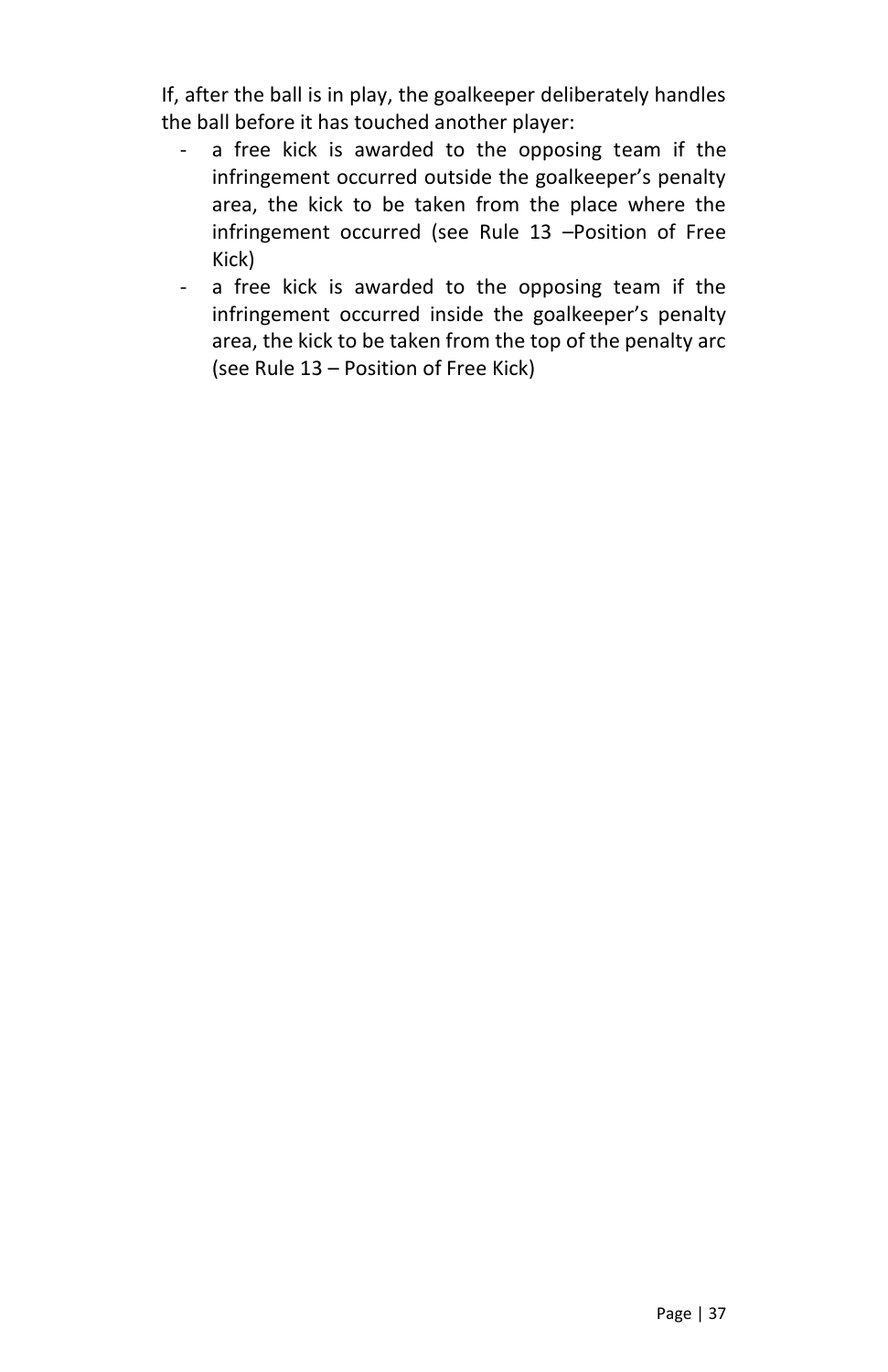If, after the ball is in play, the goalkeeper deliberately handles the ball before it has touched another player:

- a free kick is awarded to the opposing team if the infringement occurred outside the goalkeeper's penalty area, the kick to be taken from the place where the infringement occurred (see Rule 13 –Position of Free Kick)
- a free kick is awarded to the opposing team if the infringement occurred inside the goalkeeper's penalty area, the kick to be taken from the top of the penalty arc (see Rule 13 – Position of Free Kick)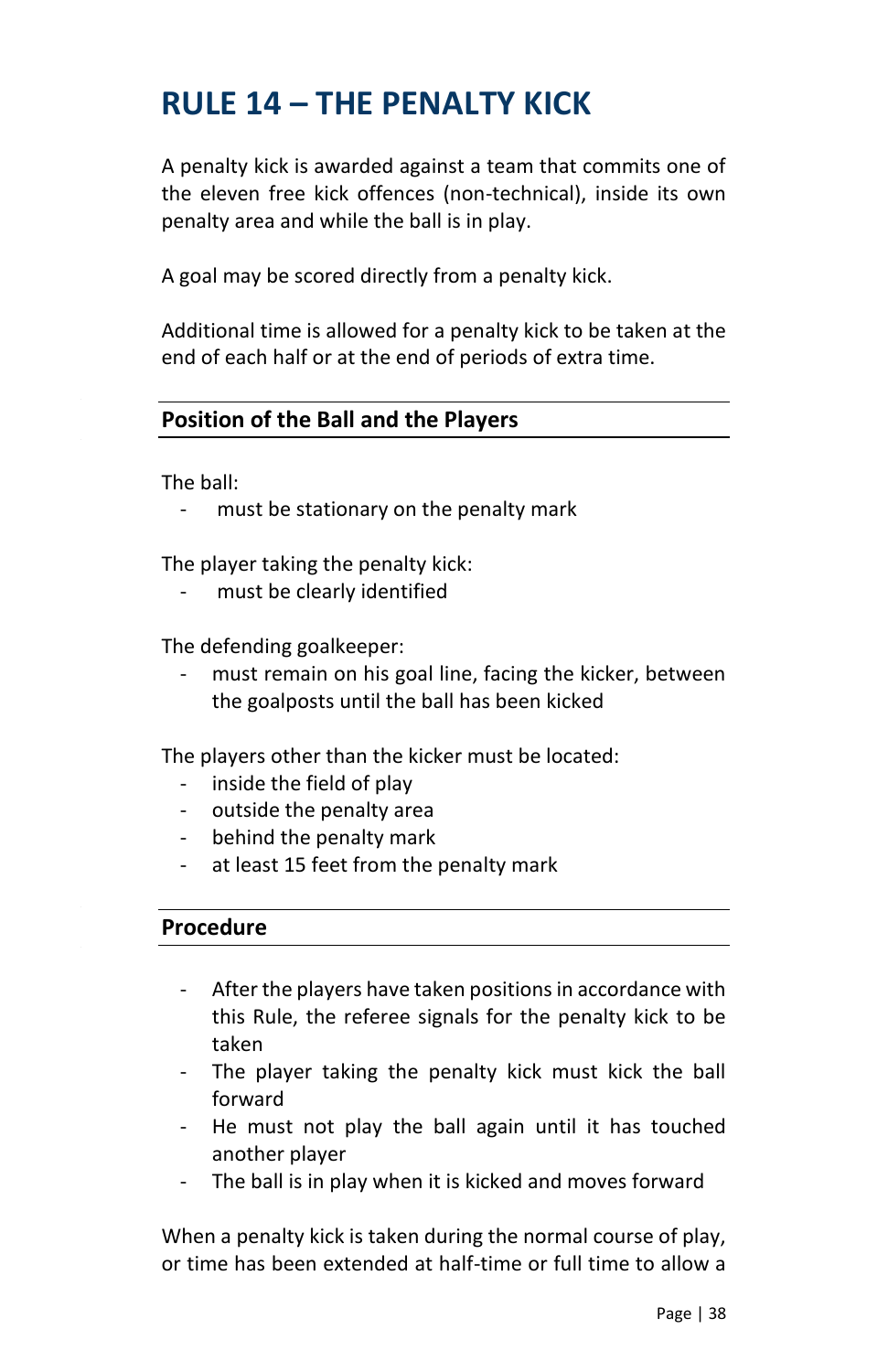## <span id="page-37-0"></span>**RULE 14 – THE PENALTY KICK**

A penalty kick is awarded against a team that commits one of the eleven free kick offences (non-technical), inside its own penalty area and while the ball is in play.

A goal may be scored directly from a penalty kick.

Additional time is allowed for a penalty kick to be taken at the end of each half or at the end of periods of extra time.

#### **Position of the Ball and the Players**

The ball:

must be stationary on the penalty mark

The player taking the penalty kick:

- must be clearly identified

The defending goalkeeper:

must remain on his goal line, facing the kicker, between the goalposts until the ball has been kicked

The players other than the kicker must be located:

- inside the field of play
- outside the penalty area
- behind the penalty mark
- at least 15 feet from the penalty mark

#### **Procedure**

- After the players have taken positions in accordance with this Rule, the referee signals for the penalty kick to be taken
- The player taking the penalty kick must kick the ball forward
- He must not play the ball again until it has touched another player
- The ball is in play when it is kicked and moves forward

When a penalty kick is taken during the normal course of play, or time has been extended at half-time or full time to allow a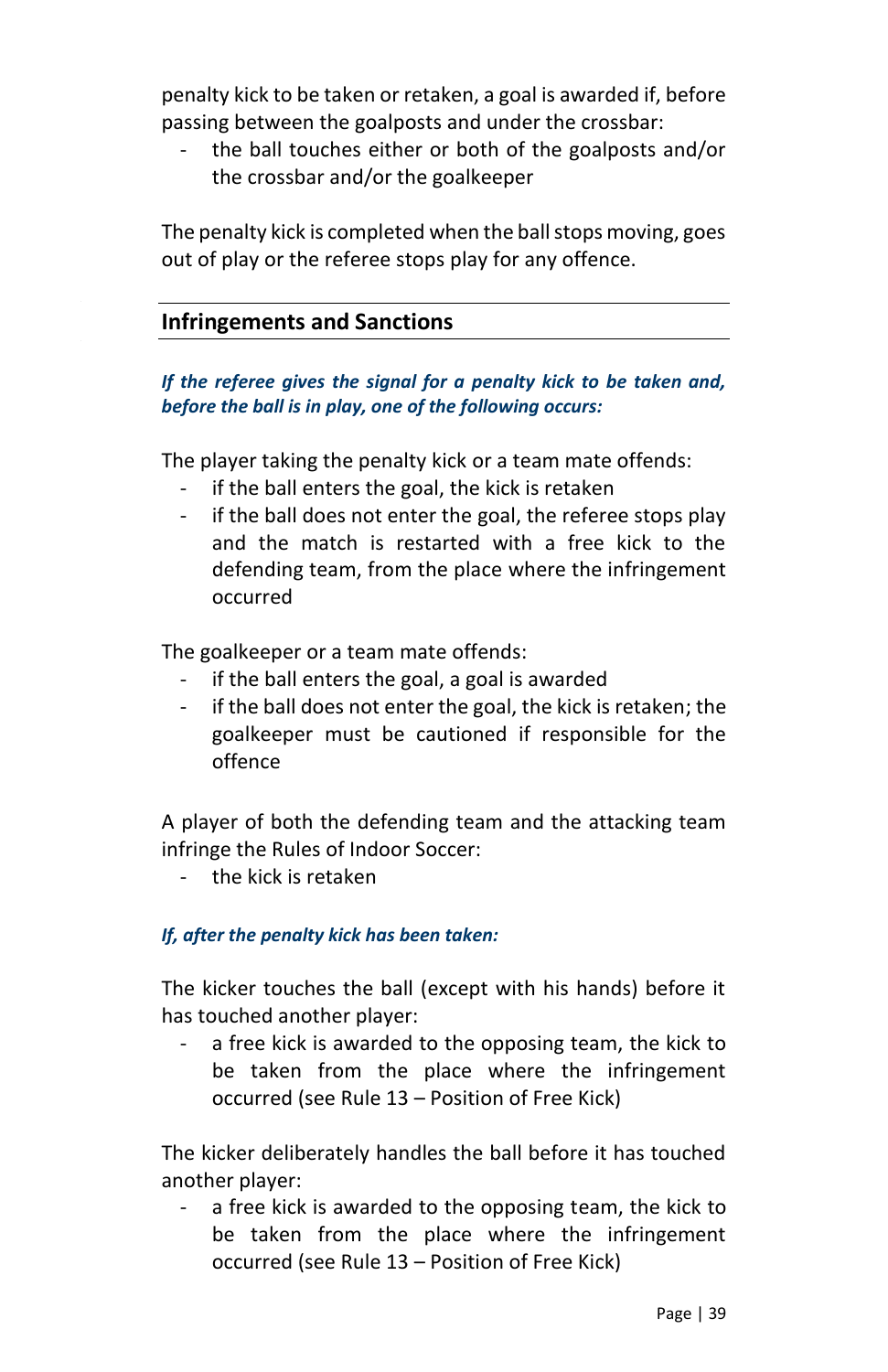penalty kick to be taken or retaken, a goal is awarded if, before passing between the goalposts and under the crossbar:

- the ball touches either or both of the goalposts and/or the crossbar and/or the goalkeeper

The penalty kick is completed when the ball stops moving, goes out of play or the referee stops play for any offence.

#### **Infringements and Sanctions**

#### *If the referee gives the signal for a penalty kick to be taken and, before the ball is in play, one of the following occurs:*

The player taking the penalty kick or a team mate offends:

- if the ball enters the goal, the kick is retaken
- if the ball does not enter the goal, the referee stops play and the match is restarted with a free kick to the defending team, from the place where the infringement occurred

The goalkeeper or a team mate offends:

- if the ball enters the goal, a goal is awarded
- if the ball does not enter the goal, the kick is retaken; the goalkeeper must be cautioned if responsible for the offence

A player of both the defending team and the attacking team infringe the Rules of Indoor Soccer:

- the kick is retaken

#### *If, after the penalty kick has been taken:*

The kicker touches the ball (except with his hands) before it has touched another player:

a free kick is awarded to the opposing team, the kick to be taken from the place where the infringement occurred (see Rule 13 – Position of Free Kick)

The kicker deliberately handles the ball before it has touched another player:

a free kick is awarded to the opposing team, the kick to be taken from the place where the infringement occurred (see Rule 13 – Position of Free Kick)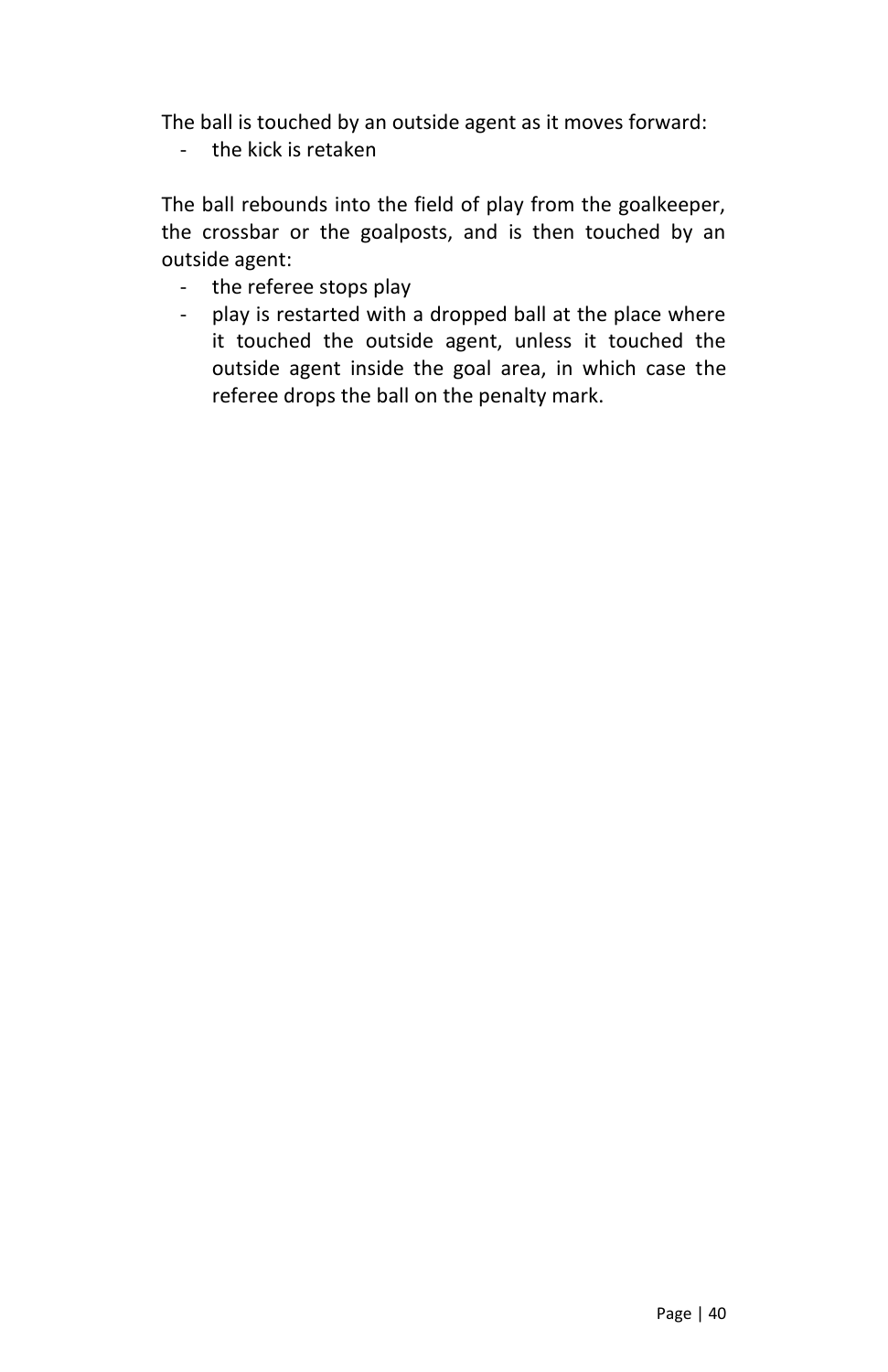The ball is touched by an outside agent as it moves forward:

- the kick is retaken

The ball rebounds into the field of play from the goalkeeper, the crossbar or the goalposts, and is then touched by an outside agent:

- the referee stops play
- play is restarted with a dropped ball at the place where it touched the outside agent, unless it touched the outside agent inside the goal area, in which case the referee drops the ball on the penalty mark.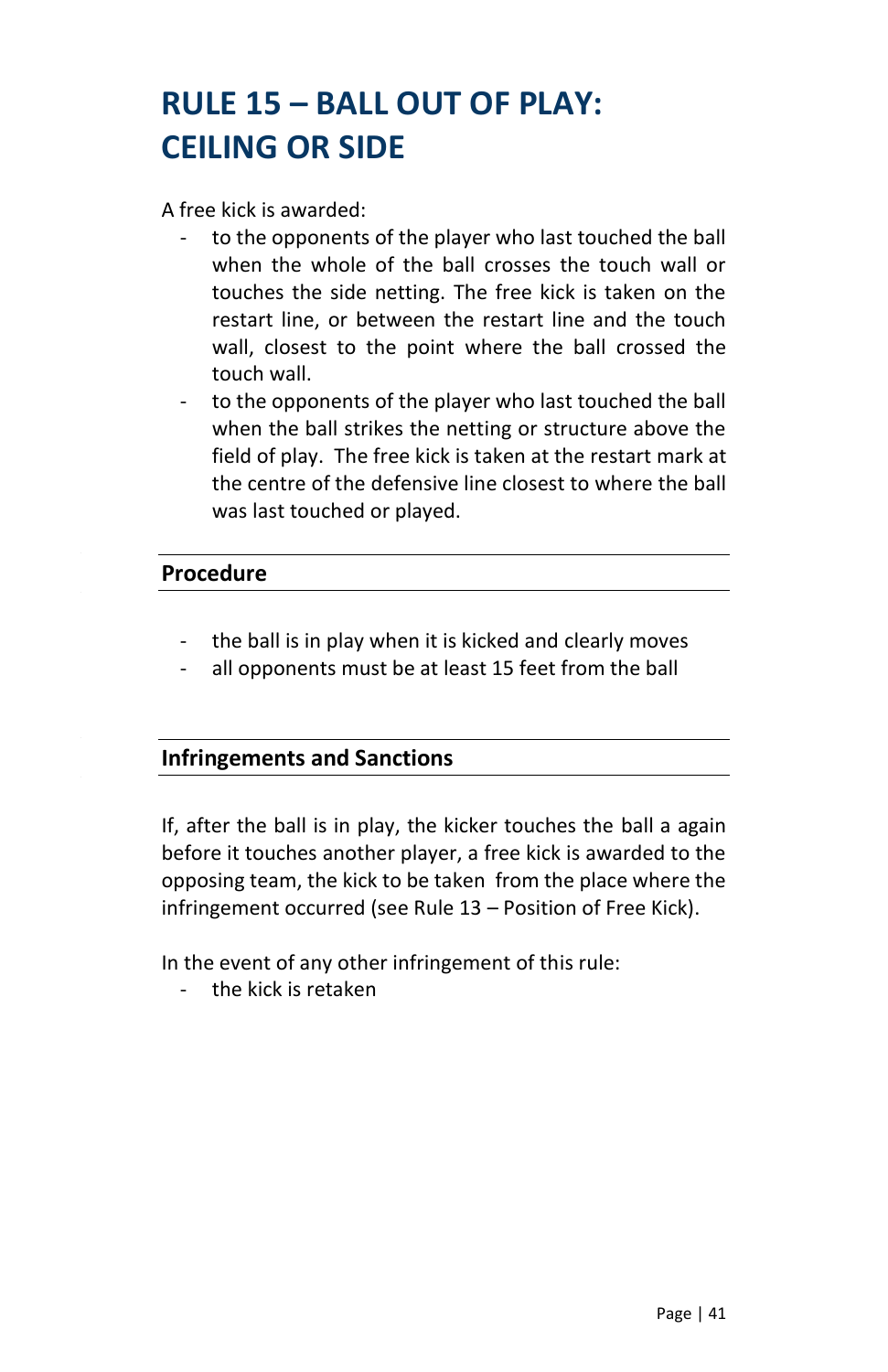## <span id="page-40-0"></span>**RULE 15 – BALL OUT OF PLAY: CEILING OR SIDE**

A free kick is awarded:

- to the opponents of the player who last touched the ball when the whole of the ball crosses the touch wall or touches the side netting. The free kick is taken on the restart line, or between the restart line and the touch wall, closest to the point where the ball crossed the touch wall.
- to the opponents of the player who last touched the ball when the ball strikes the netting or structure above the field of play. The free kick is taken at the restart mark at the centre of the defensive line closest to where the ball was last touched or played.

#### **Procedure**

- the ball is in play when it is kicked and clearly moves
- all opponents must be at least 15 feet from the ball

#### **Infringements and Sanctions**

If, after the ball is in play, the kicker touches the ball a again before it touches another player, a free kick is awarded to the opposing team, the kick to be taken from the place where the infringement occurred (see Rule 13 – Position of Free Kick).

In the event of any other infringement of this rule:

- the kick is retaken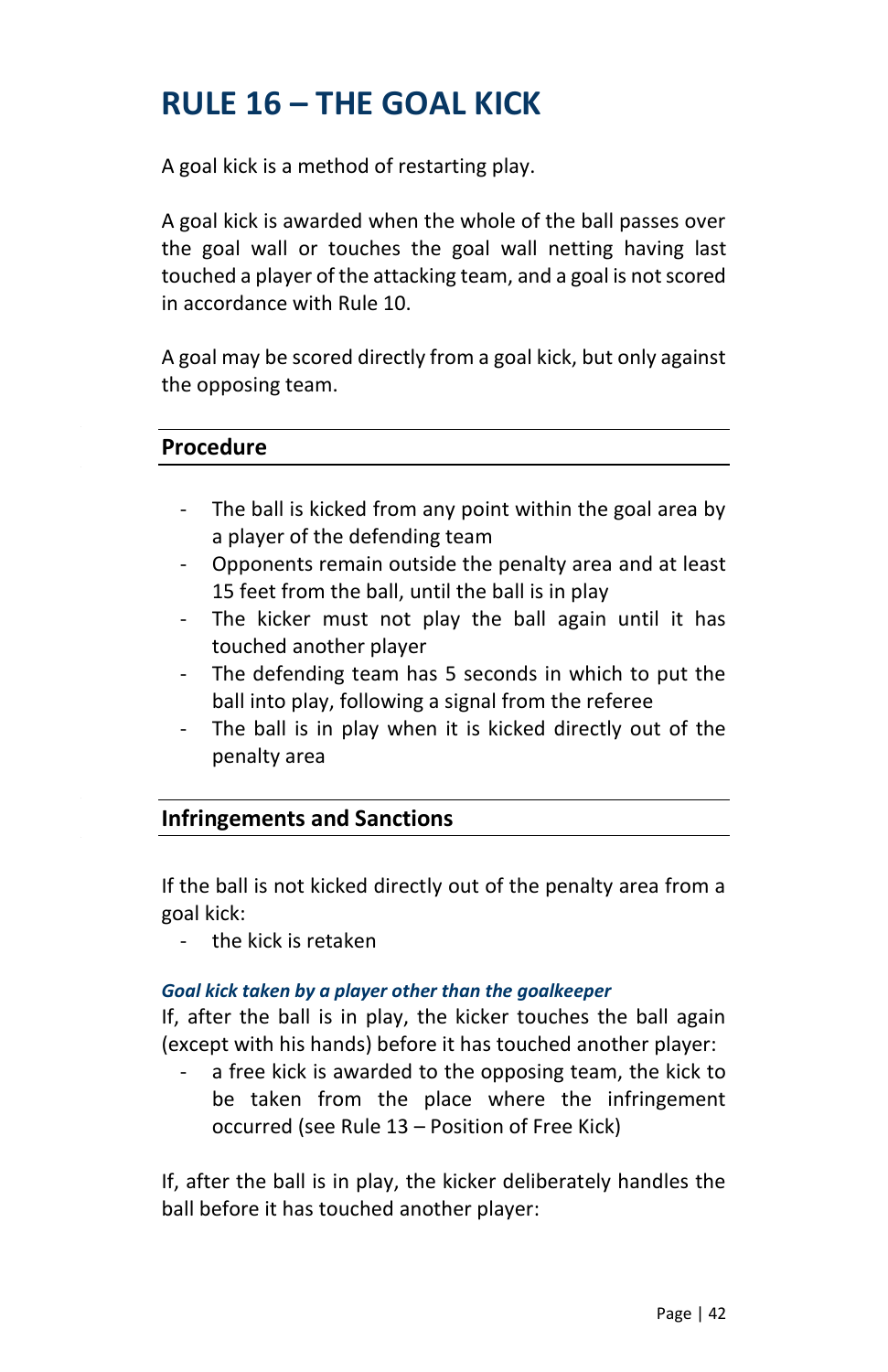## <span id="page-41-0"></span>**RULE 16 – THE GOAL KICK**

A goal kick is a method of restarting play.

A goal kick is awarded when the whole of the ball passes over the goal wall or touches the goal wall netting having last touched a player of the attacking team, and a goal is not scored in accordance with Rule 10.

A goal may be scored directly from a goal kick, but only against the opposing team.

#### **Procedure**

- The ball is kicked from any point within the goal area by a player of the defending team
- Opponents remain outside the penalty area and at least 15 feet from the ball, until the ball is in play
- The kicker must not play the ball again until it has touched another player
- The defending team has 5 seconds in which to put the ball into play, following a signal from the referee
- The ball is in play when it is kicked directly out of the penalty area

#### **Infringements and Sanctions**

If the ball is not kicked directly out of the penalty area from a goal kick:

- the kick is retaken

#### *Goal kick taken by a player other than the goalkeeper*

If, after the ball is in play, the kicker touches the ball again (except with his hands) before it has touched another player:

a free kick is awarded to the opposing team, the kick to be taken from the place where the infringement occurred (see Rule 13 – Position of Free Kick)

If, after the ball is in play, the kicker deliberately handles the ball before it has touched another player: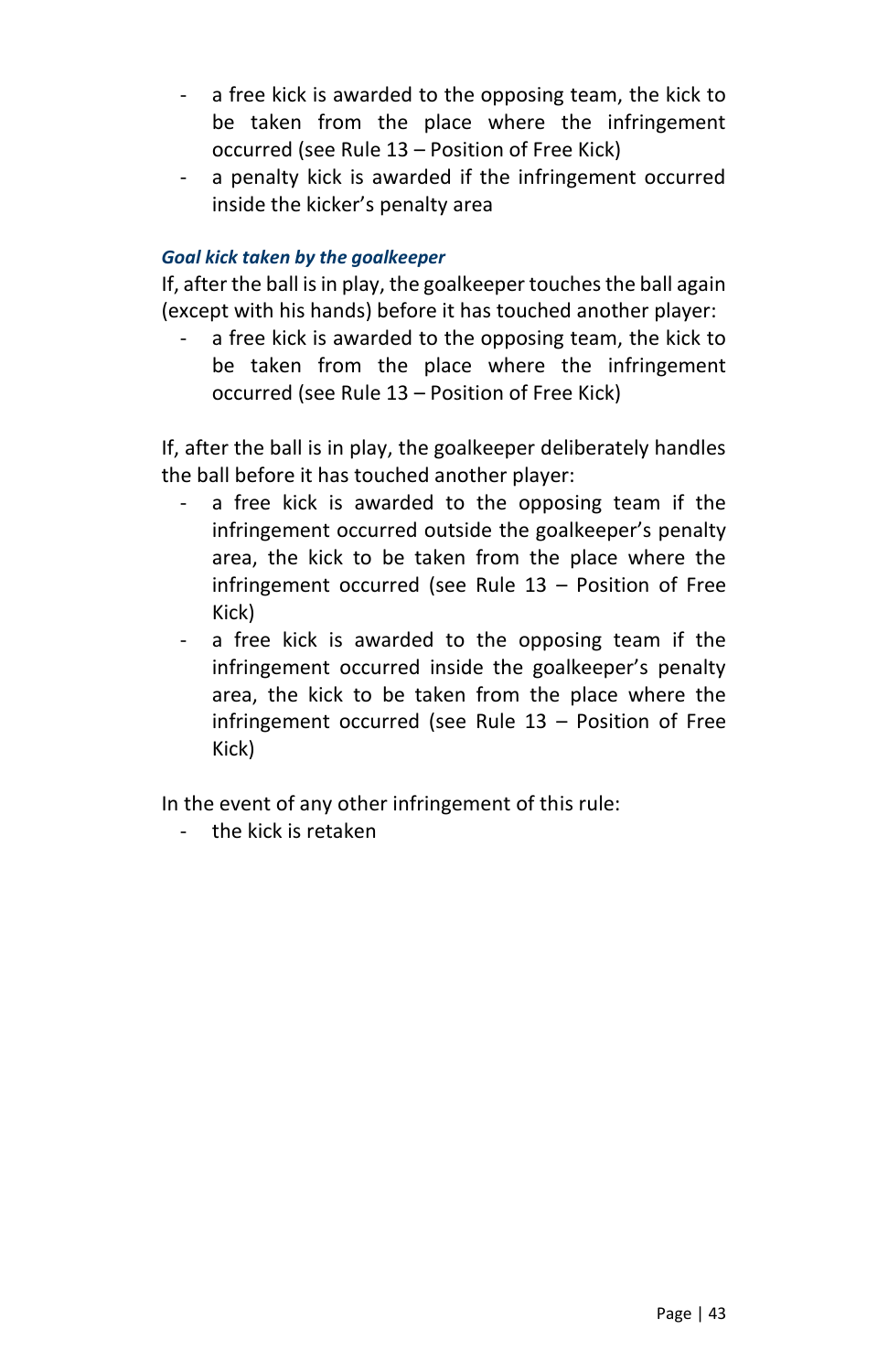- a free kick is awarded to the opposing team, the kick to be taken from the place where the infringement occurred (see Rule 13 – Position of Free Kick)
- a penalty kick is awarded if the infringement occurred inside the kicker's penalty area

#### *Goal kick taken by the goalkeeper*

If, after the ball is in play, the goalkeeper touches the ball again (except with his hands) before it has touched another player:

a free kick is awarded to the opposing team, the kick to be taken from the place where the infringement occurred (see Rule 13 – Position of Free Kick)

If, after the ball is in play, the goalkeeper deliberately handles the ball before it has touched another player:

- a free kick is awarded to the opposing team if the infringement occurred outside the goalkeeper's penalty area, the kick to be taken from the place where the infringement occurred (see Rule 13 – Position of Free Kick)
- a free kick is awarded to the opposing team if the infringement occurred inside the goalkeeper's penalty area, the kick to be taken from the place where the infringement occurred (see Rule 13 – Position of Free Kick)

In the event of any other infringement of this rule:

<span id="page-42-0"></span>- the kick is retaken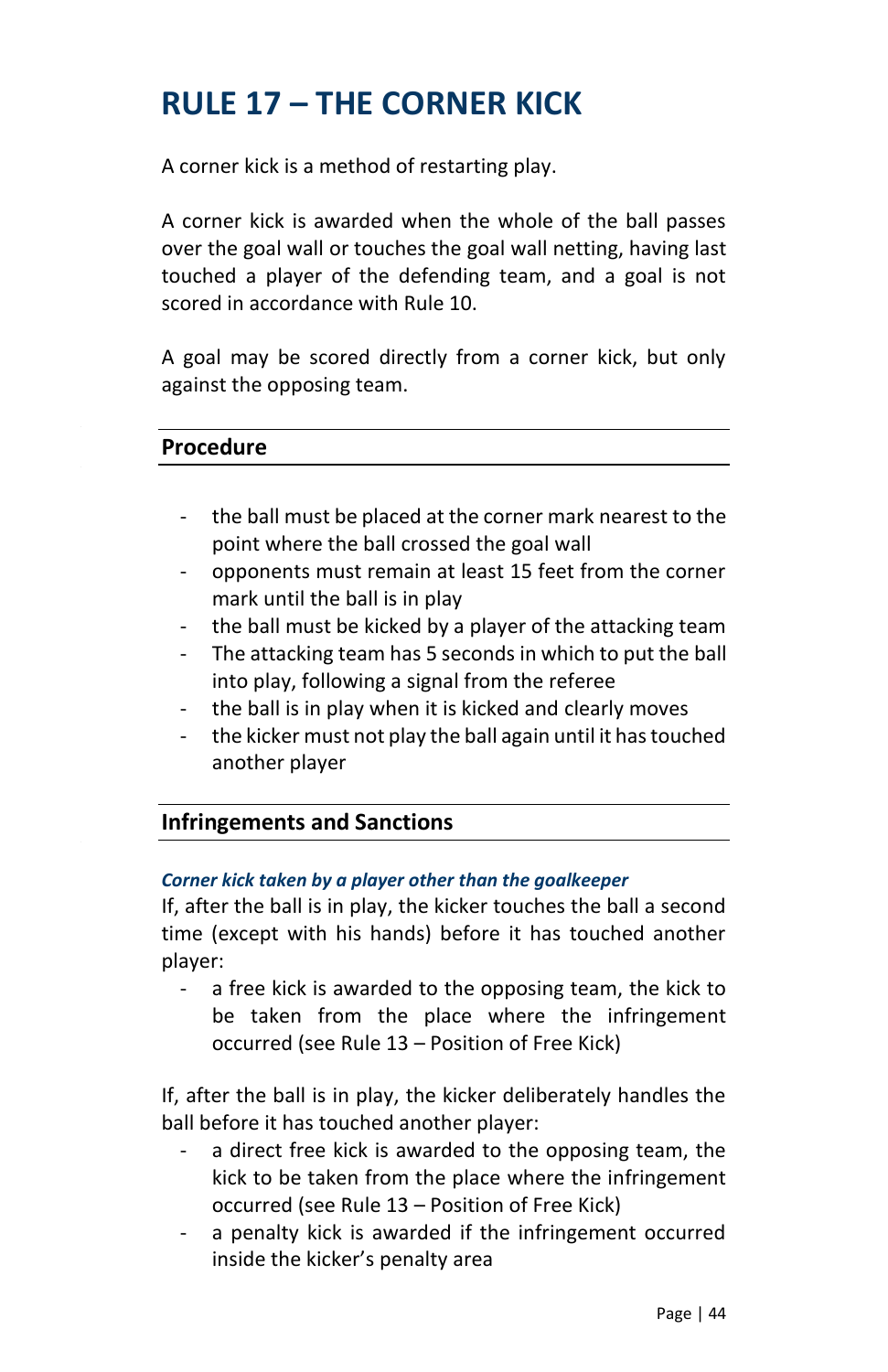## **RULE 17 – THE CORNER KICK**

A corner kick is a method of restarting play.

A corner kick is awarded when the whole of the ball passes over the goal wall or touches the goal wall netting, having last touched a player of the defending team, and a goal is not scored in accordance with Rule 10.

A goal may be scored directly from a corner kick, but only against the opposing team.

#### **Procedure**

- the ball must be placed at the corner mark nearest to the point where the ball crossed the goal wall
- opponents must remain at least 15 feet from the corner mark until the ball is in play
- the ball must be kicked by a player of the attacking team
- The attacking team has 5 seconds in which to put the ball into play, following a signal from the referee
- the ball is in play when it is kicked and clearly moves
- the kicker must not play the ball again until it has touched another player

#### **Infringements and Sanctions**

#### *Corner kick taken by a player other than the goalkeeper*

If, after the ball is in play, the kicker touches the ball a second time (except with his hands) before it has touched another player:

a free kick is awarded to the opposing team, the kick to be taken from the place where the infringement occurred (see Rule 13 – Position of Free Kick)

If, after the ball is in play, the kicker deliberately handles the ball before it has touched another player:

- a direct free kick is awarded to the opposing team, the kick to be taken from the place where the infringement occurred (see Rule 13 – Position of Free Kick)
- a penalty kick is awarded if the infringement occurred inside the kicker's penalty area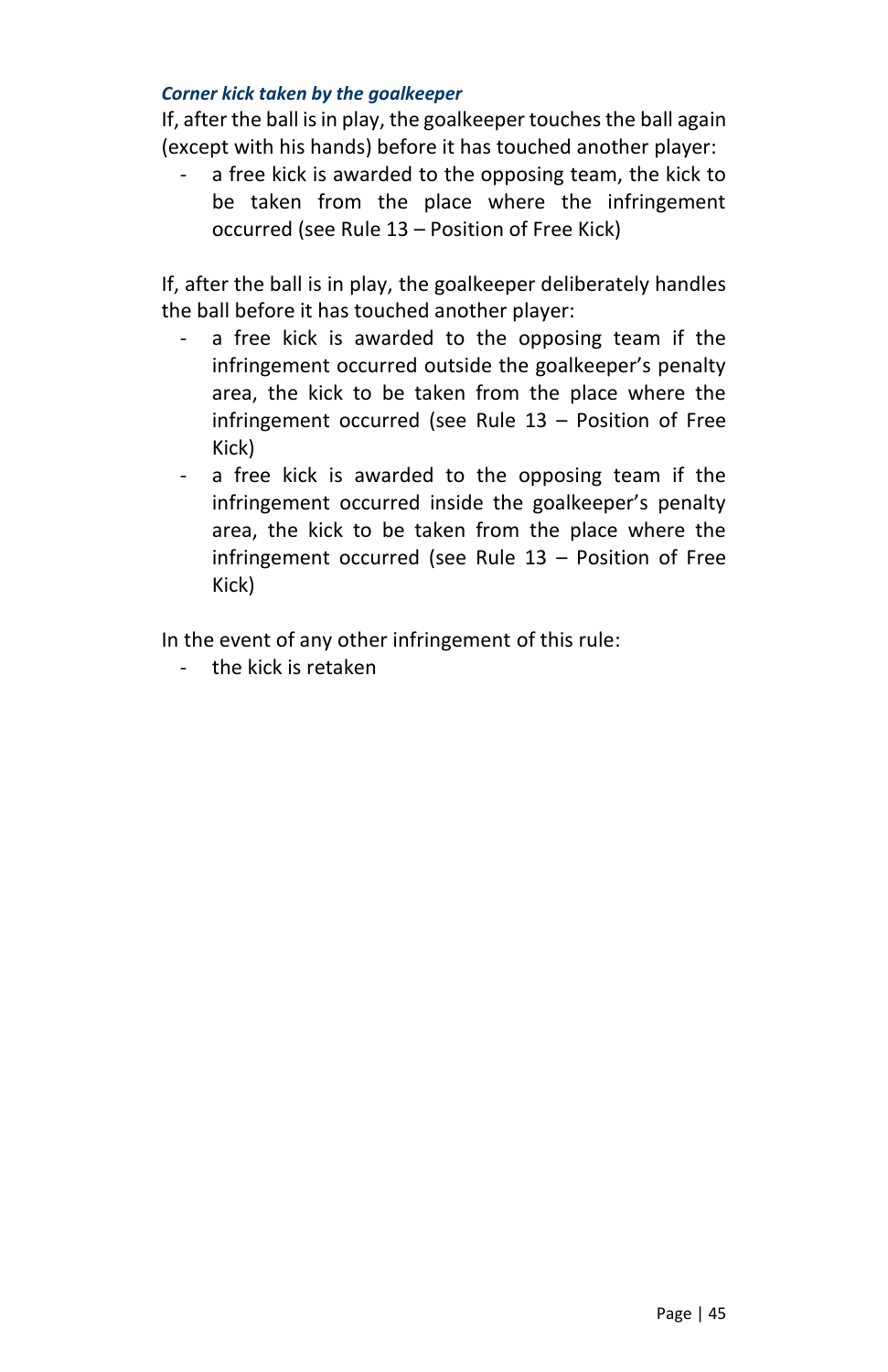#### *Corner kick taken by the goalkeeper*

If, after the ball is in play, the goalkeeper touches the ball again (except with his hands) before it has touched another player:

a free kick is awarded to the opposing team, the kick to be taken from the place where the infringement occurred (see Rule 13 – Position of Free Kick)

If, after the ball is in play, the goalkeeper deliberately handles the ball before it has touched another player:

- a free kick is awarded to the opposing team if the infringement occurred outside the goalkeeper's penalty area, the kick to be taken from the place where the infringement occurred (see Rule 13 – Position of Free Kick)
- a free kick is awarded to the opposing team if the infringement occurred inside the goalkeeper's penalty area, the kick to be taken from the place where the infringement occurred (see Rule 13 – Position of Free Kick)

In the event of any other infringement of this rule:

- the kick is retaken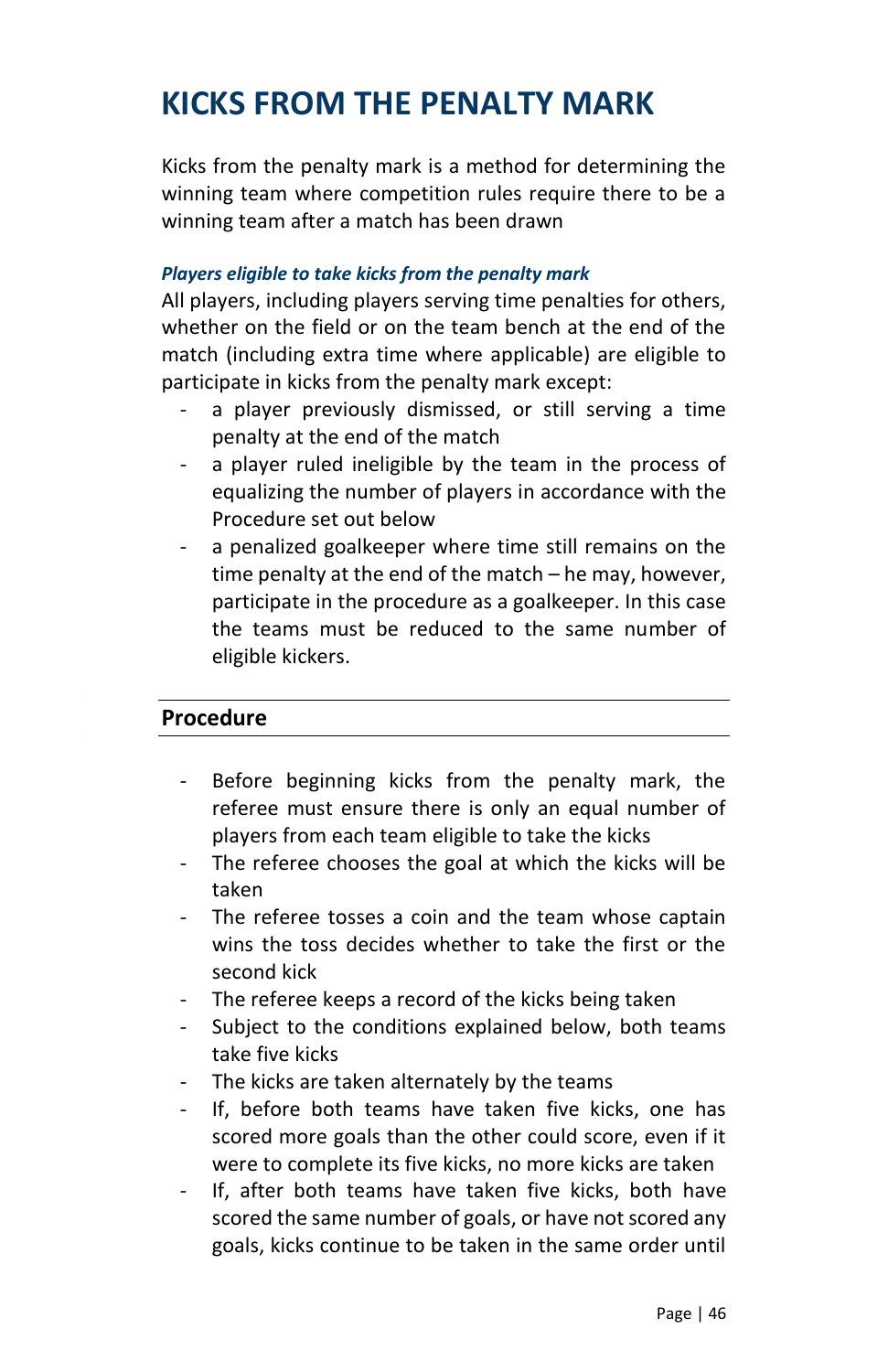## <span id="page-45-0"></span>**KICKS FROM THE PENALTY MARK**

Kicks from the penalty mark is a method for determining the winning team where competition rules require there to be a winning team after a match has been drawn

#### *Players eligible to take kicks from the penalty mark*

All players, including players serving time penalties for others, whether on the field or on the team bench at the end of the match (including extra time where applicable) are eligible to participate in kicks from the penalty mark except:

- a player previously dismissed, or still serving a time penalty at the end of the match
- a player ruled ineligible by the team in the process of equalizing the number of players in accordance with the Procedure set out below
- a penalized goalkeeper where time still remains on the time penalty at the end of the match – he may, however, participate in the procedure as a goalkeeper. In this case the teams must be reduced to the same number of eligible kickers.

#### **Procedure**

- Before beginning kicks from the penalty mark, the referee must ensure there is only an equal number of players from each team eligible to take the kicks
- The referee chooses the goal at which the kicks will be taken
- The referee tosses a coin and the team whose captain wins the toss decides whether to take the first or the second kick
- The referee keeps a record of the kicks being taken
- Subject to the conditions explained below, both teams take five kicks
- The kicks are taken alternately by the teams
- If, before both teams have taken five kicks, one has scored more goals than the other could score, even if it were to complete its five kicks, no more kicks are taken
- If, after both teams have taken five kicks, both have scored the same number of goals, or have not scored any goals, kicks continue to be taken in the same order until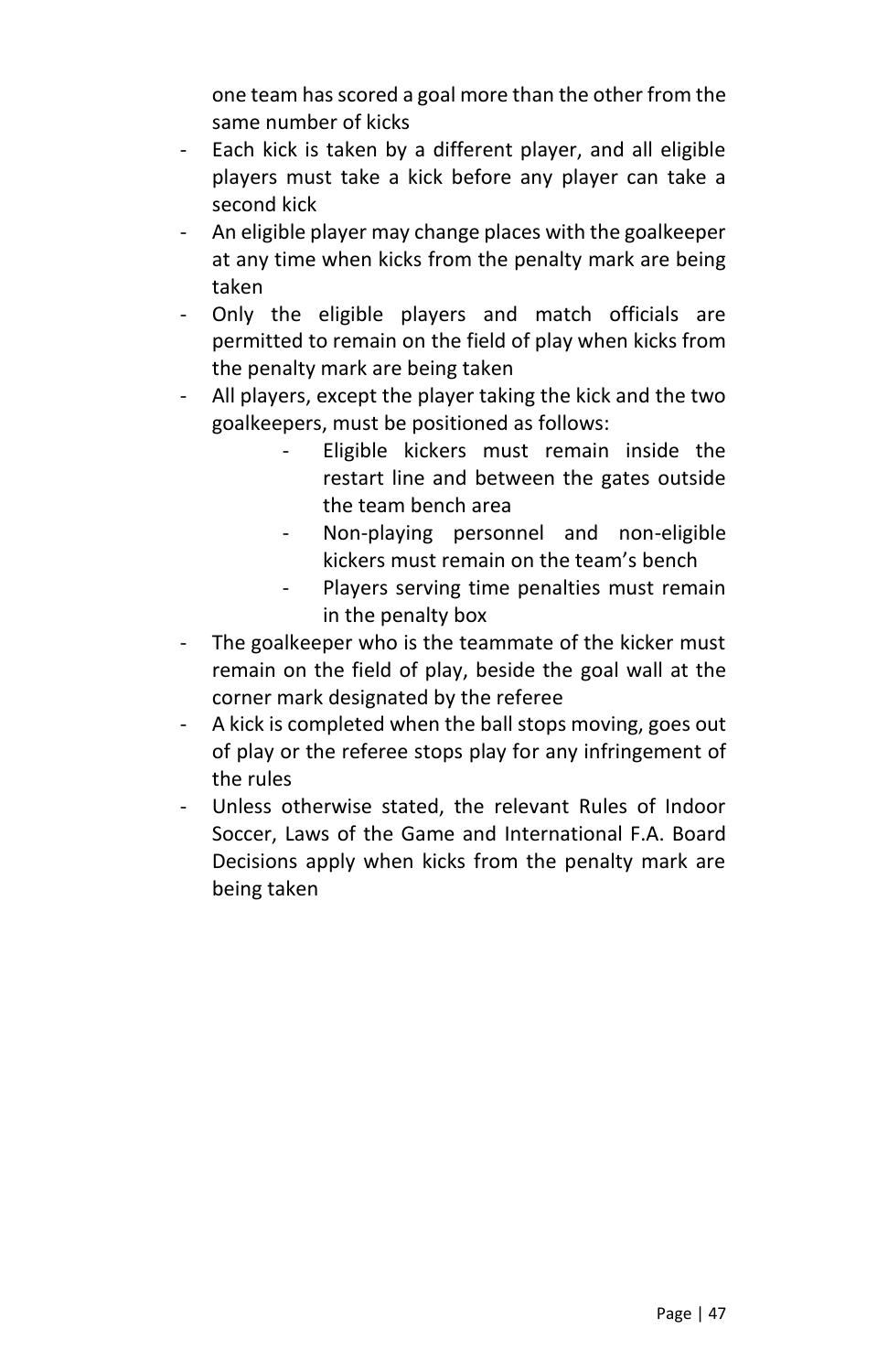one team has scored a goal more than the other from the same number of kicks

- Each kick is taken by a different player, and all eligible players must take a kick before any player can take a second kick
- An eligible player may change places with the goalkeeper at any time when kicks from the penalty mark are being taken
- Only the eligible players and match officials are permitted to remain on the field of play when kicks from the penalty mark are being taken
- All players, except the player taking the kick and the two goalkeepers, must be positioned as follows:
	- Eligible kickers must remain inside the restart line and between the gates outside the team bench area
	- Non-playing personnel and non-eligible kickers must remain on the team's bench
	- Players serving time penalties must remain in the penalty box
- The goalkeeper who is the teammate of the kicker must remain on the field of play, beside the goal wall at the corner mark designated by the referee
- A kick is completed when the ball stops moving, goes out of play or the referee stops play for any infringement of the rules
- Unless otherwise stated, the relevant Rules of Indoor Soccer, Laws of the Game and International F.A. Board Decisions apply when kicks from the penalty mark are being taken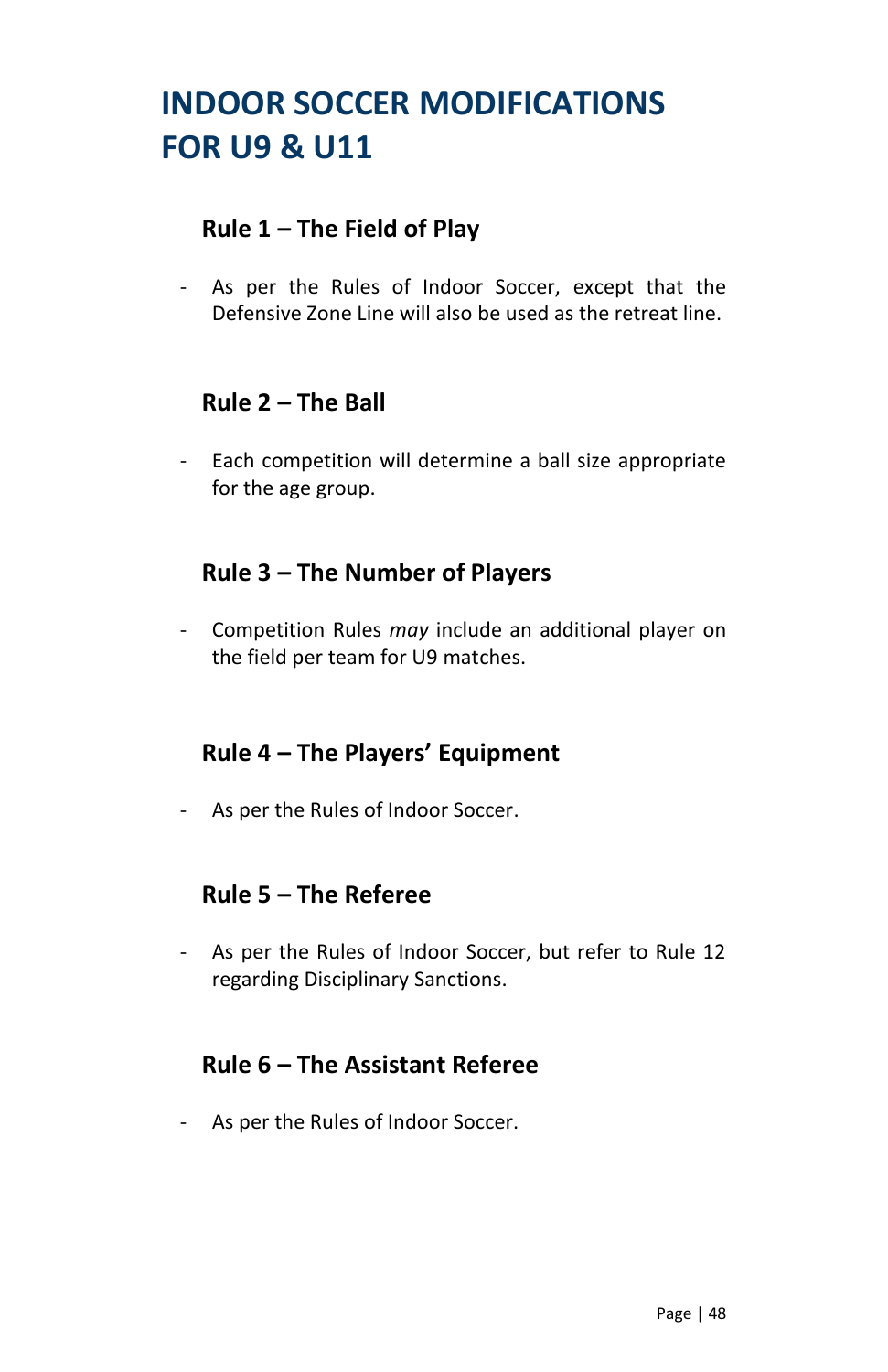## **INDOOR SOCCER MODIFICATIONS FOR U9 & U11**

### **Rule 1 – The Field of Play**

- As per the Rules of Indoor Soccer, except that the Defensive Zone Line will also be used as the retreat line.

### **Rule 2 – The Ball**

- Each competition will determine a ball size appropriate for the age group.

### **Rule 3 – The Number of Players**

- Competition Rules *may* include an additional player on the field per team for U9 matches.

### **Rule 4 – The Players' Equipment**

- As per the Rules of Indoor Soccer.

### **Rule 5 – The Referee**

- As per the Rules of Indoor Soccer, but refer to Rule 12 regarding Disciplinary Sanctions.

### **Rule 6 – The Assistant Referee**

- As per the Rules of Indoor Soccer.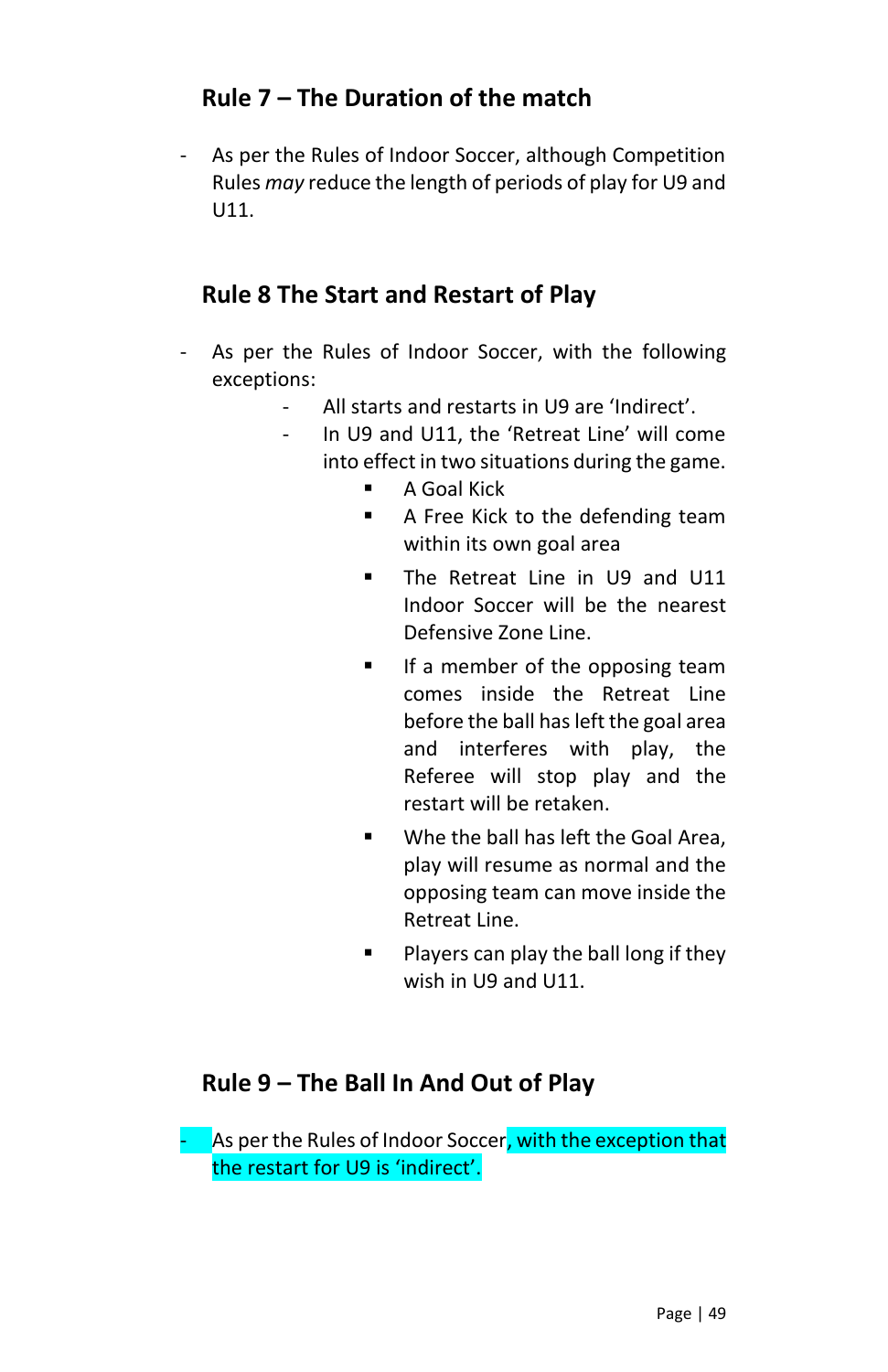## **Rule 7 – The Duration of the match**

- As per the Rules of Indoor Soccer, although Competition Rules *may* reduce the length of periods of play for U9 and U11.

### **Rule 8 The Start and Restart of Play**

- As per the Rules of Indoor Soccer, with the following exceptions:
	- All starts and restarts in U9 are 'Indirect'.
	- In U9 and U11, the 'Retreat Line' will come into effect in two situations during the game.
		- A Goal Kick
		- A Free Kick to the defending team within its own goal area
		- The Retreat Line in U9 and U11 Indoor Soccer will be the nearest Defensive Zone Line.
		- **■** If a member of the opposing team comes inside the Retreat Line before the ball has left the goal area and interferes with play, the Referee will stop play and the restart will be retaken.
		- Whe the ball has left the Goal Area. play will resume as normal and the opposing team can move inside the Retreat Line.
		- Players can play the ball long if they wish in U9 and U11.

#### **Rule 9 – The Ball In And Out of Play**

As per the Rules of Indoor Soccer, with the exception that the restart for U9 is 'indirect'.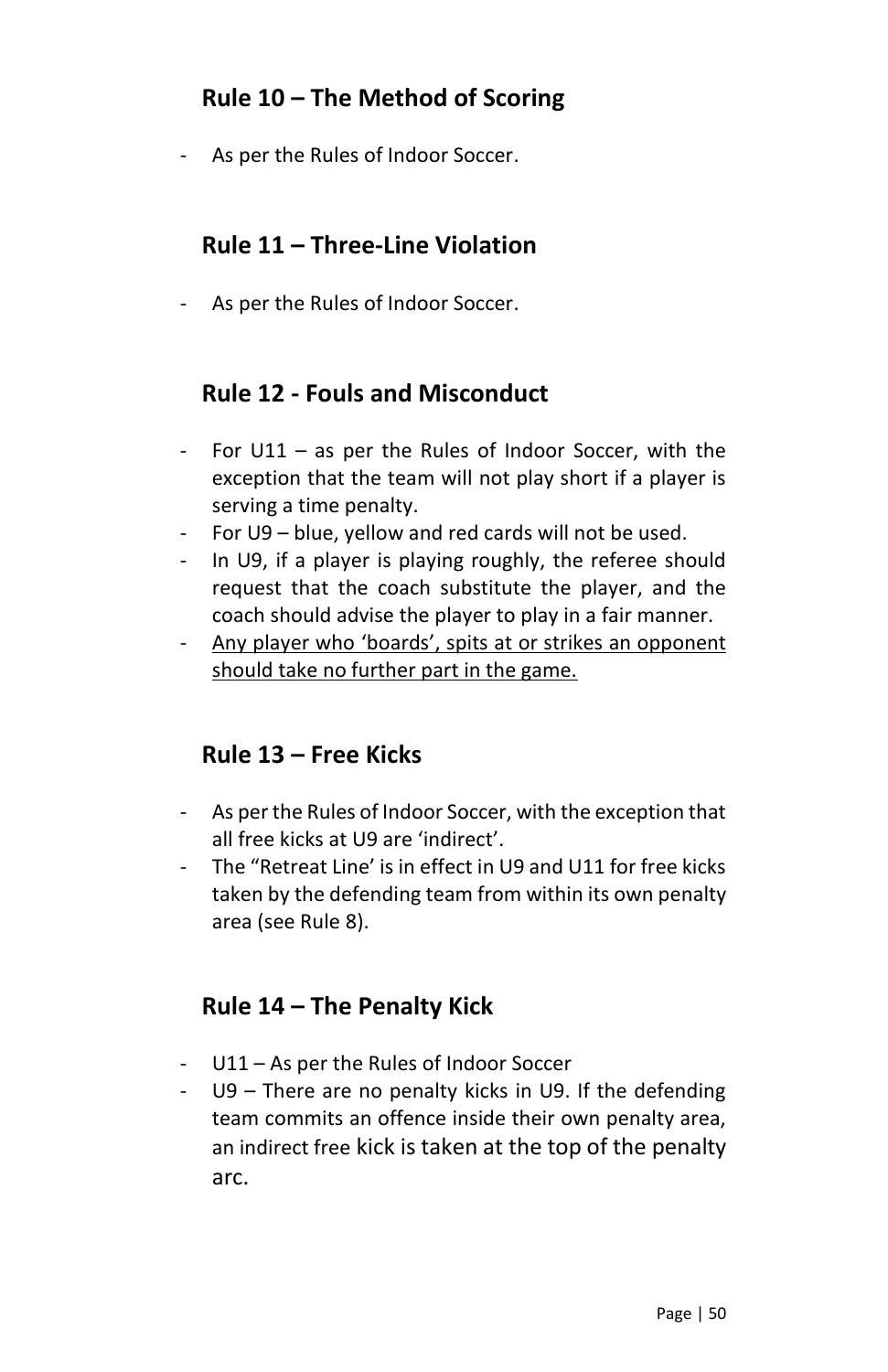## **Rule 10 – The Method of Scoring**

- As per the Rules of Indoor Soccer.

### **Rule 11 – Three-Line Violation**

- As per the Rules of Indoor Soccer.

### **Rule 12 - Fouls and Misconduct**

- For U11 as per the Rules of Indoor Soccer, with the exception that the team will not play short if a player is serving a time penalty.
- For U9 blue, yellow and red cards will not be used.
- In U9, if a player is playing roughly, the referee should request that the coach substitute the player, and the coach should advise the player to play in a fair manner.
- Any player who 'boards', spits at or strikes an opponent should take no further part in the game.

### **Rule 13 – Free Kicks**

- As per the Rules of Indoor Soccer, with the exception that all free kicks at U9 are 'indirect'.
- The "Retreat Line' is in effect in U9 and U11 for free kicks taken by the defending team from within its own penalty area (see Rule 8).

## **Rule 14 – The Penalty Kick**

- U11 As per the Rules of Indoor Soccer
- U9 There are no penalty kicks in U9. If the defending team commits an offence inside their own penalty area, an indirect free kick is taken at the top of the penalty arc.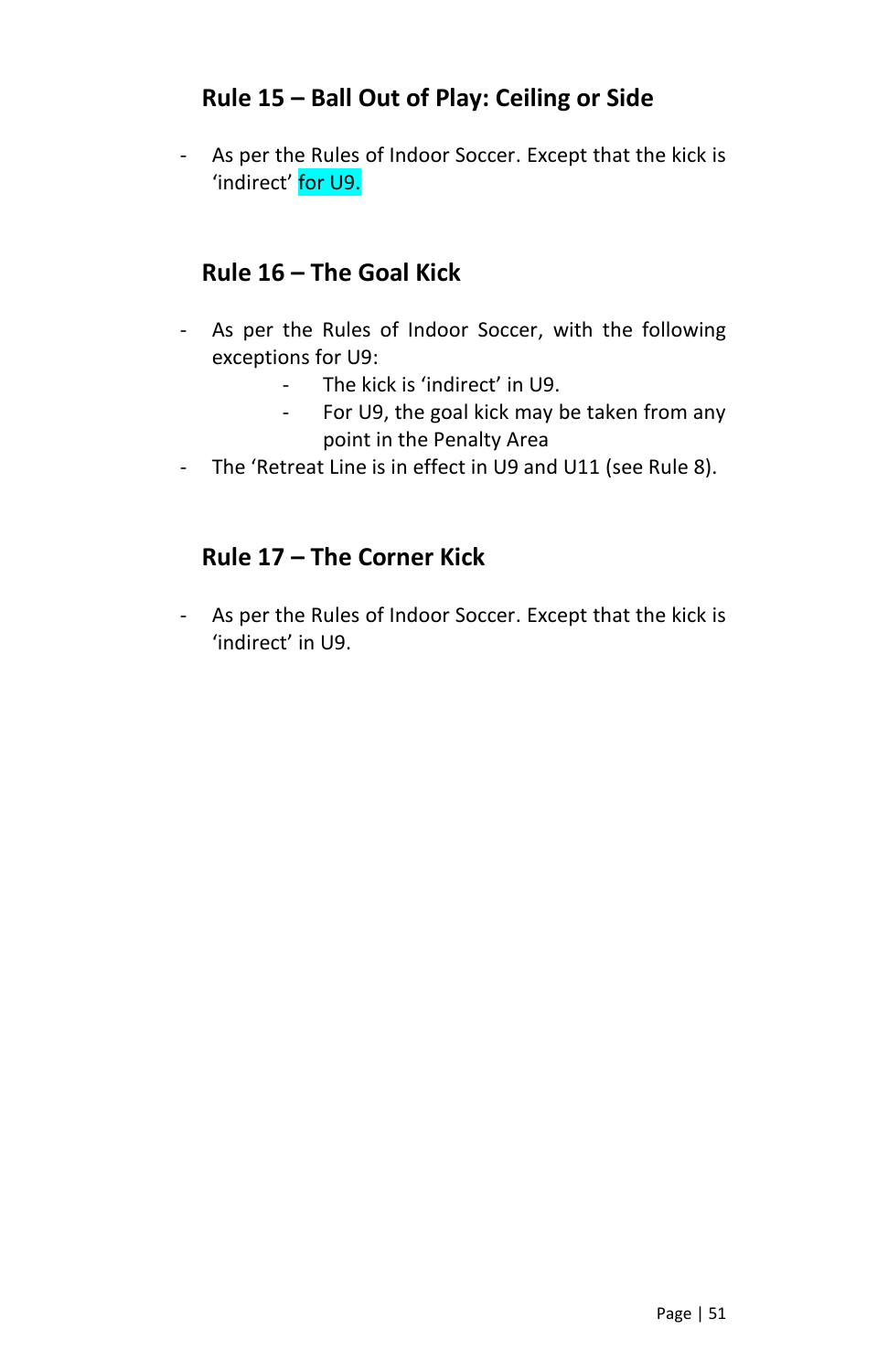## **Rule 15 – Ball Out of Play: Ceiling or Side**

- As per the Rules of Indoor Soccer. Except that the kick is 'indirect' for U9.

### **Rule 16 – The Goal Kick**

- As per the Rules of Indoor Soccer, with the following exceptions for U9:
	- The kick is 'indirect' in U9.
	- For U9, the goal kick may be taken from any point in the Penalty Area
- The 'Retreat Line is in effect in U9 and U11 (see Rule 8).

### **Rule 17 – The Corner Kick**

- As per the Rules of Indoor Soccer. Except that the kick is 'indirect' in U9.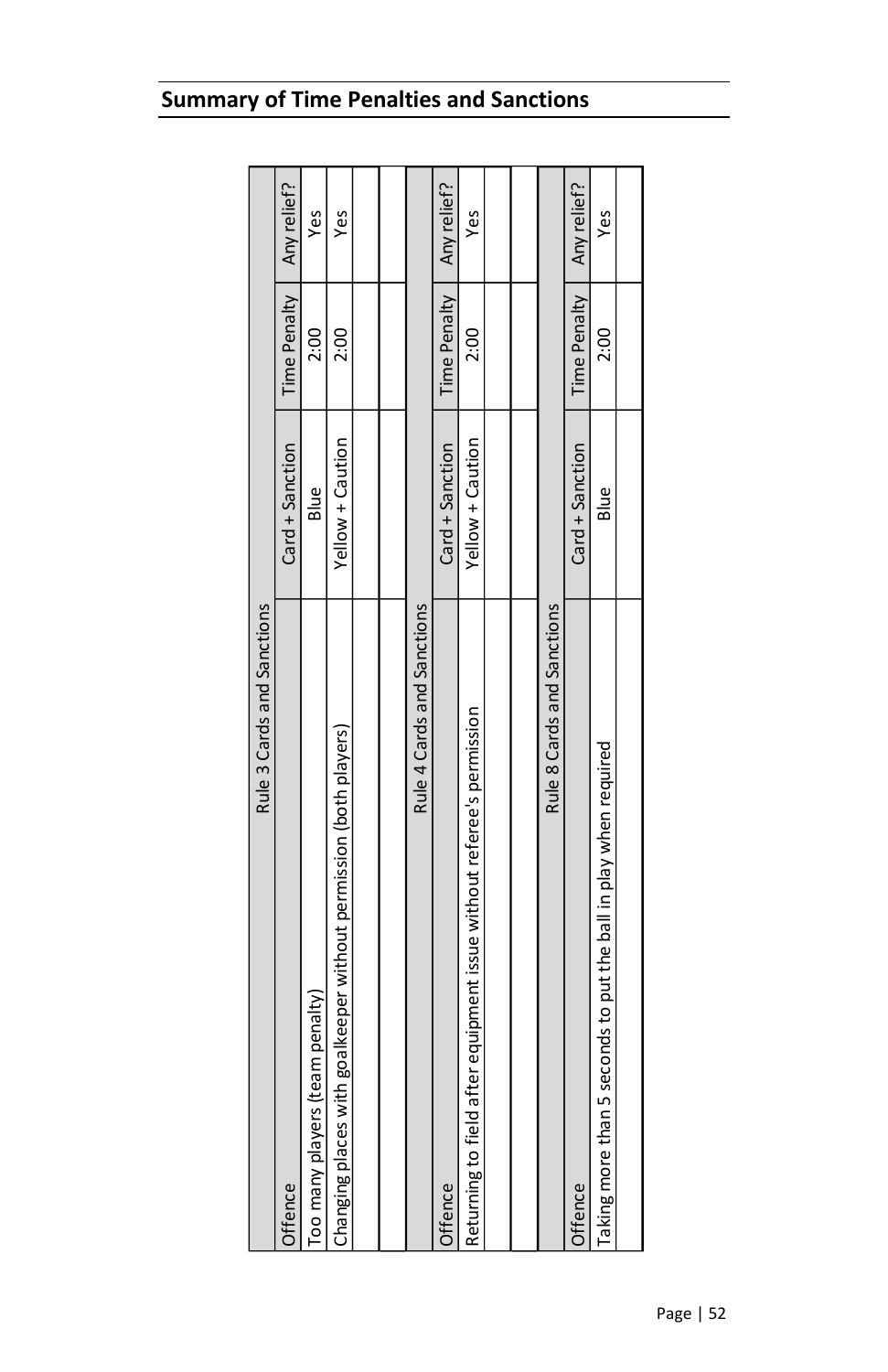| Rule 3 Cards and Sanctions                                            |                   |              |             |
|-----------------------------------------------------------------------|-------------------|--------------|-------------|
| <b>IOffence</b>                                                       | $Card + Sanction$ | Time Penalty | Any relief? |
| Too many players (team penalty)                                       | Blue              | 2:00         | Yes         |
| Changing places with goalkeeper without permission (both players)     | Yellow + Caution  | 2:00         | Yes         |
|                                                                       |                   |              |             |
|                                                                       |                   |              |             |
| Rule 4 Cards and Sanctions                                            |                   |              |             |
| <b>IOffence</b>                                                       | $Card + Sanction$ | Time Penalty | Any relief? |
| Returning to field after equipment issue without referee's permission | Yellow + Caution  | 2:00         | Yes         |
|                                                                       |                   |              |             |
|                                                                       |                   |              |             |
| Rule 8 Cards and Sanctions                                            |                   |              |             |
| Offence                                                               | Card + Sanction   | Time Penalty | Any relief? |
| Taking more than 5 seconds to put the ball in play when required      | Blue              | 2:00         | Yes         |
|                                                                       |                   |              |             |
|                                                                       |                   |              |             |

## **Summary of Time Penalties and Sanctions**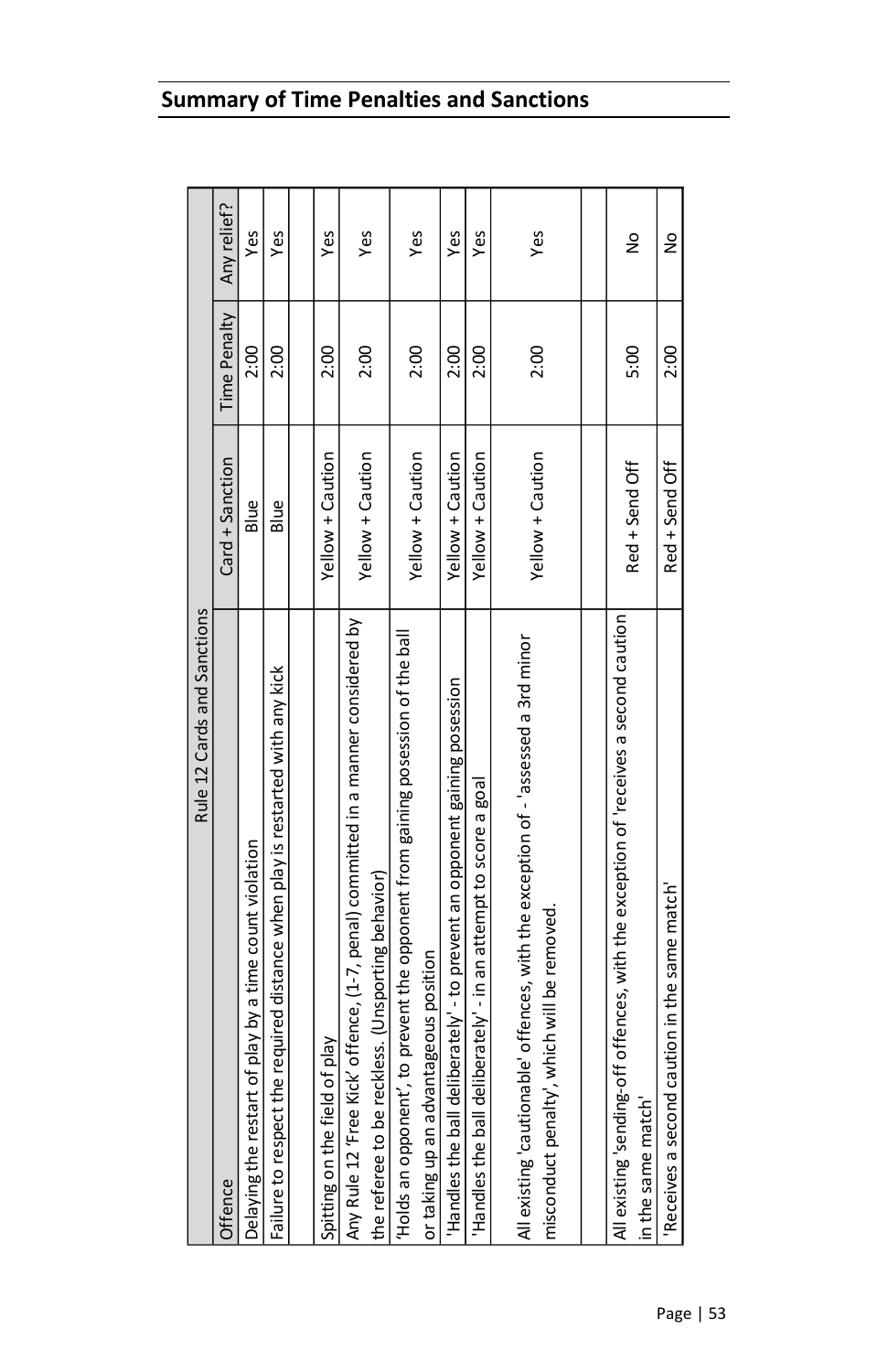<span id="page-52-0"></span>

| Rule 12 Cards and Sanctions                                                          |                  |              |               |
|--------------------------------------------------------------------------------------|------------------|--------------|---------------|
| Offence                                                                              | Card + Sanction  | Time Penalty | Any relief?   |
| Delaying the restart of play by a time count violation                               | Blue             | 2:00         | Yes           |
| Failure to respect the required distance when play is restarted with any kick        | Blue             | 2:00         | Yes           |
|                                                                                      |                  |              |               |
| Spitting on the field of play                                                        | Yellow + Caution | 2:00         | Yes           |
| Any Rule 12 'Free Kick' offence, (1-7, penal) committed in a manner considered by    | Yellow + Caution | 2:00         | Yes           |
| the referee to be reckless. (Unsporting behavior)                                    |                  |              |               |
| 'Holds an opponent', to prevent the opponent from gaining posession of the ball      | Yellow + Caution | 2:00         | Yes           |
| or taking up an advantageous position                                                |                  |              |               |
| 'Handles the ball deliberately' - to prevent an opponent gaining posession           | Yellow + Caution | 2:00         | Yes           |
| 'Handles the ball deliberately' - in an attempt to score a goal                      | Yellow + Caution | 2:00         | Yes           |
| All existing 'cautionable' offences, with the exception of - 'assessed a 3rd minor   |                  |              |               |
| misconduct penalty', which will be removed.                                          | Yellow + Caution | 2:00         | Yes           |
|                                                                                      |                  |              |               |
| All existing 'sending-off offences, with the exception of 'receives a second caution | Red + Send Off   | 5:00         | $\frac{1}{2}$ |
| in the same match'                                                                   |                  |              |               |
| Receives a second caution in the same match                                          | Red + Send Off   | 2:00         | $\frac{1}{2}$ |

## **Summary of Time Penalties and Sanctions**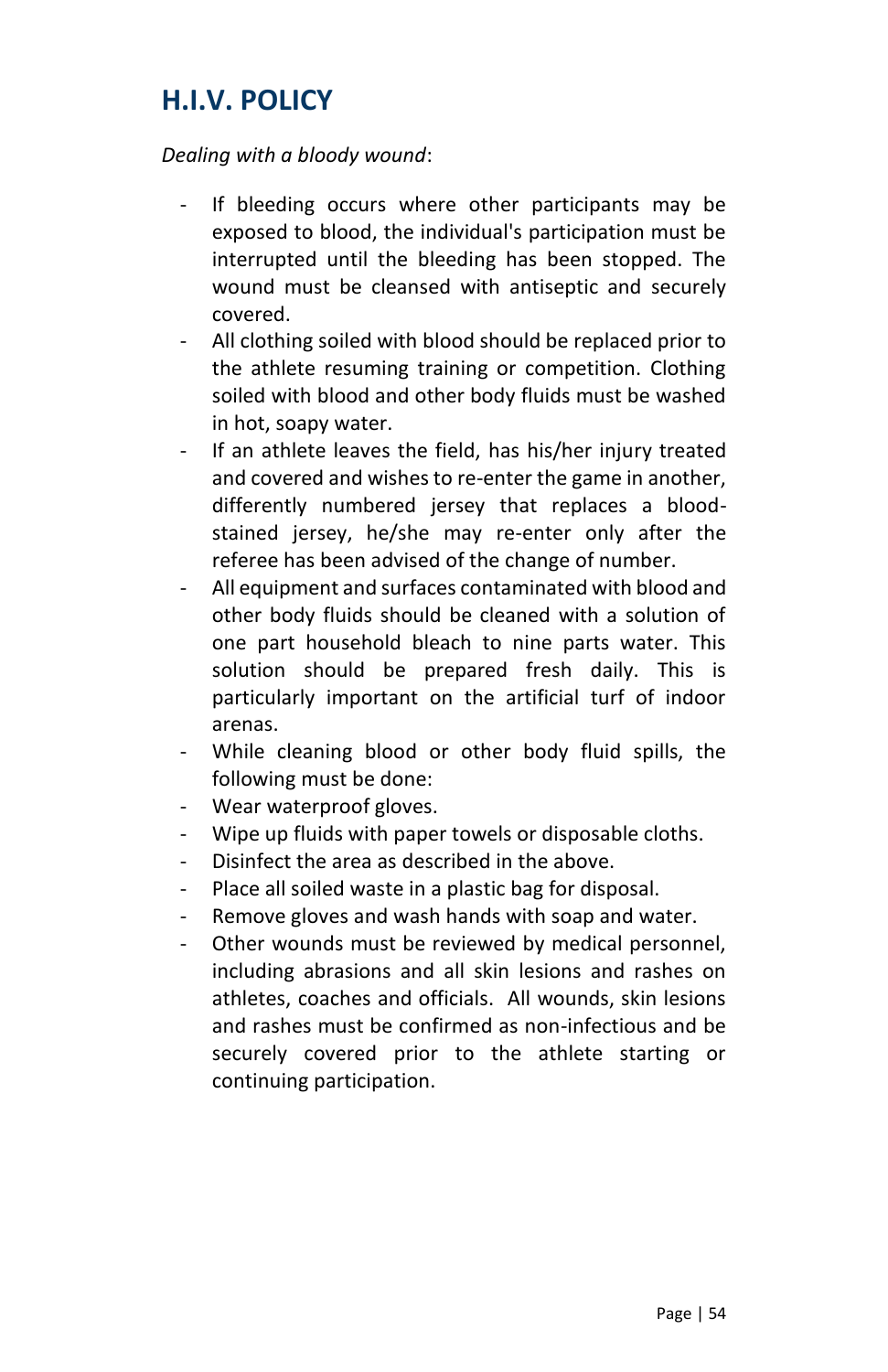## **H.I.V. POLICY**

#### *Dealing with a bloody wound*:

- If bleeding occurs where other participants may be exposed to blood, the individual's participation must be interrupted until the bleeding has been stopped. The wound must be cleansed with antiseptic and securely covered.
- All clothing soiled with blood should be replaced prior to the athlete resuming training or competition. Clothing soiled with blood and other body fluids must be washed in hot, soapy water.
- If an athlete leaves the field, has his/her injury treated and covered and wishes to re-enter the game in another, differently numbered jersey that replaces a bloodstained jersey, he/she may re-enter only after the referee has been advised of the change of number.
- All equipment and surfaces contaminated with blood and other body fluids should be cleaned with a solution of one part household bleach to nine parts water. This solution should be prepared fresh daily. This is particularly important on the artificial turf of indoor arenas.
- While cleaning blood or other body fluid spills, the following must be done:
- Wear waterproof gloves.
- Wipe up fluids with paper towels or disposable cloths.
- Disinfect the area as described in the above.
- Place all soiled waste in a plastic bag for disposal.
- Remove gloves and wash hands with soap and water.
- <span id="page-53-0"></span>Other wounds must be reviewed by medical personnel, including abrasions and all skin lesions and rashes on athletes, coaches and officials. All wounds, skin lesions and rashes must be confirmed as non-infectious and be securely covered prior to the athlete starting or continuing participation.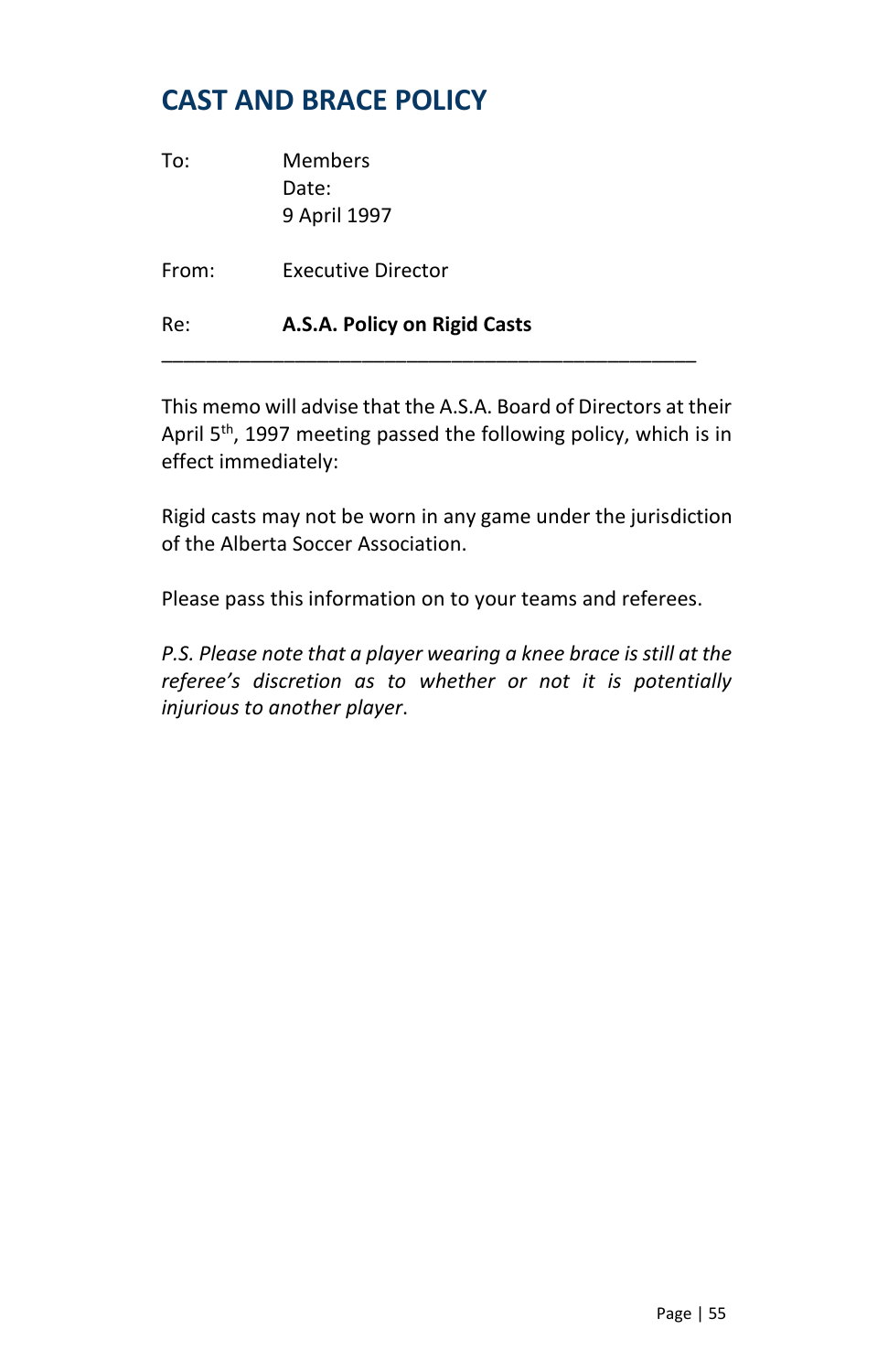## **CAST AND BRACE POLICY**

| To:   | <b>Members</b><br>Date:<br>9 April 1997 |
|-------|-----------------------------------------|
| From: | <b>Executive Director</b>               |
| Re:   | A.S.A. Policy on Rigid Casts            |

This memo will advise that the A.S.A. Board of Directors at their April 5<sup>th</sup>, 1997 meeting passed the following policy, which is in effect immediately:

Rigid casts may not be worn in any game under the jurisdiction of the Alberta Soccer Association.

Please pass this information on to your teams and referees.

<span id="page-54-0"></span>*P.S. Please note that a player wearing a knee brace is still at the referee's discretion as to whether or not it is potentially injurious to another player*.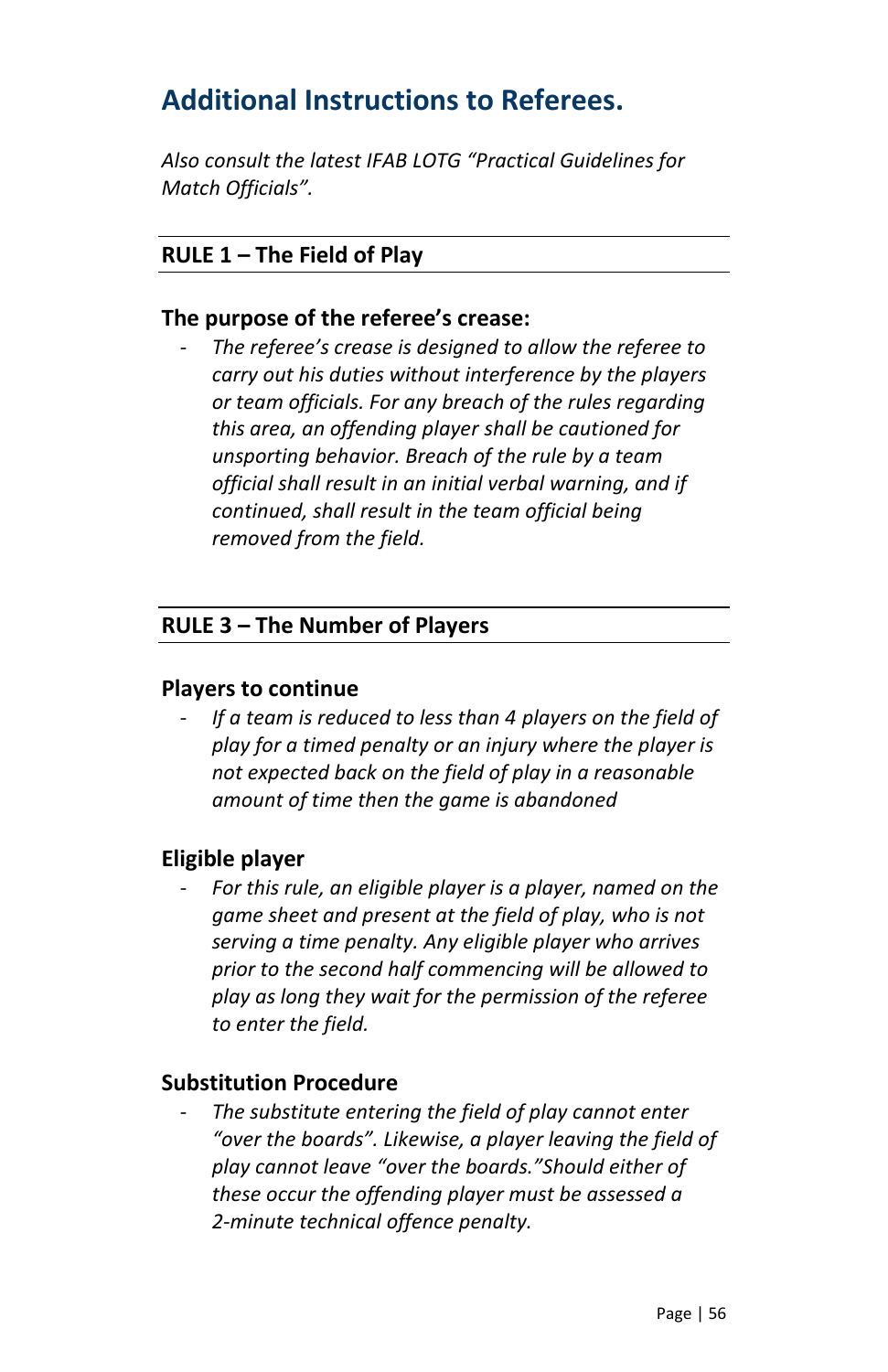## **Additional Instructions to Referees.**

*Also consult the latest IFAB LOTG "Practical Guidelines for Match Officials".*

### **RULE 1 – The Field of Play**

#### **The purpose of the referee's crease:**

- *The referee's crease is designed to allow the referee to carry out his duties without interference by the players or team officials. For any breach of the rules regarding this area, an offending player shall be cautioned for unsporting behavior. Breach of the rule by a team official shall result in an initial verbal warning, and if continued, shall result in the team official being removed from the field.*

#### **RULE 3 – The Number of Players**

#### **Players to continue**

- *If a team is reduced to less than 4 players on the field of play for a timed penalty or an injury where the player is not expected back on the field of play in a reasonable amount of time then the game is abandoned*

#### **Eligible player**

- *For this rule, an eligible player is a player, named on the game sheet and present at the field of play, who is not serving a time penalty. Any eligible player who arrives prior to the second half commencing will be allowed to play as long they wait for the permission of the referee to enter the field.*

#### **Substitution Procedure**

- *The substitute entering the field of play cannot enter "over the boards". Likewise, a player leaving the field of play cannot leave "over the boards."Should either of these occur the offending player must be assessed a 2-minute technical offence penalty.*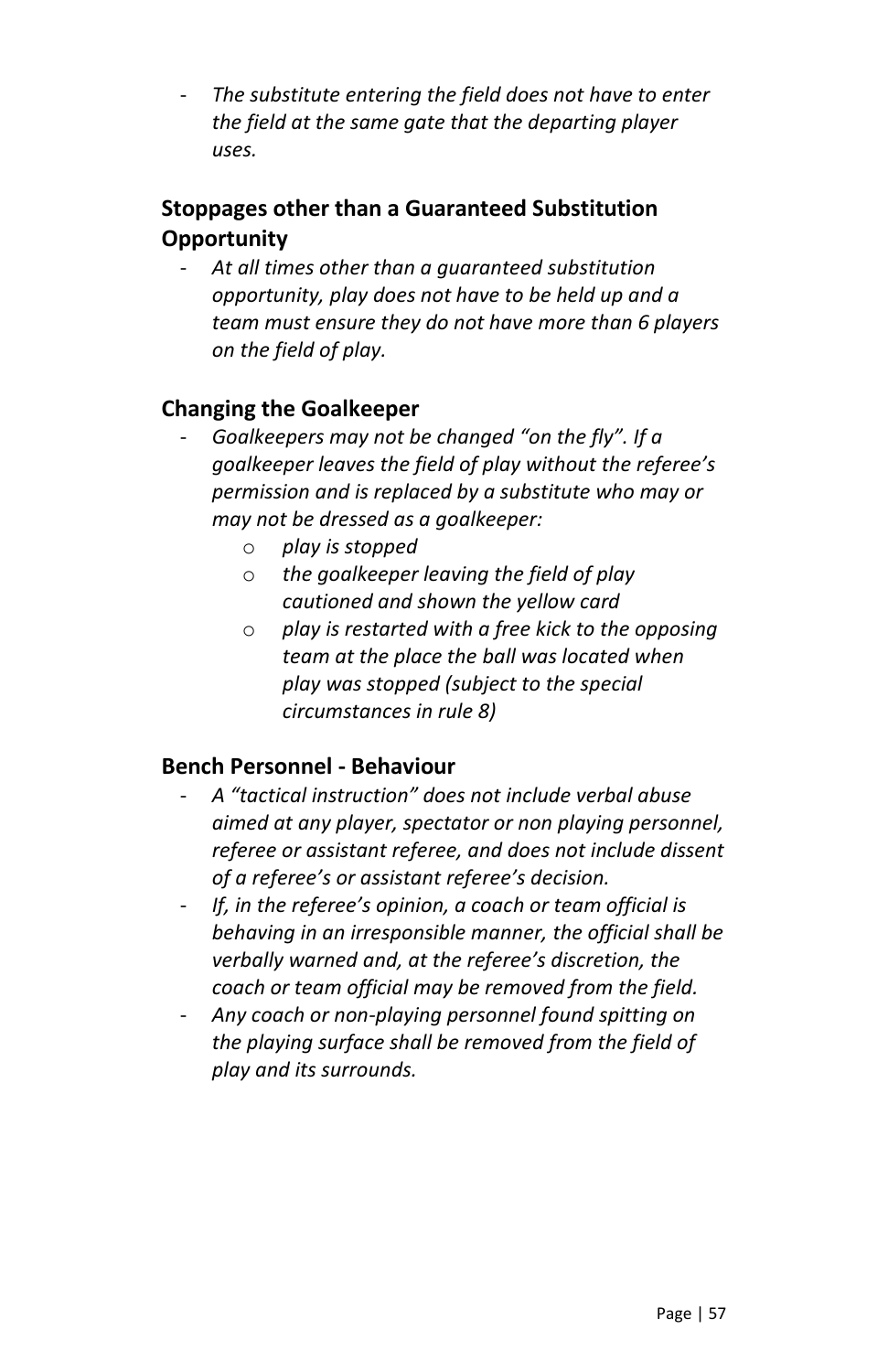The substitute entering the field does not have to enter *the field at the same gate that the departing player uses.*

### **Stoppages other than a Guaranteed Substitution Opportunity**

- *At all times other than a guaranteed substitution opportunity, play does not have to be held up and a team must ensure they do not have more than 6 players on the field of play.*

### **Changing the Goalkeeper**

- *Goalkeepers may not be changed "on the fly". If a goalkeeper leaves the field of play without the referee's permission and is replaced by a substitute who may or may not be dressed as a goalkeeper:*
	- o *play is stopped*
	- o *the goalkeeper leaving the field of play cautioned and shown the yellow card*
	- o *play is restarted with a free kick to the opposing team at the place the ball was located when play was stopped (subject to the special circumstances in rule 8)*

#### **Bench Personnel - Behaviour**

- *A "tactical instruction" does not include verbal abuse aimed at any player, spectator or non playing personnel, referee or assistant referee, and does not include dissent of a referee's or assistant referee's decision.*
- *If, in the referee's opinion, a coach or team official is behaving in an irresponsible manner, the official shall be verbally warned and, at the referee's discretion, the coach or team official may be removed from the field.*
- *Any coach or non-playing personnel found spitting on the playing surface shall be removed from the field of play and its surrounds.*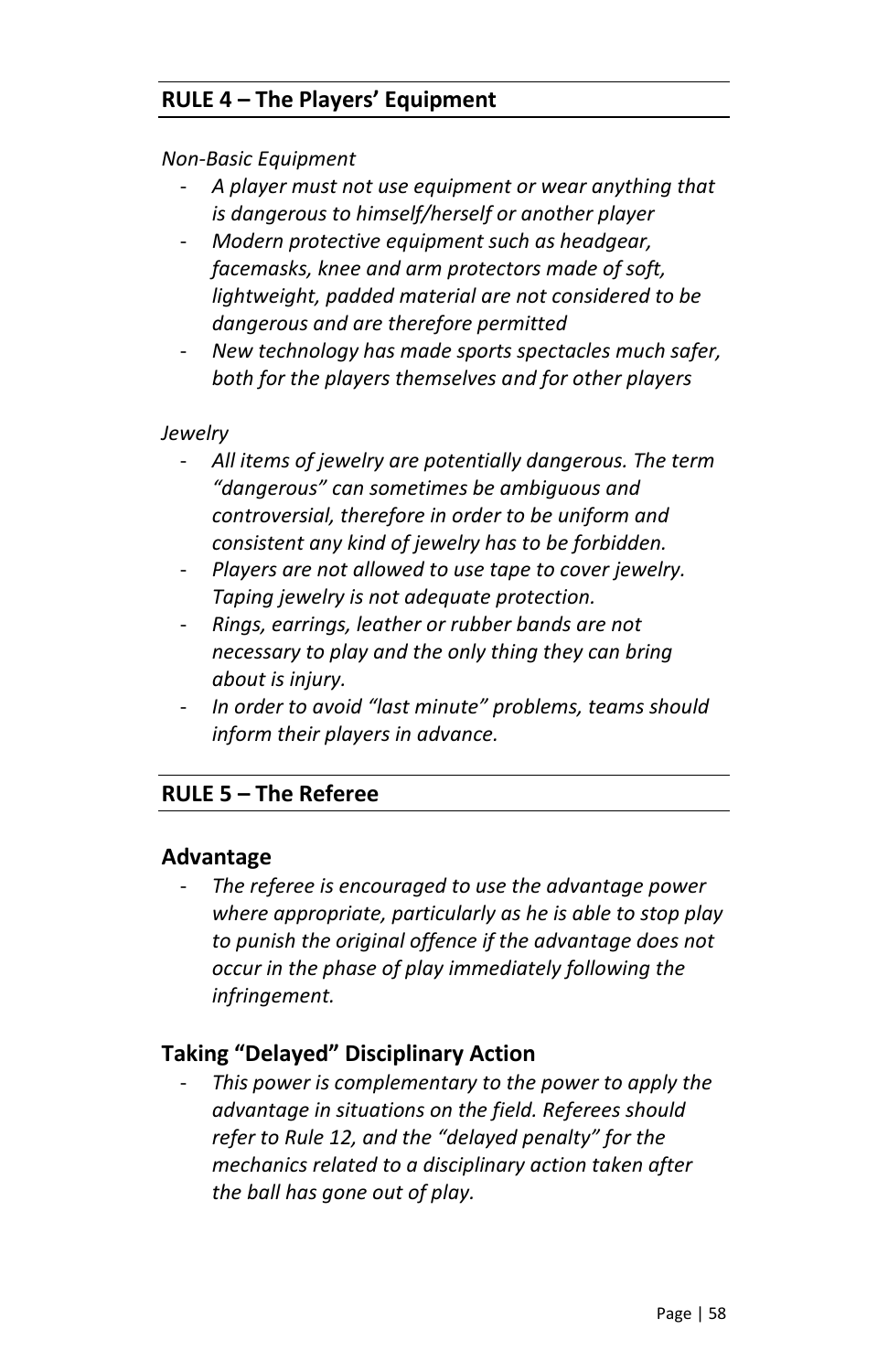### **RULE 4 – The Players' Equipment**

#### *Non-Basic Equipment*

- *A player must not use equipment or wear anything that is dangerous to himself/herself or another player*
- *Modern protective equipment such as headgear, facemasks, knee and arm protectors made of soft, lightweight, padded material are not considered to be dangerous and are therefore permitted*
- *New technology has made sports spectacles much safer, both for the players themselves and for other players*

#### *Jewelry*

- *All items of jewelry are potentially dangerous. The term "dangerous" can sometimes be ambiguous and controversial, therefore in order to be uniform and consistent any kind of jewelry has to be forbidden.*
- *Players are not allowed to use tape to cover jewelry. Taping jewelry is not adequate protection.*
- *Rings, earrings, leather or rubber bands are not necessary to play and the only thing they can bring about is injury.*
- *In order to avoid "last minute" problems, teams should inform their players in advance.*

#### **RULE 5 – The Referee**

#### **Advantage**

- *The referee is encouraged to use the advantage power where appropriate, particularly as he is able to stop play to punish the original offence if the advantage does not occur in the phase of play immediately following the infringement.*

#### **Taking "Delayed" Disciplinary Action**

- *This power is complementary to the power to apply the advantage in situations on the field. Referees should refer to Rule 12, and the "delayed penalty" for the mechanics related to a disciplinary action taken after the ball has gone out of play.*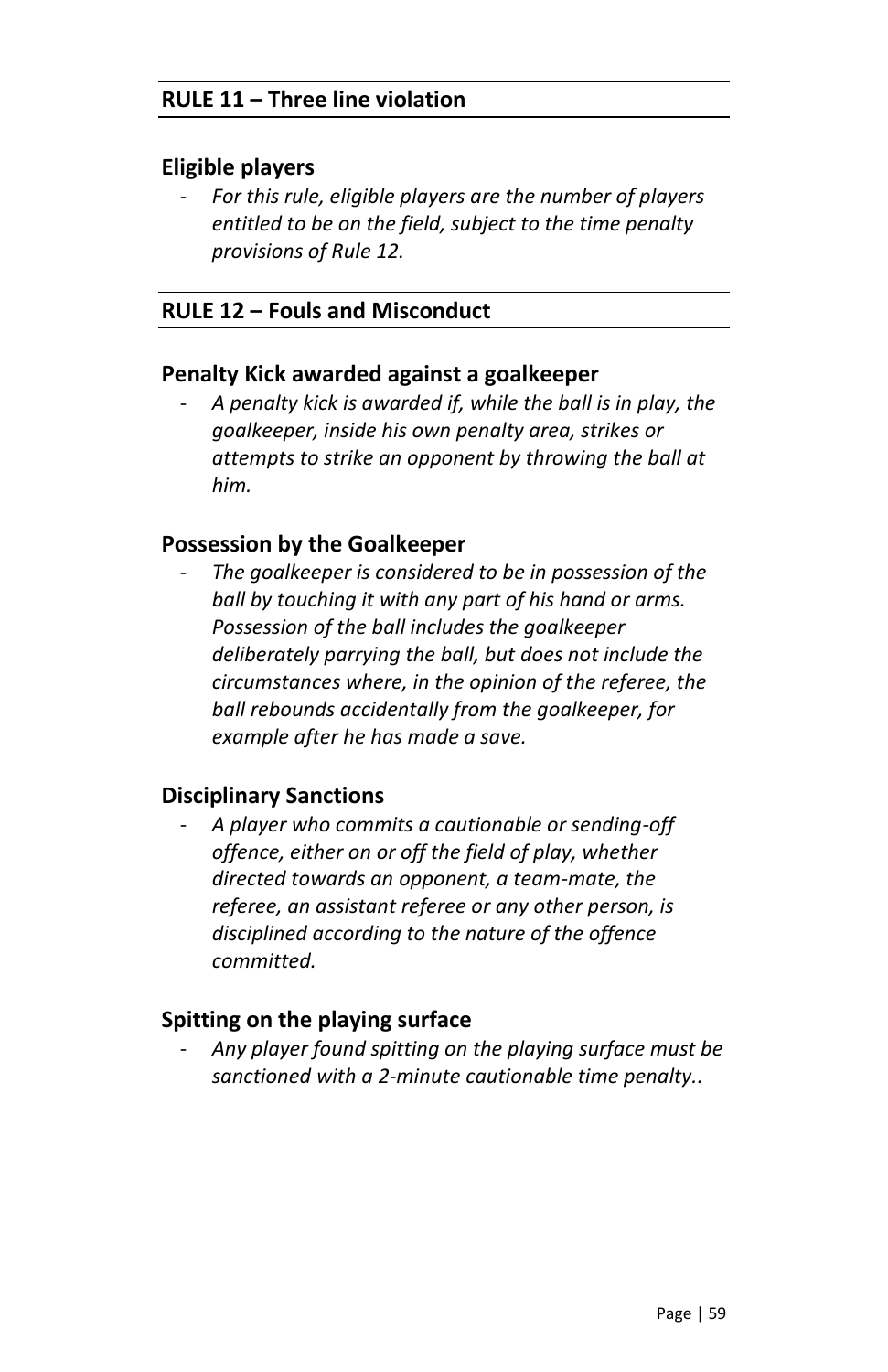#### **Eligible players**

- *For this rule, eligible players are the number of players entitled to be on the field, subject to the time penalty provisions of Rule 12.*

#### **RULE 12 – Fouls and Misconduct**

#### **Penalty Kick awarded against a goalkeeper**

- *A penalty kick is awarded if, while the ball is in play, the goalkeeper, inside his own penalty area, strikes or attempts to strike an opponent by throwing the ball at him.*

#### **Possession by the Goalkeeper**

- *The goalkeeper is considered to be in possession of the ball by touching it with any part of his hand or arms. Possession of the ball includes the goalkeeper deliberately parrying the ball, but does not include the circumstances where, in the opinion of the referee, the ball rebounds accidentally from the goalkeeper, for example after he has made a save.*

#### **Disciplinary Sanctions**

- *A player who commits a cautionable or sending-off offence, either on or off the field of play, whether directed towards an opponent, a team-mate, the referee, an assistant referee or any other person, is disciplined according to the nature of the offence committed.*

#### **Spitting on the playing surface**

- *Any player found spitting on the playing surface must be sanctioned with a 2-minute cautionable time penalty..*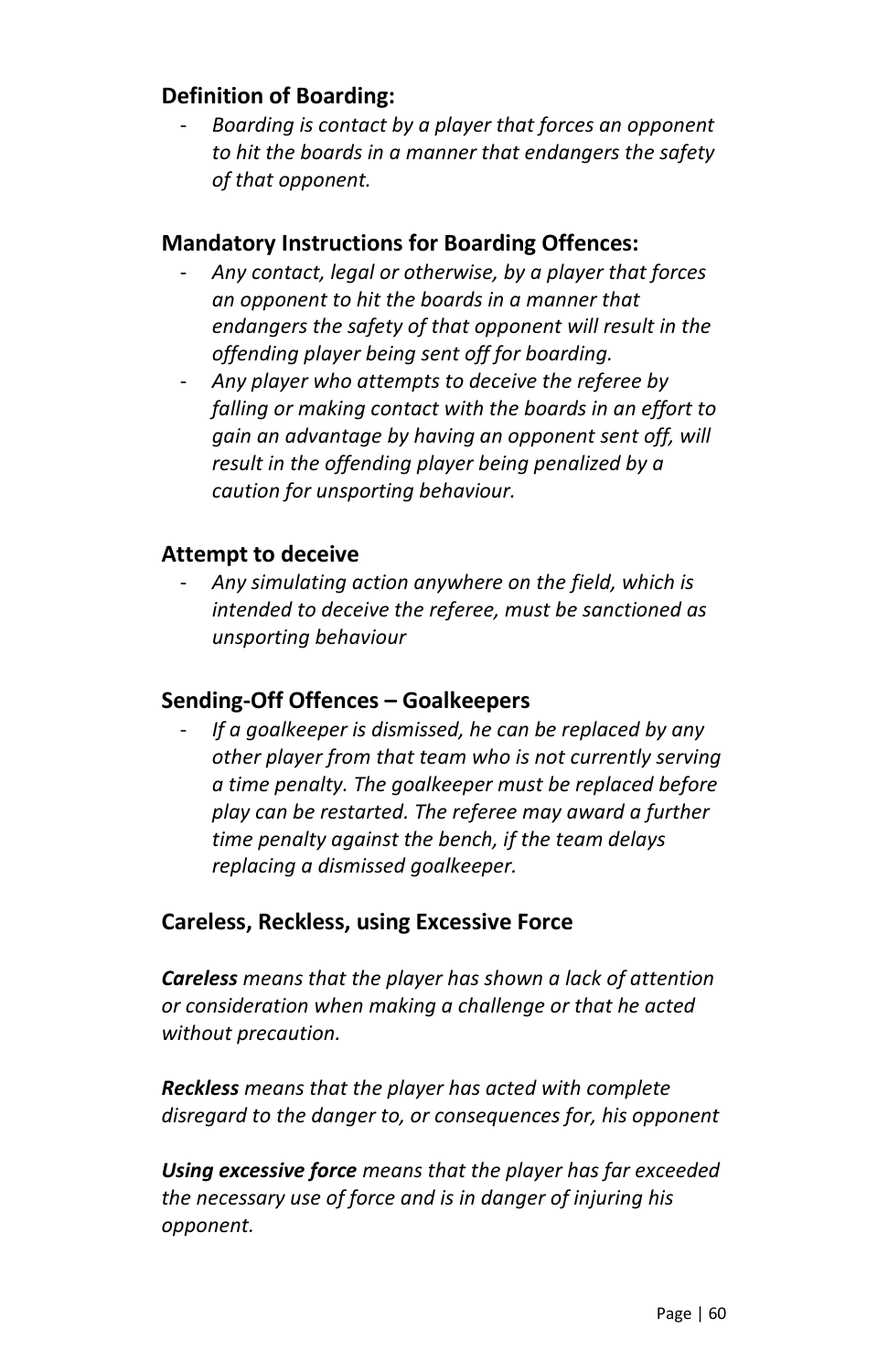### **Definition of Boarding:**

- *Boarding is contact by a player that forces an opponent to hit the boards in a manner that endangers the safety of that opponent.*

#### **Mandatory Instructions for Boarding Offences:**

- *Any contact, legal or otherwise, by a player that forces an opponent to hit the boards in a manner that endangers the safety of that opponent will result in the offending player being sent off for boarding.*
- *Any player who attempts to deceive the referee by falling or making contact with the boards in an effort to gain an advantage by having an opponent sent off, will result in the offending player being penalized by a caution for unsporting behaviour.*

#### **Attempt to deceive**

- *Any simulating action anywhere on the field, which is intended to deceive the referee, must be sanctioned as unsporting behaviour*

#### **Sending-Off Offences – Goalkeepers**

- *If a goalkeeper is dismissed, he can be replaced by any other player from that team who is not currently serving a time penalty. The goalkeeper must be replaced before play can be restarted. The referee may award a further time penalty against the bench, if the team delays replacing a dismissed goalkeeper.* 

#### **Careless, Reckless, using Excessive Force**

*Careless means that the player has shown a lack of attention or consideration when making a challenge or that he acted without precaution.*

*Reckless means that the player has acted with complete disregard to the danger to, or consequences for, his opponent*

<span id="page-59-0"></span>*Using excessive force means that the player has far exceeded the necessary use of force and is in danger of injuring his opponent.*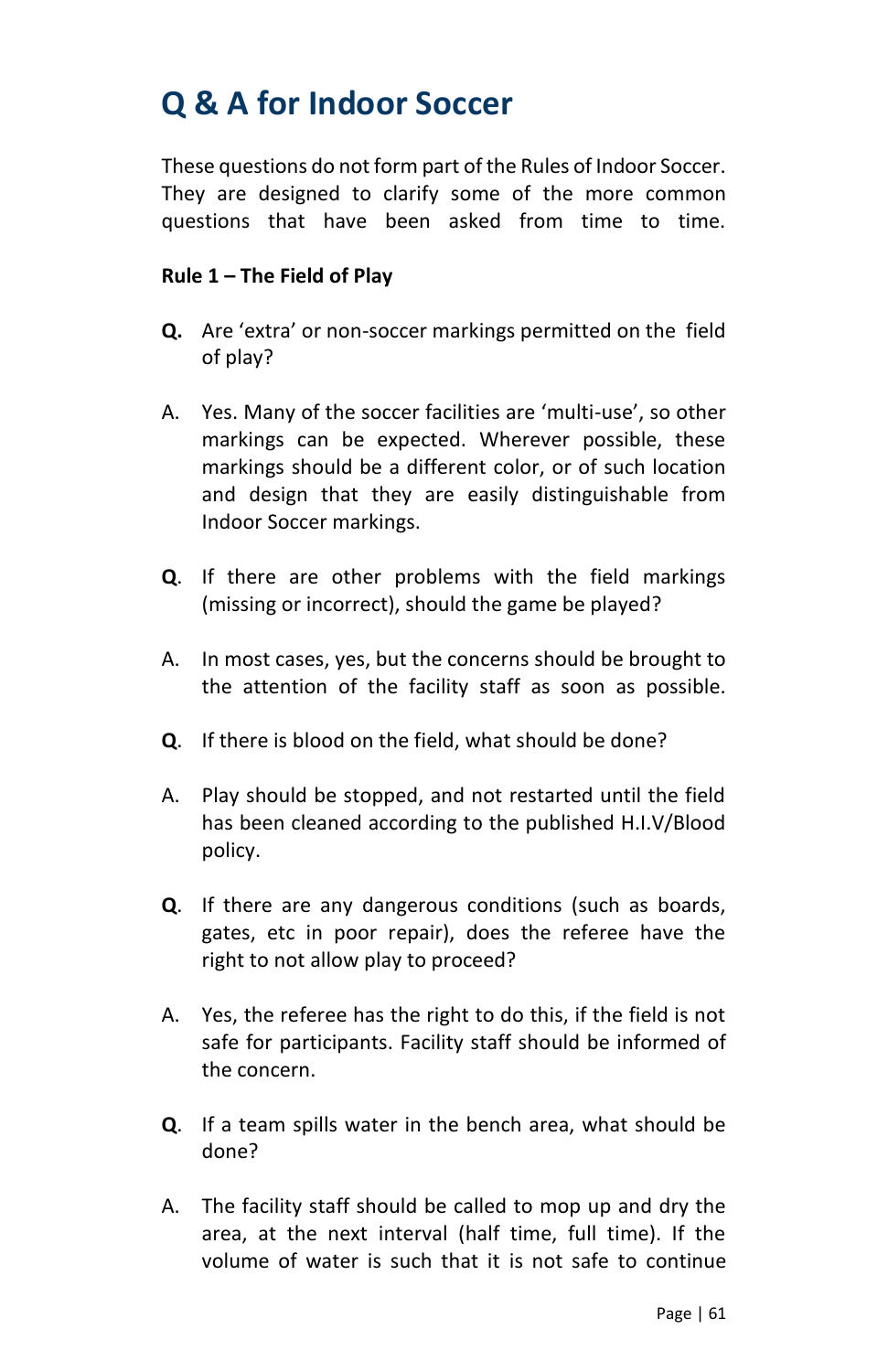## **Q & A for Indoor Soccer**

These questions do not form part of the Rules of Indoor Soccer. They are designed to clarify some of the more common questions that have been asked from time to time.

#### **Rule 1 – The Field of Play**

- **Q.** Are 'extra' or non-soccer markings permitted on the field of play?
- A. Yes. Many of the soccer facilities are 'multi-use', so other markings can be expected. Wherever possible, these markings should be a different color, or of such location and design that they are easily distinguishable from Indoor Soccer markings.
- **Q**. If there are other problems with the field markings (missing or incorrect), should the game be played?
- A. In most cases, yes, but the concerns should be brought to the attention of the facility staff as soon as possible.
- **Q**. If there is blood on the field, what should be done?
- A. Play should be stopped, and not restarted until the field has been cleaned according to the published H.I.V/Blood policy.
- **Q**. If there are any dangerous conditions (such as boards, gates, etc in poor repair), does the referee have the right to not allow play to proceed?
- A. Yes, the referee has the right to do this, if the field is not safe for participants. Facility staff should be informed of the concern.
- **Q**. If a team spills water in the bench area, what should be done?
- A. The facility staff should be called to mop up and dry the area, at the next interval (half time, full time). If the volume of water is such that it is not safe to continue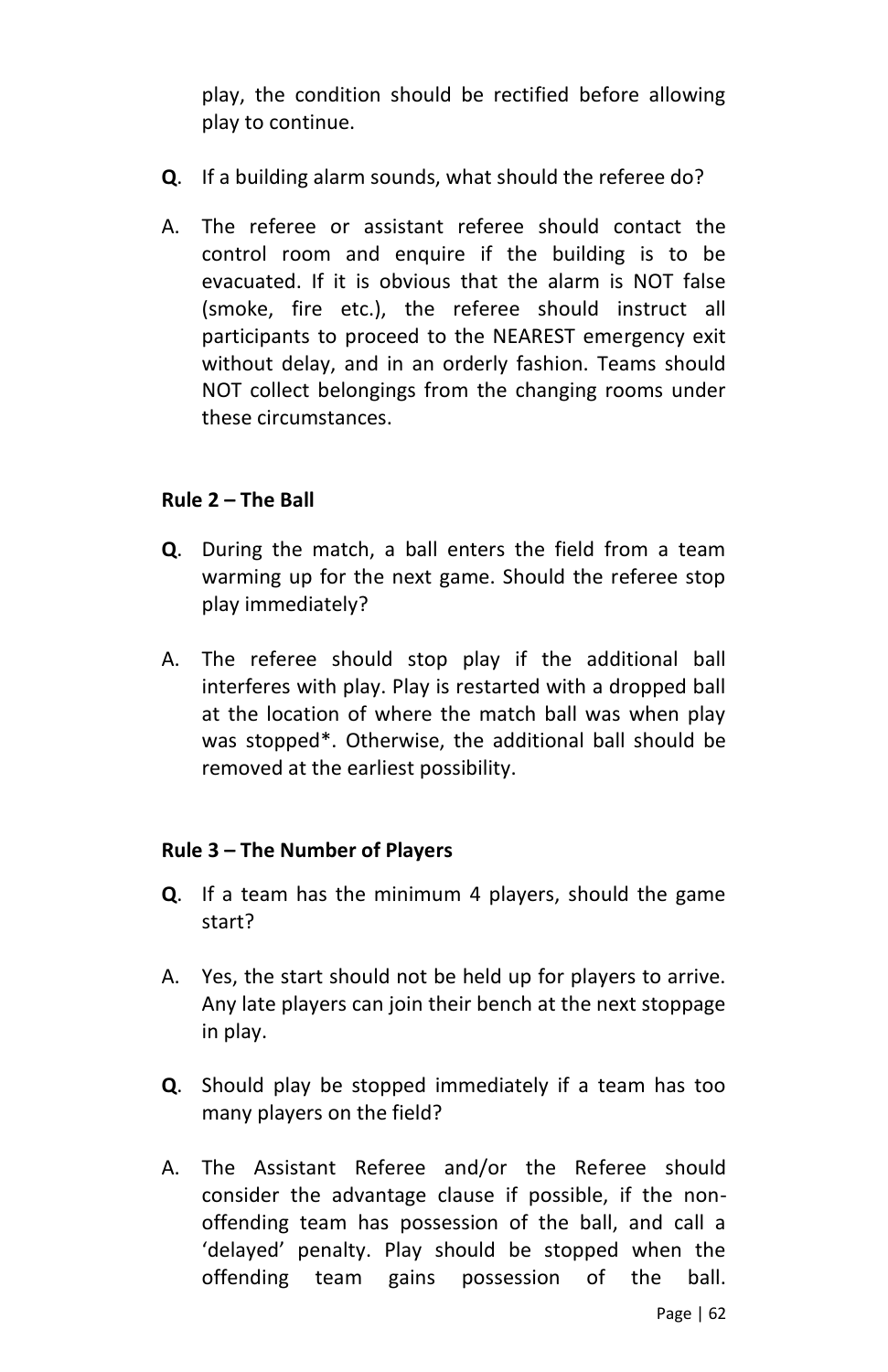play, the condition should be rectified before allowing play to continue.

- **Q**. If a building alarm sounds, what should the referee do?
- A. The referee or assistant referee should contact the control room and enquire if the building is to be evacuated. If it is obvious that the alarm is NOT false (smoke, fire etc.), the referee should instruct all participants to proceed to the NEAREST emergency exit without delay, and in an orderly fashion. Teams should NOT collect belongings from the changing rooms under these circumstances.

#### **Rule 2 – The Ball**

- **Q**. During the match, a ball enters the field from a team warming up for the next game. Should the referee stop play immediately?
- A. The referee should stop play if the additional ball interferes with play. Play is restarted with a dropped ball at the location of where the match ball was when play was stopped\*. Otherwise, the additional ball should be removed at the earliest possibility.

#### **Rule 3 – The Number of Players**

- **Q**. If a team has the minimum 4 players, should the game start?
- A. Yes, the start should not be held up for players to arrive. Any late players can join their bench at the next stoppage in play.
- **Q**. Should play be stopped immediately if a team has too many players on the field?
- A. The Assistant Referee and/or the Referee should consider the advantage clause if possible, if the nonoffending team has possession of the ball, and call a 'delayed' penalty. Play should be stopped when the offending team gains possession of the ball.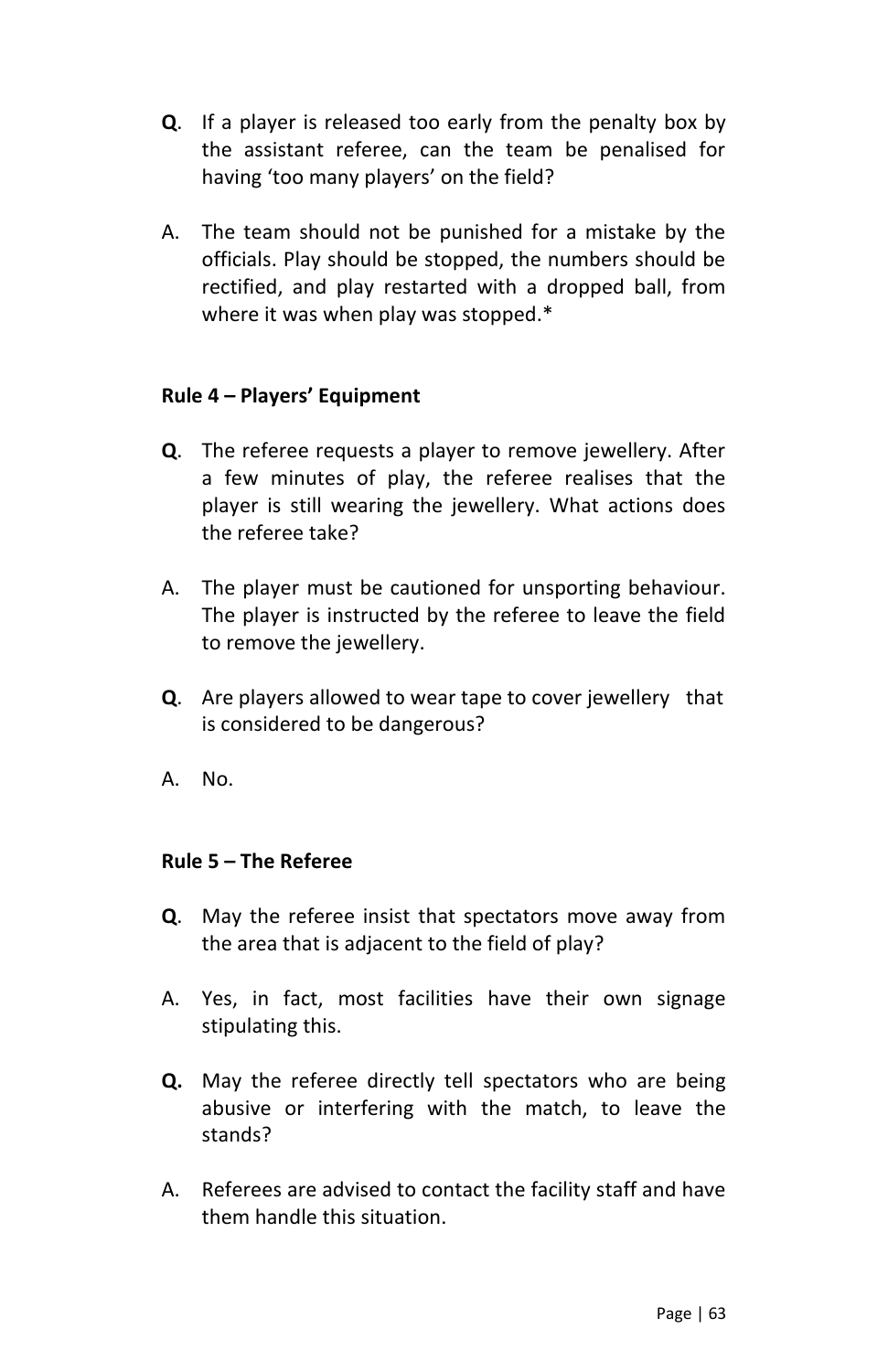- **Q**. If a player is released too early from the penalty box by the assistant referee, can the team be penalised for having 'too many players' on the field?
- A. The team should not be punished for a mistake by the officials. Play should be stopped, the numbers should be rectified, and play restarted with a dropped ball, from where it was when play was stopped.\*

#### **Rule 4 – Players' Equipment**

- **Q**. The referee requests a player to remove jewellery. After a few minutes of play, the referee realises that the player is still wearing the jewellery. What actions does the referee take?
- A. The player must be cautioned for unsporting behaviour. The player is instructed by the referee to leave the field to remove the jewellery.
- **Q**. Are players allowed to wear tape to cover jewellery that is considered to be dangerous?
- A. No.

#### **Rule 5 – The Referee**

- **Q**. May the referee insist that spectators move away from the area that is adjacent to the field of play?
- A. Yes, in fact, most facilities have their own signage stipulating this.
- **Q.** May the referee directly tell spectators who are being abusive or interfering with the match, to leave the stands?
- A. Referees are advised to contact the facility staff and have them handle this situation.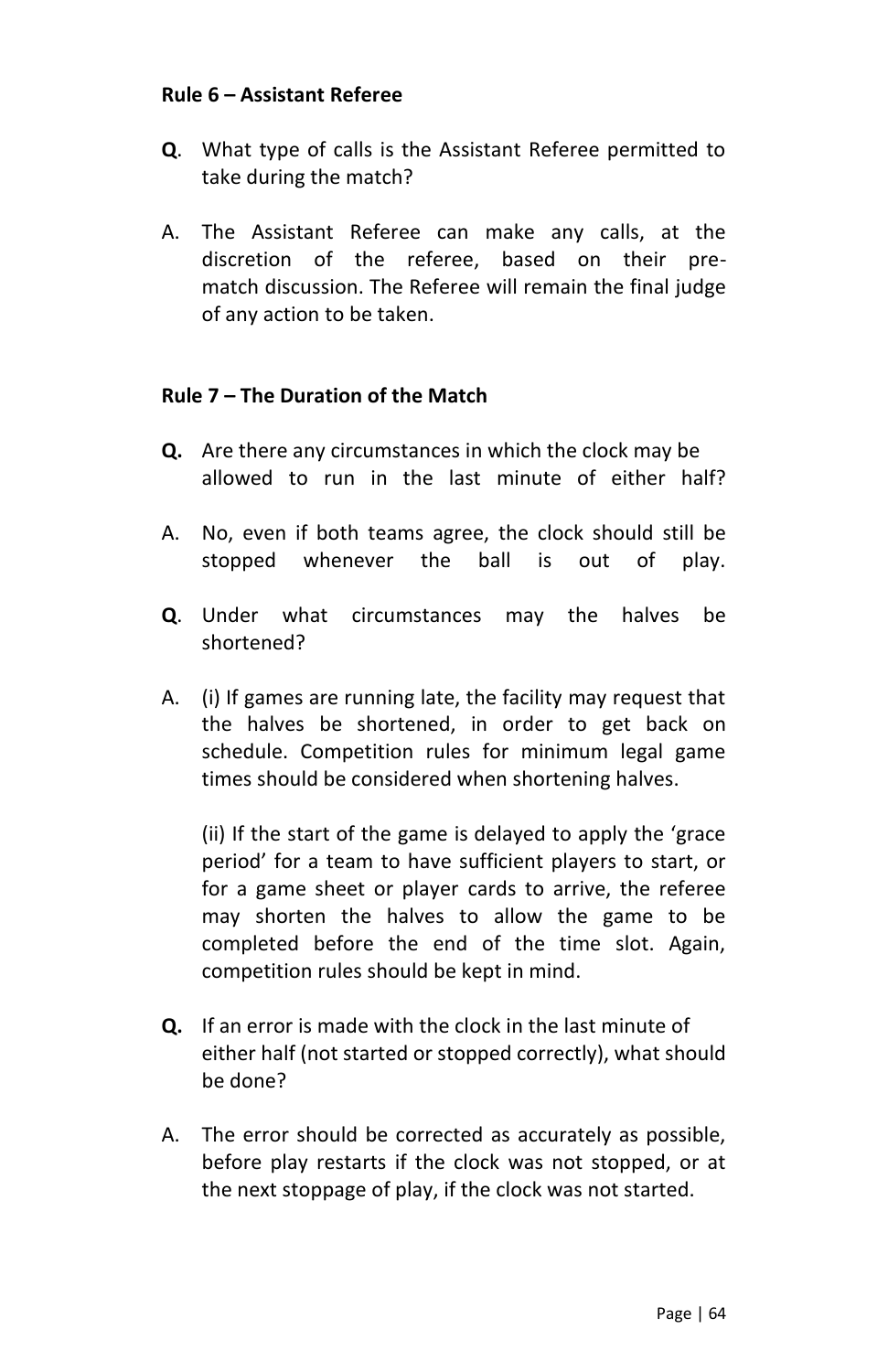#### **Rule 6 – Assistant Referee**

- **Q**. What type of calls is the Assistant Referee permitted to take during the match?
- A. The Assistant Referee can make any calls, at the discretion of the referee, based on their prematch discussion. The Referee will remain the final judge of any action to be taken.

#### **Rule 7 – The Duration of the Match**

- **Q.** Are there any circumstances in which the clock may be allowed to run in the last minute of either half?
- A. No, even if both teams agree, the clock should still be stopped whenever the ball is out of play.
- **Q**. Under what circumstances may the halves be shortened?
- A. (i) If games are running late, the facility may request that the halves be shortened, in order to get back on schedule. Competition rules for minimum legal game times should be considered when shortening halves.

(ii) If the start of the game is delayed to apply the 'grace period' for a team to have sufficient players to start, or for a game sheet or player cards to arrive, the referee may shorten the halves to allow the game to be completed before the end of the time slot. Again, competition rules should be kept in mind.

- **Q.** If an error is made with the clock in the last minute of either half (not started or stopped correctly), what should be done?
- A. The error should be corrected as accurately as possible, before play restarts if the clock was not stopped, or at the next stoppage of play, if the clock was not started.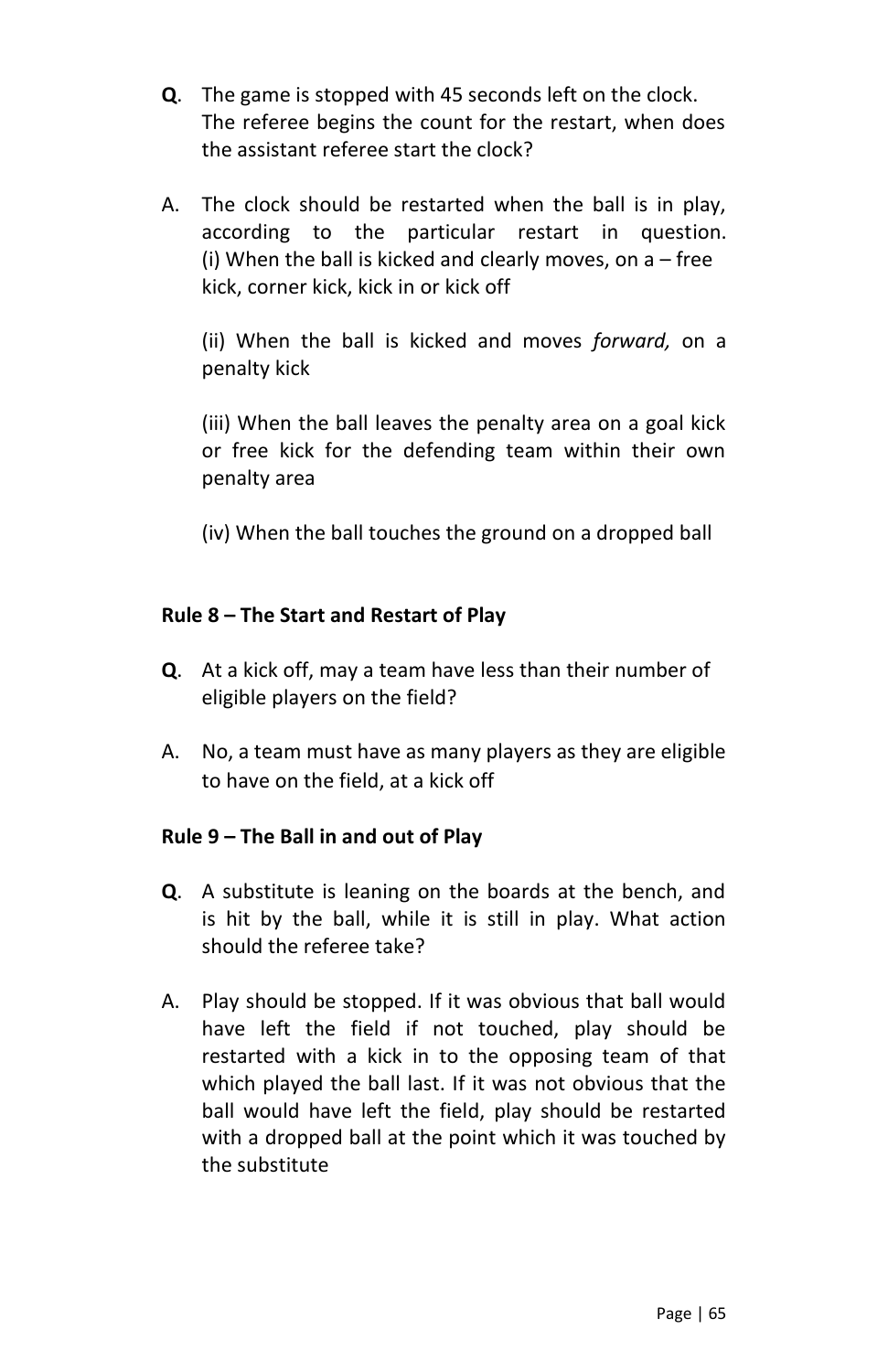- **Q**. The game is stopped with 45 seconds left on the clock. The referee begins the count for the restart, when does the assistant referee start the clock?
- A. The clock should be restarted when the ball is in play, according to the particular restart in question. (i) When the ball is kicked and clearly moves, on a – free kick, corner kick, kick in or kick off

(ii) When the ball is kicked and moves *forward,* on a penalty kick

(iii) When the ball leaves the penalty area on a goal kick or free kick for the defending team within their own penalty area

(iv) When the ball touches the ground on a dropped ball

#### **Rule 8 – The Start and Restart of Play**

- **Q**. At a kick off, may a team have less than their number of eligible players on the field?
- A. No, a team must have as many players as they are eligible to have on the field, at a kick off

#### **Rule 9 – The Ball in and out of Play**

- **Q**. A substitute is leaning on the boards at the bench, and is hit by the ball, while it is still in play. What action should the referee take?
- A. Play should be stopped. If it was obvious that ball would have left the field if not touched, play should be restarted with a kick in to the opposing team of that which played the ball last. If it was not obvious that the ball would have left the field, play should be restarted with a dropped ball at the point which it was touched by the substitute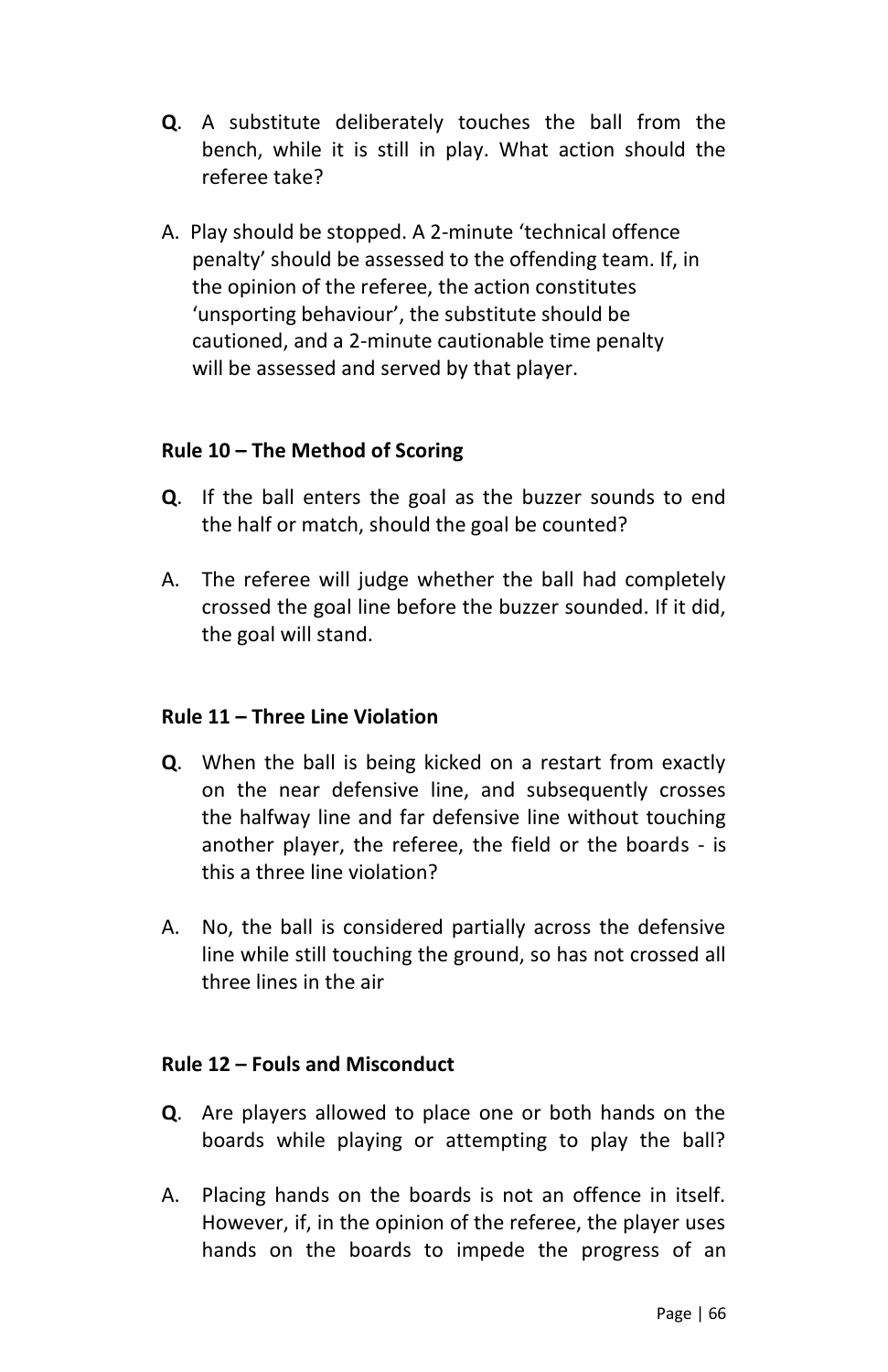- **Q**. A substitute deliberately touches the ball from the bench, while it is still in play. What action should the referee take?
- A. Play should be stopped. A 2-minute 'technical offence penalty' should be assessed to the offending team. If, in the opinion of the referee, the action constitutes 'unsporting behaviour', the substitute should be cautioned, and a 2-minute cautionable time penalty will be assessed and served by that player.

#### **Rule 10 – The Method of Scoring**

- **Q**. If the ball enters the goal as the buzzer sounds to end the half or match, should the goal be counted?
- A. The referee will judge whether the ball had completely crossed the goal line before the buzzer sounded. If it did, the goal will stand.

#### **Rule 11 – Three Line Violation**

- **Q**. When the ball is being kicked on a restart from exactly on the near defensive line, and subsequently crosses the halfway line and far defensive line without touching another player, the referee, the field or the boards - is this a three line violation?
- A. No, the ball is considered partially across the defensive line while still touching the ground, so has not crossed all three lines in the air

#### **Rule 12 – Fouls and Misconduct**

- **Q**. Are players allowed to place one or both hands on the boards while playing or attempting to play the ball?
- A. Placing hands on the boards is not an offence in itself. However, if, in the opinion of the referee, the player uses hands on the boards to impede the progress of an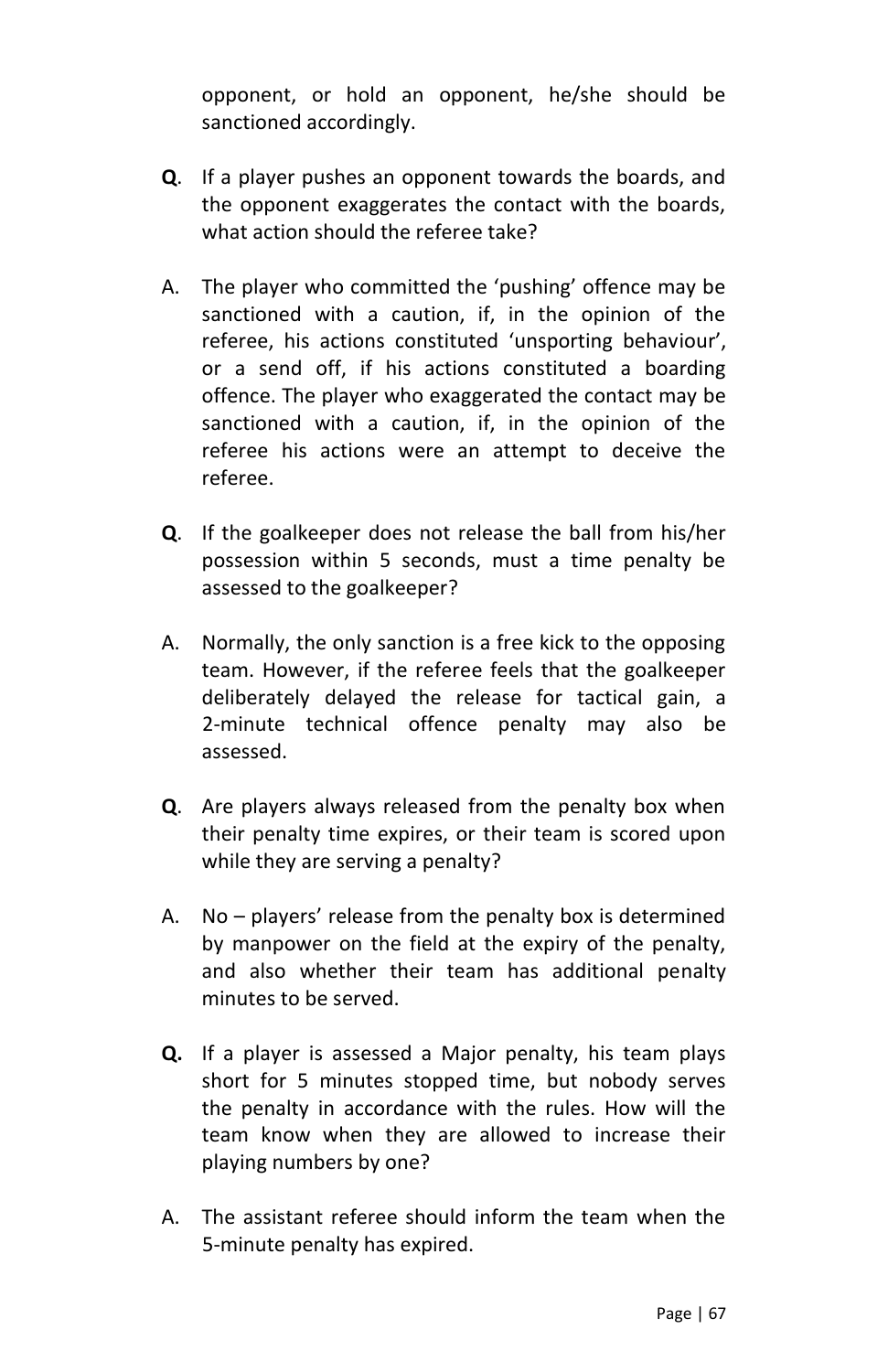opponent, or hold an opponent, he/she should be sanctioned accordingly.

- **Q**. If a player pushes an opponent towards the boards, and the opponent exaggerates the contact with the boards, what action should the referee take?
- A. The player who committed the 'pushing' offence may be sanctioned with a caution, if, in the opinion of the referee, his actions constituted 'unsporting behaviour', or a send off, if his actions constituted a boarding offence. The player who exaggerated the contact may be sanctioned with a caution, if, in the opinion of the referee his actions were an attempt to deceive the referee.
- **Q**. If the goalkeeper does not release the ball from his/her possession within 5 seconds, must a time penalty be assessed to the goalkeeper?
- A. Normally, the only sanction is a free kick to the opposing team. However, if the referee feels that the goalkeeper deliberately delayed the release for tactical gain, a 2-minute technical offence penalty may also be assessed.
- **Q**. Are players always released from the penalty box when their penalty time expires, or their team is scored upon while they are serving a penalty?
- A. No players' release from the penalty box is determined by manpower on the field at the expiry of the penalty, and also whether their team has additional penalty minutes to be served.
- **Q.** If a player is assessed a Major penalty, his team plays short for 5 minutes stopped time, but nobody serves the penalty in accordance with the rules. How will the team know when they are allowed to increase their playing numbers by one?
- A. The assistant referee should inform the team when the 5-minute penalty has expired.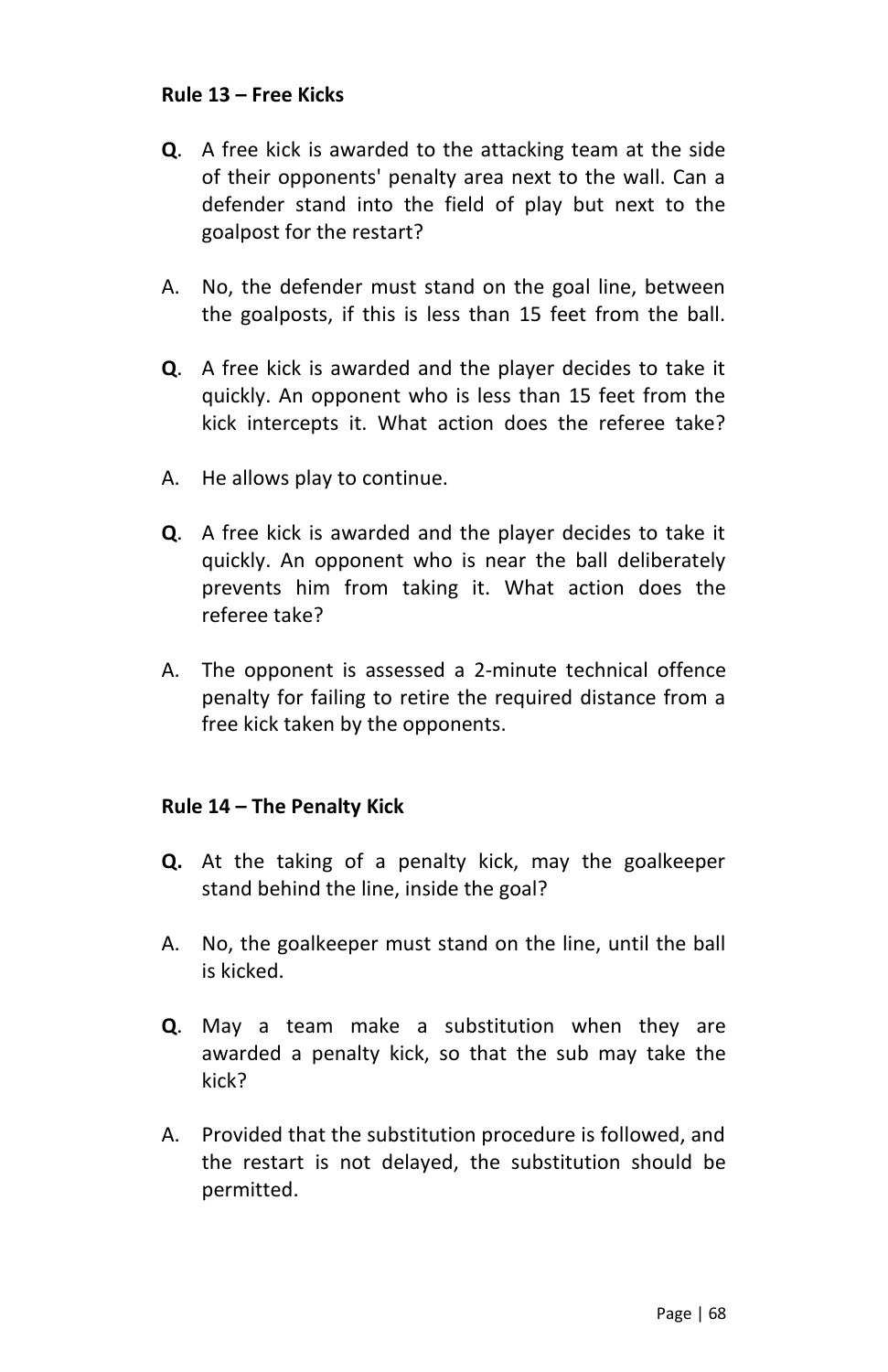#### **Rule 13 – Free Kicks**

- **Q**. A free kick is awarded to the attacking team at the side of their opponents' penalty area next to the wall. Can a defender stand into the field of play but next to the goalpost for the restart?
- A. No, the defender must stand on the goal line, between the goalposts, if this is less than 15 feet from the ball.
- **Q**. A free kick is awarded and the player decides to take it quickly. An opponent who is less than 15 feet from the kick intercepts it. What action does the referee take?
- A. He allows play to continue.
- **Q**. A free kick is awarded and the player decides to take it quickly. An opponent who is near the ball deliberately prevents him from taking it. What action does the referee take?
- A. The opponent is assessed a 2-minute technical offence penalty for failing to retire the required distance from a free kick taken by the opponents.

#### **Rule 14 – The Penalty Kick**

- **Q.** At the taking of a penalty kick, may the goalkeeper stand behind the line, inside the goal?
- A. No, the goalkeeper must stand on the line, until the ball is kicked.
- **Q**. May a team make a substitution when they are awarded a penalty kick, so that the sub may take the kick?
- A. Provided that the substitution procedure is followed, and the restart is not delayed, the substitution should be permitted.